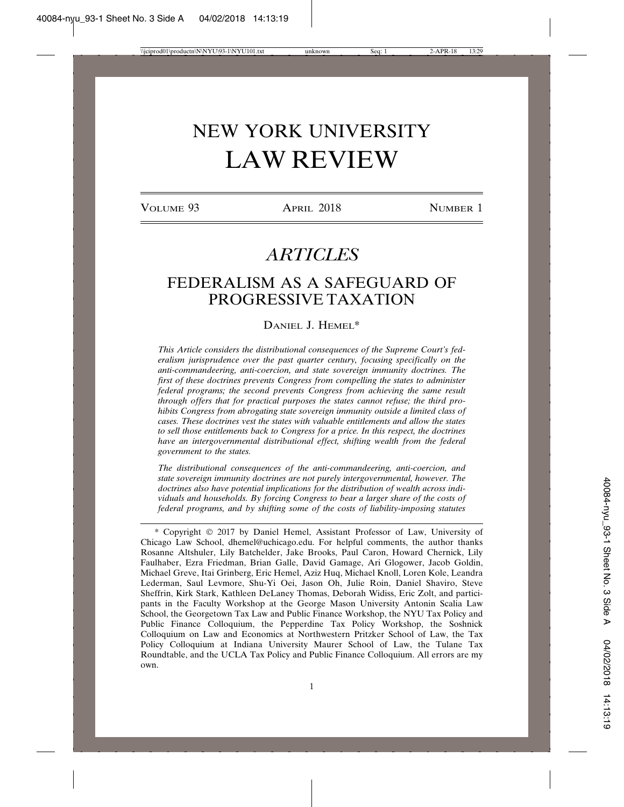# NEW YORK UNIVERSITY LAW REVIEW

VOLUME 93 **APRIL 2018** NUMBER 1

## *ARTICLES*

### FEDERALISM AS A SAFEGUARD OF PROGRESSIVE TAXATION

#### DANIEL J. HEMEL\*

*This Article considers the distributional consequences of the Supreme Court's federalism jurisprudence over the past quarter century, focusing specifically on the anti-commandeering, anti-coercion, and state sovereign immunity doctrines. The first of these doctrines prevents Congress from compelling the states to administer federal programs; the second prevents Congress from achieving the same result through offers that for practical purposes the states cannot refuse; the third prohibits Congress from abrogating state sovereign immunity outside a limited class of cases. These doctrines vest the states with valuable entitlements and allow the states to sell those entitlements back to Congress for a price. In this respect, the doctrines have an intergovernmental distributional effect, shifting wealth from the federal government to the states.*

*The distributional consequences of the anti-commandeering, anti-coercion, and state sovereign immunity doctrines are not purely intergovernmental, however. The doctrines also have potential implications for the distribution of wealth across individuals and households. By forcing Congress to bear a larger share of the costs of federal programs, and by shifting some of the costs of liability-imposing statutes*

<sup>\*</sup> Copyright © 2017 by Daniel Hemel, Assistant Professor of Law, University of Chicago Law School, dhemel@uchicago.edu. For helpful comments, the author thanks Rosanne Altshuler, Lily Batchelder, Jake Brooks, Paul Caron, Howard Chernick, Lily Faulhaber, Ezra Friedman, Brian Galle, David Gamage, Ari Glogower, Jacob Goldin, Michael Greve, Itai Grinberg, Eric Hemel, Aziz Huq, Michael Knoll, Loren Kole, Leandra Lederman, Saul Levmore, Shu-Yi Oei, Jason Oh, Julie Roin, Daniel Shaviro, Steve Sheffrin, Kirk Stark, Kathleen DeLaney Thomas, Deborah Widiss, Eric Zolt, and participants in the Faculty Workshop at the George Mason University Antonin Scalia Law School, the Georgetown Tax Law and Public Finance Workshop, the NYU Tax Policy and Public Finance Colloquium, the Pepperdine Tax Policy Workshop, the Soshnick Colloquium on Law and Economics at Northwestern Pritzker School of Law, the Tax Policy Colloquium at Indiana University Maurer School of Law, the Tulane Tax Roundtable, and the UCLA Tax Policy and Public Finance Colloquium. All errors are my own.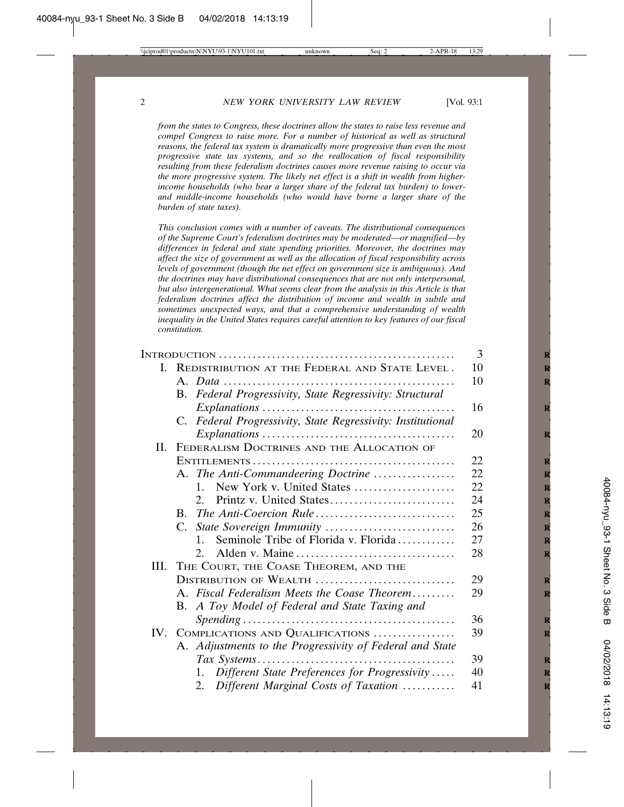*from the states to Congress, these doctrines allow the states to raise less revenue and compel Congress to raise more. For a number of historical as well as structural reasons, the federal tax system is dramatically more progressive than even the most progressive state tax systems, and so the reallocation of fiscal responsibility resulting from these federalism doctrines causes more revenue raising to occur via the more progressive system. The likely net effect is a shift in wealth from higherincome households (who bear a larger share of the federal tax burden) to lowerand middle-income households (who would have borne a larger share of the burden of state taxes).*

*This conclusion comes with a number of caveats. The distributional consequences of the Supreme Court's federalism doctrines may be moderated—or magnified—by differences in federal and state spending priorities. Moreover, the doctrines may affect the size of government as well as the allocation of fiscal responsibility across levels of government (though the net effect on government size is ambiguous). And the doctrines may have distributional consequences that are not only interpersonal, but also intergenerational. What seems clear from the analysis in this Article is that federalism doctrines affect the distribution of income and wealth in subtle and sometimes unexpected ways, and that a comprehensive understanding of wealth inequality in the United States requires careful attention to key features of our fiscal constitution.*

|    |                                                             | 3  |
|----|-------------------------------------------------------------|----|
|    | I. REDISTRIBUTION AT THE FEDERAL AND STATE LEVEL.           | 10 |
|    |                                                             | 10 |
|    | B. Federal Progressivity, State Regressivity: Structural    |    |
|    |                                                             | 16 |
|    | C. Federal Progressivity, State Regressivity: Institutional |    |
|    |                                                             | 20 |
| Н. | FEDERALISM DOCTRINES AND THE ALLOCATION OF                  |    |
|    |                                                             | 22 |
|    | A. The Anti-Commandeering Doctrine                          | 22 |
|    | New York v. United States<br>$1_{-}$                        | 22 |
|    | $2^{\circ}$                                                 | 24 |
|    |                                                             | 25 |
|    |                                                             | 26 |
|    | Seminole Tribe of Florida v. Florida<br>$1_{-}$             | 27 |
|    | Alden v. Maine<br>2.                                        | 28 |
|    | III. THE COURT, THE COASE THEOREM, AND THE                  |    |
|    | DISTRIBUTION OF WEALTH                                      | 29 |
|    | A. Fiscal Federalism Meets the Coase Theorem                | 29 |
|    | B. A Toy Model of Federal and State Taxing and              |    |
|    |                                                             | 36 |
|    | IV. COMPLICATIONS AND QUALIFICATIONS                        | 39 |
|    | A. Adjustments to the Progressivity of Federal and State    |    |
|    |                                                             | 39 |
|    | Different State Preferences for Progressivity<br>1.         | 40 |
|    | Different Marginal Costs of Taxation<br>2.                  | 41 |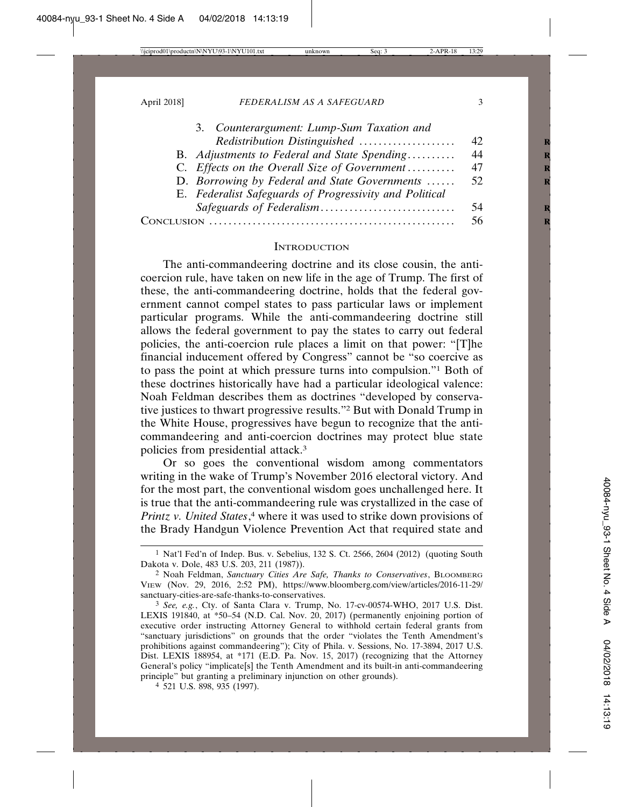| 3. Counterargument: Lump-Sum Taxation and               |     |
|---------------------------------------------------------|-----|
| Redistribution Distinguished                            | 42  |
| B. Adjustments to Federal and State Spending            | 44  |
| C. Effects on the Overall Size of Government            | 47  |
| D. Borrowing by Federal and State Governments           | 52  |
| E. Federalist Safeguards of Progressivity and Political |     |
|                                                         | -54 |
| Conclision                                              | 56  |
|                                                         |     |

#### **INTRODUCTION**

The anti-commandeering doctrine and its close cousin, the anticoercion rule, have taken on new life in the age of Trump. The first of these, the anti-commandeering doctrine, holds that the federal government cannot compel states to pass particular laws or implement particular programs. While the anti-commandeering doctrine still allows the federal government to pay the states to carry out federal policies, the anti-coercion rule places a limit on that power: "[T]he financial inducement offered by Congress" cannot be "so coercive as to pass the point at which pressure turns into compulsion."1 Both of these doctrines historically have had a particular ideological valence: Noah Feldman describes them as doctrines "developed by conservative justices to thwart progressive results."2 But with Donald Trump in the White House, progressives have begun to recognize that the anticommandeering and anti-coercion doctrines may protect blue state policies from presidential attack.3

Or so goes the conventional wisdom among commentators writing in the wake of Trump's November 2016 electoral victory. And for the most part, the conventional wisdom goes unchallenged here. It is true that the anti-commandeering rule was crystallized in the case of *Printz v. United States*, 4 where it was used to strike down provisions of the Brady Handgun Violence Prevention Act that required state and

<sup>1</sup> Nat'l Fed'n of Indep. Bus. v. Sebelius, 132 S. Ct. 2566, 2604 (2012) (quoting South Dakota v. Dole, 483 U.S. 203, 211 (1987)).

<sup>2</sup> Noah Feldman, *Sanctuary Cities Are Safe, Thanks to Conservatives*, BLOOMBERG VIEW (Nov. 29, 2016, 2:52 PM), https://www.bloomberg.com/view/articles/2016-11-29/ sanctuary-cities-are-safe-thanks-to-conservatives.

<sup>3</sup> *See, e.g.*, Cty. of Santa Clara v. Trump, No. 17-cv-00574-WHO, 2017 U.S. Dist. LEXIS 191840, at \*50–54 (N.D. Cal. Nov. 20, 2017) (permanently enjoining portion of executive order instructing Attorney General to withhold certain federal grants from "sanctuary jurisdictions" on grounds that the order "violates the Tenth Amendment's prohibitions against commandeering"); City of Phila. v. Sessions, No. 17-3894, 2017 U.S. Dist. LEXIS 188954, at \*171 (E.D. Pa. Nov. 15, 2017) (recognizing that the Attorney General's policy "implicate[s] the Tenth Amendment and its built-in anti-commandeering principle" but granting a preliminary injunction on other grounds).

<sup>4</sup> 521 U.S. 898, 935 (1997).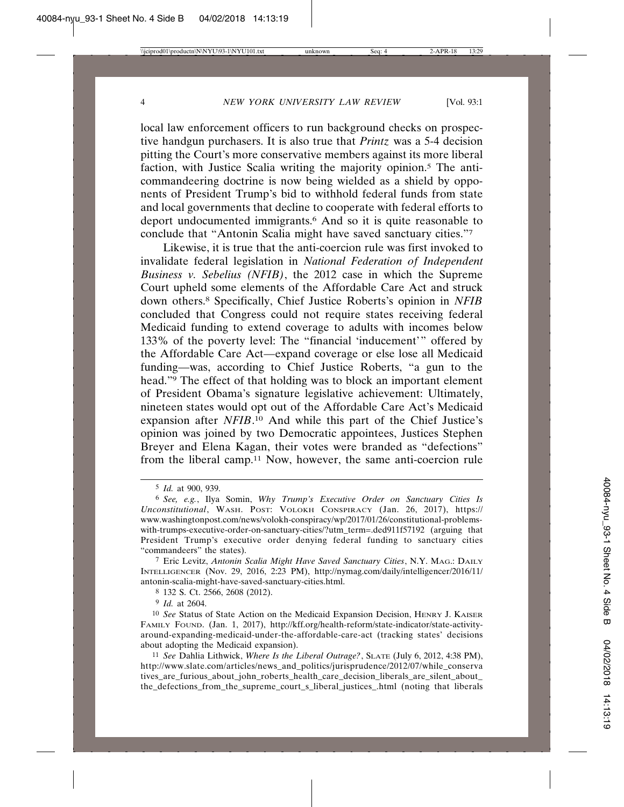local law enforcement officers to run background checks on prospective handgun purchasers. It is also true that *Printz* was a 5-4 decision pitting the Court's more conservative members against its more liberal faction, with Justice Scalia writing the majority opinion.5 The anticommandeering doctrine is now being wielded as a shield by opponents of President Trump's bid to withhold federal funds from state and local governments that decline to cooperate with federal efforts to deport undocumented immigrants.6 And so it is quite reasonable to conclude that "Antonin Scalia might have saved sanctuary cities."7

Likewise, it is true that the anti-coercion rule was first invoked to invalidate federal legislation in *National Federation of Independent Business v. Sebelius (NFIB)*, the 2012 case in which the Supreme Court upheld some elements of the Affordable Care Act and struck down others.8 Specifically, Chief Justice Roberts's opinion in *NFIB* concluded that Congress could not require states receiving federal Medicaid funding to extend coverage to adults with incomes below 133% of the poverty level: The "financial 'inducement'" offered by the Affordable Care Act—expand coverage or else lose all Medicaid funding—was, according to Chief Justice Roberts, "a gun to the head."9 The effect of that holding was to block an important element of President Obama's signature legislative achievement: Ultimately, nineteen states would opt out of the Affordable Care Act's Medicaid expansion after *NFIB*.<sup>10</sup> And while this part of the Chief Justice's opinion was joined by two Democratic appointees, Justices Stephen Breyer and Elena Kagan, their votes were branded as "defections" from the liberal camp.11 Now, however, the same anti-coercion rule

7 Eric Levitz, *Antonin Scalia Might Have Saved Sanctuary Cities*, N.Y. MAG.: DAILY INTELLIGENCER (Nov. 29, 2016, 2:23 PM), http://nymag.com/daily/intelligencer/2016/11/ antonin-scalia-might-have-saved-sanctuary-cities.html.

8 132 S. Ct. 2566, 2608 (2012).

9 *Id.* at 2604.

10 *See* Status of State Action on the Medicaid Expansion Decision, HENRY J. KAISER FAMILY FOUND. (Jan. 1, 2017), http://kff.org/health-reform/state-indicator/state-activityaround-expanding-medicaid-under-the-affordable-care-act (tracking states' decisions about adopting the Medicaid expansion).

11 *See* Dahlia Lithwick, *Where Is the Liberal Outrage?*, SLATE (July 6, 2012, 4:38 PM), http://www.slate.com/articles/news\_and\_politics/jurisprudence/2012/07/while\_conserva tives\_are\_furious\_about\_john\_roberts\_health\_care\_decision\_liberals\_are\_silent\_about\_ the defections from the supreme court s liberal justices .html (noting that liberals

<sup>5</sup> *Id.* at 900, 939.

<sup>6</sup> *See, e.g.*, Ilya Somin, *Why Trump's Executive Order on Sanctuary Cities Is Unconstitutional*, WASH. POST: VOLOKH CONSPIRACY (Jan. 26, 2017), https:// www.washingtonpost.com/news/volokh-conspiracy/wp/2017/01/26/constitutional-problemswith-trumps-executive-order-on-sanctuary-cities/?utm\_term=.ded911f57192 (arguing that President Trump's executive order denying federal funding to sanctuary cities "commandeers" the states).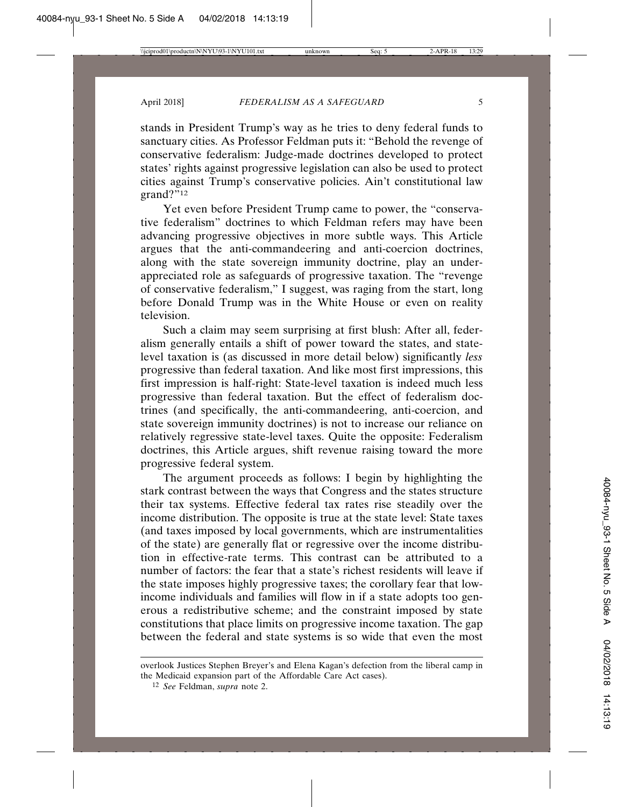stands in President Trump's way as he tries to deny federal funds to sanctuary cities. As Professor Feldman puts it: "Behold the revenge of conservative federalism: Judge-made doctrines developed to protect states' rights against progressive legislation can also be used to protect cities against Trump's conservative policies. Ain't constitutional law  $grand?$ <sup> $\overline{12}$ </sup>

Yet even before President Trump came to power, the "conservative federalism" doctrines to which Feldman refers may have been advancing progressive objectives in more subtle ways. This Article argues that the anti-commandeering and anti-coercion doctrines, along with the state sovereign immunity doctrine, play an underappreciated role as safeguards of progressive taxation. The "revenge of conservative federalism," I suggest, was raging from the start, long before Donald Trump was in the White House or even on reality television.

Such a claim may seem surprising at first blush: After all, federalism generally entails a shift of power toward the states, and statelevel taxation is (as discussed in more detail below) significantly *less* progressive than federal taxation. And like most first impressions, this first impression is half-right: State-level taxation is indeed much less progressive than federal taxation. But the effect of federalism doctrines (and specifically, the anti-commandeering, anti-coercion, and state sovereign immunity doctrines) is not to increase our reliance on relatively regressive state-level taxes. Quite the opposite: Federalism doctrines, this Article argues, shift revenue raising toward the more progressive federal system.

The argument proceeds as follows: I begin by highlighting the stark contrast between the ways that Congress and the states structure their tax systems. Effective federal tax rates rise steadily over the income distribution. The opposite is true at the state level: State taxes (and taxes imposed by local governments, which are instrumentalities of the state) are generally flat or regressive over the income distribution in effective-rate terms. This contrast can be attributed to a number of factors: the fear that a state's richest residents will leave if the state imposes highly progressive taxes; the corollary fear that lowincome individuals and families will flow in if a state adopts too generous a redistributive scheme; and the constraint imposed by state constitutions that place limits on progressive income taxation. The gap between the federal and state systems is so wide that even the most

overlook Justices Stephen Breyer's and Elena Kagan's defection from the liberal camp in the Medicaid expansion part of the Affordable Care Act cases).

<sup>12</sup> *See* Feldman, *supra* note 2.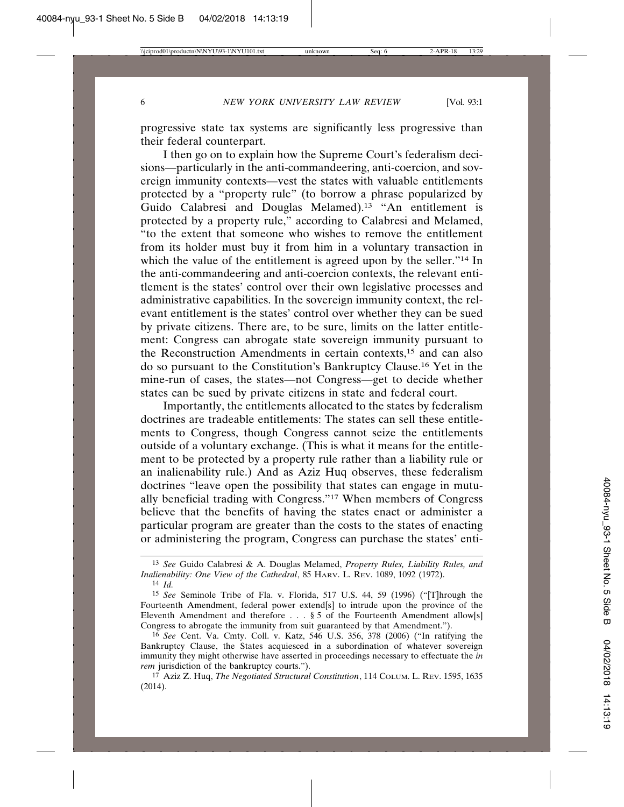progressive state tax systems are significantly less progressive than their federal counterpart.

I then go on to explain how the Supreme Court's federalism decisions—particularly in the anti-commandeering, anti-coercion, and sovereign immunity contexts—vest the states with valuable entitlements protected by a "property rule" (to borrow a phrase popularized by Guido Calabresi and Douglas Melamed).13 "An entitlement is protected by a property rule," according to Calabresi and Melamed, "to the extent that someone who wishes to remove the entitlement from its holder must buy it from him in a voluntary transaction in which the value of the entitlement is agreed upon by the seller."<sup>14</sup> In the anti-commandeering and anti-coercion contexts, the relevant entitlement is the states' control over their own legislative processes and administrative capabilities. In the sovereign immunity context, the relevant entitlement is the states' control over whether they can be sued by private citizens. There are, to be sure, limits on the latter entitlement: Congress can abrogate state sovereign immunity pursuant to the Reconstruction Amendments in certain contexts,15 and can also do so pursuant to the Constitution's Bankruptcy Clause.16 Yet in the mine-run of cases, the states—not Congress—get to decide whether states can be sued by private citizens in state and federal court.

Importantly, the entitlements allocated to the states by federalism doctrines are tradeable entitlements: The states can sell these entitlements to Congress, though Congress cannot seize the entitlements outside of a voluntary exchange. (This is what it means for the entitlement to be protected by a property rule rather than a liability rule or an inalienability rule.) And as Aziz Huq observes, these federalism doctrines "leave open the possibility that states can engage in mutually beneficial trading with Congress."17 When members of Congress believe that the benefits of having the states enact or administer a particular program are greater than the costs to the states of enacting or administering the program, Congress can purchase the states' enti-

<sup>13</sup> *See* Guido Calabresi & A. Douglas Melamed, *Property Rules, Liability Rules, and Inalienability: One View of the Cathedral*, 85 HARV. L. REV. 1089, 1092 (1972). 14 *Id.*

<sup>15</sup> *See* Seminole Tribe of Fla. v. Florida, 517 U.S. 44, 59 (1996) ("[T]hrough the Fourteenth Amendment, federal power extend[s] to intrude upon the province of the Eleventh Amendment and therefore . . . § 5 of the Fourteenth Amendment allow[s] Congress to abrogate the immunity from suit guaranteed by that Amendment.").

<sup>16</sup> *See* Cent. Va. Cmty. Coll. v. Katz, 546 U.S. 356, 378 (2006) ("In ratifying the Bankruptcy Clause, the States acquiesced in a subordination of whatever sovereign immunity they might otherwise have asserted in proceedings necessary to effectuate the *in rem* jurisdiction of the bankruptcy courts.").

<sup>17</sup> Aziz Z. Huq, *The Negotiated Structural Constitution*, 114 COLUM. L. REV. 1595, 1635 (2014).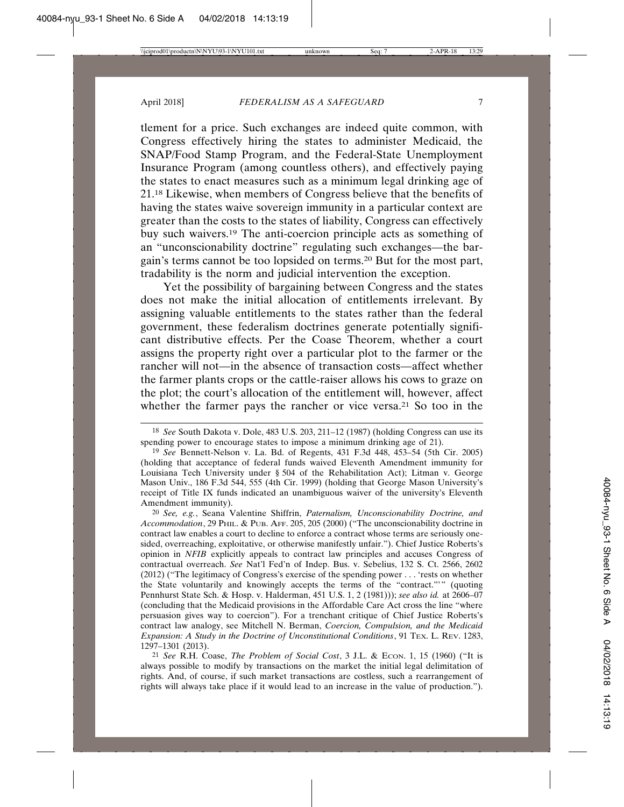tlement for a price. Such exchanges are indeed quite common, with Congress effectively hiring the states to administer Medicaid, the SNAP/Food Stamp Program, and the Federal-State Unemployment Insurance Program (among countless others), and effectively paying the states to enact measures such as a minimum legal drinking age of 21.18 Likewise, when members of Congress believe that the benefits of having the states waive sovereign immunity in a particular context are greater than the costs to the states of liability, Congress can effectively buy such waivers.19 The anti-coercion principle acts as something of an "unconscionability doctrine" regulating such exchanges—the bargain's terms cannot be too lopsided on terms.20 But for the most part, tradability is the norm and judicial intervention the exception.

Yet the possibility of bargaining between Congress and the states does not make the initial allocation of entitlements irrelevant. By assigning valuable entitlements to the states rather than the federal government, these federalism doctrines generate potentially significant distributive effects. Per the Coase Theorem, whether a court assigns the property right over a particular plot to the farmer or the rancher will not—in the absence of transaction costs—affect whether the farmer plants crops or the cattle-raiser allows his cows to graze on the plot; the court's allocation of the entitlement will, however, affect whether the farmer pays the rancher or vice versa.<sup>21</sup> So too in the

20 *See, e.g.*, Seana Valentine Shiffrin, *Paternalism, Unconscionability Doctrine, and Accommodation*, 29 PHIL. & PUB. AFF. 205, 205 (2000) ("The unconscionability doctrine in contract law enables a court to decline to enforce a contract whose terms are seriously onesided, overreaching, exploitative, or otherwise manifestly unfair."). Chief Justice Roberts's opinion in *NFIB* explicitly appeals to contract law principles and accuses Congress of contractual overreach. *See* Nat'l Fed'n of Indep. Bus. v. Sebelius, 132 S. Ct. 2566, 2602 (2012) ("The legitimacy of Congress's exercise of the spending power . . . 'rests on whether the State voluntarily and knowingly accepts the terms of the "contract."'" (quoting Pennhurst State Sch. & Hosp. v. Halderman, 451 U.S. 1, 2 (1981))); *see also id.* at 2606–07 (concluding that the Medicaid provisions in the Affordable Care Act cross the line "where persuasion gives way to coercion"). For a trenchant critique of Chief Justice Roberts's contract law analogy, see Mitchell N. Berman, *Coercion, Compulsion, and the Medicaid Expansion: A Study in the Doctrine of Unconstitutional Conditions*, 91 TEX. L. REV. 1283, 1297–1301 (2013).

21 *See* R.H. Coase, *The Problem of Social Cost*, 3 J.L. & ECON. 1, 15 (1960) ("It is always possible to modify by transactions on the market the initial legal delimitation of rights. And, of course, if such market transactions are costless, such a rearrangement of rights will always take place if it would lead to an increase in the value of production.").

<sup>18</sup> *See* South Dakota v. Dole, 483 U.S. 203, 211–12 (1987) (holding Congress can use its spending power to encourage states to impose a minimum drinking age of 21).

<sup>19</sup> *See* Bennett-Nelson v. La. Bd. of Regents, 431 F.3d 448, 453–54 (5th Cir. 2005) (holding that acceptance of federal funds waived Eleventh Amendment immunity for Louisiana Tech University under § 504 of the Rehabilitation Act); Litman v. George Mason Univ., 186 F.3d 544, 555 (4th Cir. 1999) (holding that George Mason University's receipt of Title IX funds indicated an unambiguous waiver of the university's Eleventh Amendment immunity).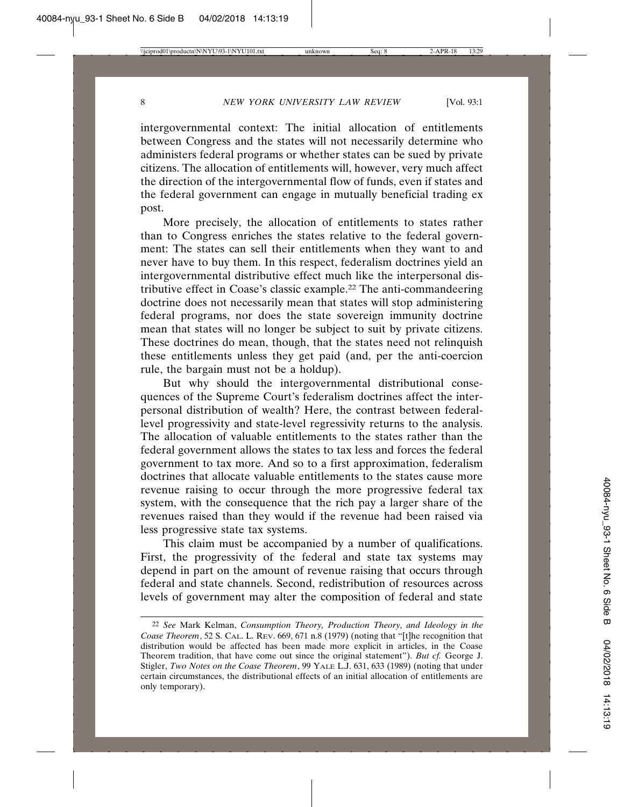intergovernmental context: The initial allocation of entitlements between Congress and the states will not necessarily determine who administers federal programs or whether states can be sued by private citizens. The allocation of entitlements will, however, very much affect the direction of the intergovernmental flow of funds, even if states and the federal government can engage in mutually beneficial trading ex post.

More precisely, the allocation of entitlements to states rather than to Congress enriches the states relative to the federal government: The states can sell their entitlements when they want to and never have to buy them. In this respect, federalism doctrines yield an intergovernmental distributive effect much like the interpersonal distributive effect in Coase's classic example.22 The anti-commandeering doctrine does not necessarily mean that states will stop administering federal programs, nor does the state sovereign immunity doctrine mean that states will no longer be subject to suit by private citizens. These doctrines do mean, though, that the states need not relinquish these entitlements unless they get paid (and, per the anti-coercion rule, the bargain must not be a holdup).

But why should the intergovernmental distributional consequences of the Supreme Court's federalism doctrines affect the interpersonal distribution of wealth? Here, the contrast between federallevel progressivity and state-level regressivity returns to the analysis. The allocation of valuable entitlements to the states rather than the federal government allows the states to tax less and forces the federal government to tax more. And so to a first approximation, federalism doctrines that allocate valuable entitlements to the states cause more revenue raising to occur through the more progressive federal tax system, with the consequence that the rich pay a larger share of the revenues raised than they would if the revenue had been raised via less progressive state tax systems.

This claim must be accompanied by a number of qualifications. First, the progressivity of the federal and state tax systems may depend in part on the amount of revenue raising that occurs through federal and state channels. Second, redistribution of resources across levels of government may alter the composition of federal and state

<sup>22</sup> *See* Mark Kelman, *Consumption Theory, Production Theory, and Ideology in the Coase Theorem*, 52 S. CAL. L. REV. 669, 671 n.8 (1979) (noting that "[t]he recognition that distribution would be affected has been made more explicit in articles, in the Coase Theorem tradition, that have come out since the original statement"). *But cf.* George J. Stigler, *Two Notes on the Coase Theorem*, 99 YALE L.J. 631, 633 (1989) (noting that under certain circumstances, the distributional effects of an initial allocation of entitlements are only temporary).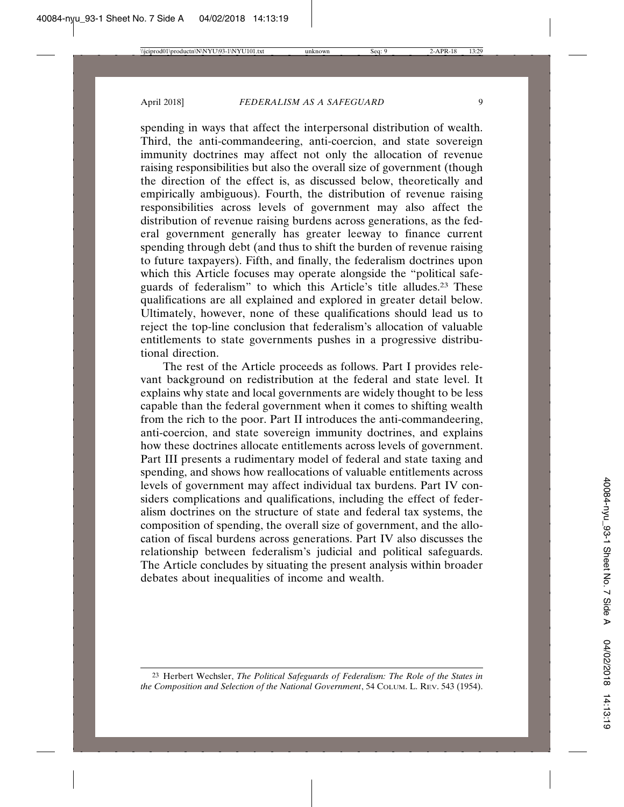spending in ways that affect the interpersonal distribution of wealth. Third, the anti-commandeering, anti-coercion, and state sovereign immunity doctrines may affect not only the allocation of revenue raising responsibilities but also the overall size of government (though the direction of the effect is, as discussed below, theoretically and empirically ambiguous). Fourth, the distribution of revenue raising responsibilities across levels of government may also affect the distribution of revenue raising burdens across generations, as the federal government generally has greater leeway to finance current spending through debt (and thus to shift the burden of revenue raising to future taxpayers). Fifth, and finally, the federalism doctrines upon which this Article focuses may operate alongside the "political safeguards of federalism" to which this Article's title alludes.23 These qualifications are all explained and explored in greater detail below. Ultimately, however, none of these qualifications should lead us to reject the top-line conclusion that federalism's allocation of valuable entitlements to state governments pushes in a progressive distributional direction.

The rest of the Article proceeds as follows. Part I provides relevant background on redistribution at the federal and state level. It explains why state and local governments are widely thought to be less capable than the federal government when it comes to shifting wealth from the rich to the poor. Part II introduces the anti-commandeering, anti-coercion, and state sovereign immunity doctrines, and explains how these doctrines allocate entitlements across levels of government. Part III presents a rudimentary model of federal and state taxing and spending, and shows how reallocations of valuable entitlements across levels of government may affect individual tax burdens. Part IV considers complications and qualifications, including the effect of federalism doctrines on the structure of state and federal tax systems, the composition of spending, the overall size of government, and the allocation of fiscal burdens across generations. Part IV also discusses the relationship between federalism's judicial and political safeguards. The Article concludes by situating the present analysis within broader debates about inequalities of income and wealth.

<sup>23</sup> Herbert Wechsler, *The Political Safeguards of Federalism: The Role of the States in the Composition and Selection of the National Government*, 54 COLUM. L. REV. 543 (1954).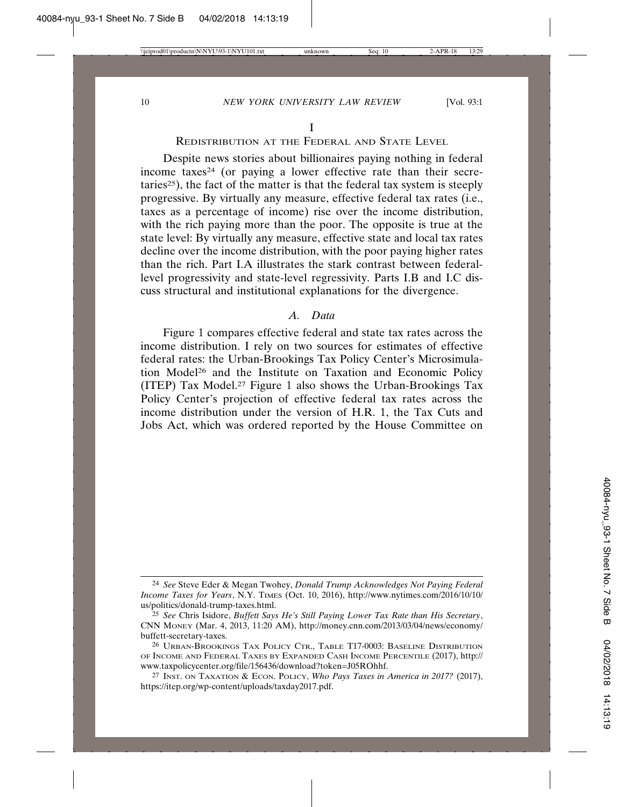#### REDISTRIBUTION AT THE FEDERAL AND STATE LEVEL

Despite news stories about billionaires paying nothing in federal income taxes<sup>24</sup> (or paying a lower effective rate than their secretaries<sup>25</sup>), the fact of the matter is that the federal tax system is steeply progressive. By virtually any measure, effective federal tax rates (i.e., taxes as a percentage of income) rise over the income distribution, with the rich paying more than the poor. The opposite is true at the state level: By virtually any measure, effective state and local tax rates decline over the income distribution, with the poor paying higher rates than the rich. Part I.A illustrates the stark contrast between federallevel progressivity and state-level regressivity. Parts I.B and I.C discuss structural and institutional explanations for the divergence.

#### *A. Data*

Figure 1 compares effective federal and state tax rates across the income distribution. I rely on two sources for estimates of effective federal rates: the Urban-Brookings Tax Policy Center's Microsimulation Model26 and the Institute on Taxation and Economic Policy (ITEP) Tax Model.27 Figure 1 also shows the Urban-Brookings Tax Policy Center's projection of effective federal tax rates across the income distribution under the version of H.R. 1, the Tax Cuts and Jobs Act, which was ordered reported by the House Committee on

<sup>24</sup> *See* Steve Eder & Megan Twohey, *Donald Trump Acknowledges Not Paying Federal Income Taxes for Years*, N.Y. TIMES (Oct. 10, 2016), http://www.nytimes.com/2016/10/10/ us/politics/donald-trump-taxes.html.

<sup>25</sup> *See* Chris Isidore, *Buffett Says He's Still Paying Lower Tax Rate than His Secretary*, CNN MONEY (Mar. 4, 2013, 11:20 AM), http://money.cnn.com/2013/03/04/news/economy/ buffett-secretary-taxes.

<sup>26</sup> URBAN-BROOKINGS TAX POLICY CTR., TABLE T17-0003: BASELINE DISTRIBUTION OF INCOME AND FEDERAL TAXES BY EXPANDED CASH INCOME PERCENTILE (2017), http:// www.taxpolicycenter.org/file/156436/download?token=J05ROhhf.

<sup>27</sup> INST. ON TAXATION & ECON. POLICY, *Who Pays Taxes in America in 2017?* (2017), https://itep.org/wp-content/uploads/taxday2017.pdf.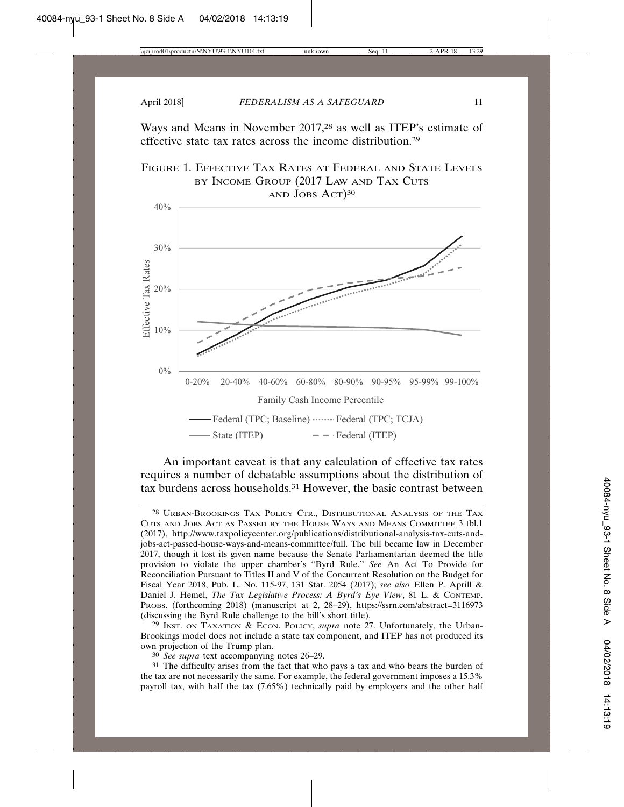Ways and Means in November 2017,28 as well as ITEP's estimate of effective state tax rates across the income distribution.29



#### An important caveat is that any calculation of effective tax rates requires a number of debatable assumptions about the distribution of tax burdens across households.31 However, the basic contrast between

29 INST. ON TAXATION & ECON. POLICY, *supra* note 27. Unfortunately, the Urban-Brookings model does not include a state tax component, and ITEP has not produced its own projection of the Trump plan.

30 *See supra* text accompanying notes 26–29.

31 The difficulty arises from the fact that who pays a tax and who bears the burden of the tax are not necessarily the same. For example, the federal government imposes a 15.3% payroll tax, with half the tax (7.65%) technically paid by employers and the other half

<sup>28</sup> URBAN-BROOKINGS TAX POLICY CTR., DISTRIBUTIONAL ANALYSIS OF THE TAX CUTS AND JOBS ACT AS PASSED BY THE HOUSE WAYS AND MEANS COMMITTEE 3 tbl.1 (2017), http://www.taxpolicycenter.org/publications/distributional-analysis-tax-cuts-andjobs-act-passed-house-ways-and-means-committee/full. The bill became law in December 2017, though it lost its given name because the Senate Parliamentarian deemed the title provision to violate the upper chamber's "Byrd Rule." *See* An Act To Provide for Reconciliation Pursuant to Titles II and V of the Concurrent Resolution on the Budget for Fiscal Year 2018, Pub. L. No. 115-97, 131 Stat. 2054 (2017); *see also* Ellen P. Aprill & Daniel J. Hemel, *The Tax Legislative Process: A Byrd's Eye View*, 81 L. & CONTEMP. PROBS. (forthcoming 2018) (manuscript at 2, 28–29), https://ssrn.com/abstract=3116973 (discussing the Byrd Rule challenge to the bill's short title).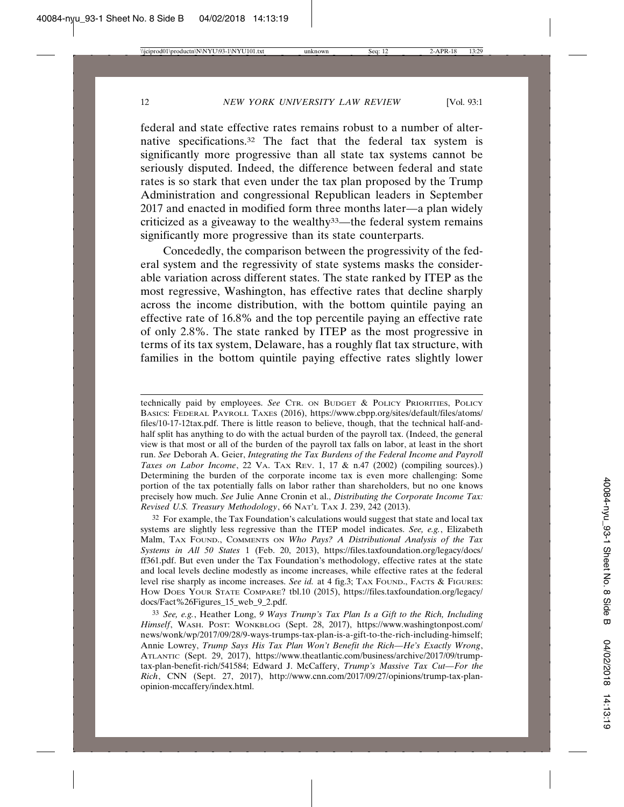federal and state effective rates remains robust to a number of alternative specifications.32 The fact that the federal tax system is significantly more progressive than all state tax systems cannot be seriously disputed. Indeed, the difference between federal and state rates is so stark that even under the tax plan proposed by the Trump Administration and congressional Republican leaders in September 2017 and enacted in modified form three months later—a plan widely criticized as a giveaway to the wealthy $33$ —the federal system remains significantly more progressive than its state counterparts.

Concededly, the comparison between the progressivity of the federal system and the regressivity of state systems masks the considerable variation across different states. The state ranked by ITEP as the most regressive, Washington, has effective rates that decline sharply across the income distribution, with the bottom quintile paying an effective rate of 16.8% and the top percentile paying an effective rate of only 2.8%. The state ranked by ITEP as the most progressive in terms of its tax system, Delaware, has a roughly flat tax structure, with families in the bottom quintile paying effective rates slightly lower

technically paid by employees. *See* CTR. ON BUDGET & POLICY PRIORITIES, POLICY BASICS: FEDERAL PAYROLL TAXES (2016), https://www.cbpp.org/sites/default/files/atoms/ files/10-17-12tax.pdf. There is little reason to believe, though, that the technical half-andhalf split has anything to do with the actual burden of the payroll tax. (Indeed, the general view is that most or all of the burden of the payroll tax falls on labor, at least in the short run. *See* Deborah A. Geier, *Integrating the Tax Burdens of the Federal Income and Payroll Taxes on Labor Income*, 22 VA. TAX REV. 1, 17 & n.47 (2002) (compiling sources).) Determining the burden of the corporate income tax is even more challenging: Some portion of the tax potentially falls on labor rather than shareholders, but no one knows precisely how much. *See* Julie Anne Cronin et al., *Distributing the Corporate Income Tax: Revised U.S. Treasury Methodology*, 66 NAT'L TAX J. 239, 242 (2013).

32 For example, the Tax Foundation's calculations would suggest that state and local tax systems are slightly less regressive than the ITEP model indicates. *See, e.g.*, Elizabeth Malm, TAX FOUND., COMMENTS ON *Who Pays? A Distributional Analysis of the Tax Systems in All 50 States* 1 (Feb. 20, 2013), https://files.taxfoundation.org/legacy/docs/ ff361.pdf. But even under the Tax Foundation's methodology, effective rates at the state and local levels decline modestly as income increases, while effective rates at the federal level rise sharply as income increases. *See id.* at 4 fig.3; TAX FOUND., FACTS & FIGURES: HOW DOES YOUR STATE COMPARE? tbl.10 (2015), https://files.taxfoundation.org/legacy/ docs/Fact%26Figures\_15\_web\_9\_2.pdf.

33 *See, e.g.*, Heather Long, *9 Ways Trump's Tax Plan Is a Gift to the Rich, Including Himself*, WASH. POST: WONKBLOG (Sept. 28, 2017), https://www.washingtonpost.com/ news/wonk/wp/2017/09/28/9-ways-trumps-tax-plan-is-a-gift-to-the-rich-including-himself; Annie Lowrey, *Trump Says His Tax Plan Won't Benefit the Rich—He's Exactly Wrong*, ATLANTIC (Sept. 29, 2017), https://www.theatlantic.com/business/archive/2017/09/trumptax-plan-benefit-rich/541584; Edward J. McCaffery, *Trump's Massive Tax Cut—For the Rich*, CNN (Sept. 27, 2017), http://www.cnn.com/2017/09/27/opinions/trump-tax-planopinion-mccaffery/index.html.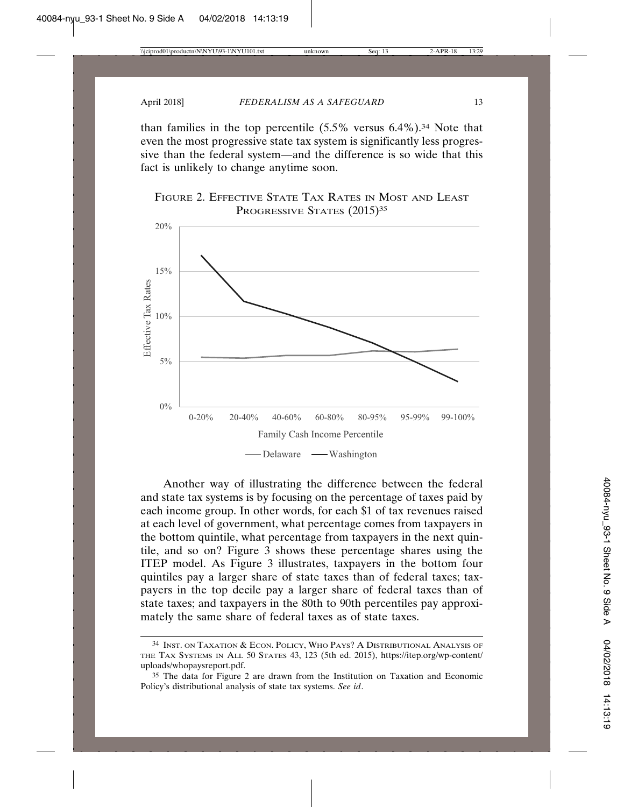than families in the top percentile  $(5.5\%$  versus  $6.4\%)$ .<sup>34</sup> Note that even the most progressive state tax system is significantly less progressive than the federal system—and the difference is so wide that this fact is unlikely to change anytime soon.





Another way of illustrating the difference between the federal and state tax systems is by focusing on the percentage of taxes paid by each income group. In other words, for each \$1 of tax revenues raised at each level of government, what percentage comes from taxpayers in the bottom quintile, what percentage from taxpayers in the next quintile, and so on? Figure 3 shows these percentage shares using the ITEP model. As Figure 3 illustrates, taxpayers in the bottom four quintiles pay a larger share of state taxes than of federal taxes; taxpayers in the top decile pay a larger share of federal taxes than of state taxes; and taxpayers in the 80th to 90th percentiles pay approximately the same share of federal taxes as of state taxes.

<sup>34</sup> INST. ON TAXATION & ECON. POLICY, WHO PAYS? A DISTRIBUTIONAL ANALYSIS OF THE TAX SYSTEMS IN ALL 50 STATES 43, 123 (5th ed. 2015), https://itep.org/wp-content/ uploads/whopaysreport.pdf.

<sup>35</sup> The data for Figure 2 are drawn from the Institution on Taxation and Economic Policy's distributional analysis of state tax systems. *See id*.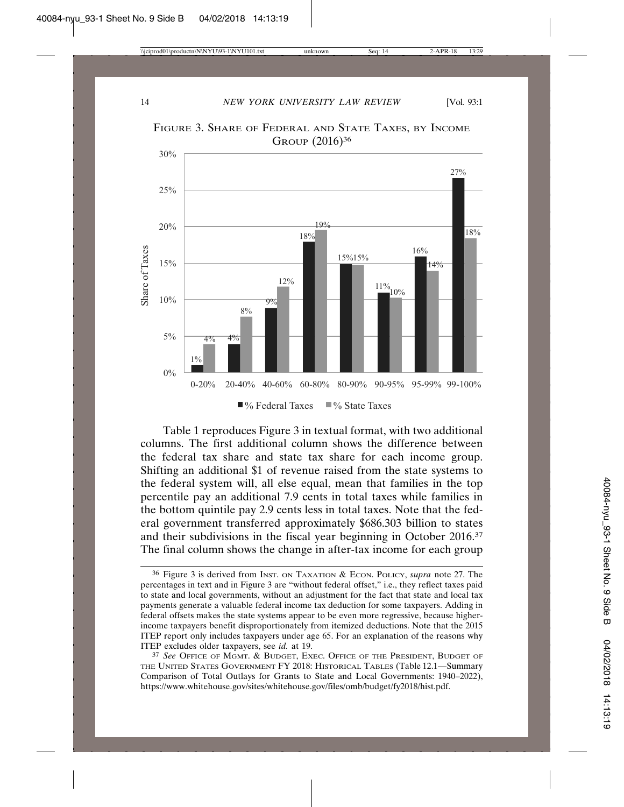

FIGURE 3. SHARE OF FEDERAL AND STATE TAXES, BY INCOME GROUP (2016)36

Table 1 reproduces Figure 3 in textual format, with two additional columns. The first additional column shows the difference between the federal tax share and state tax share for each income group. Shifting an additional \$1 of revenue raised from the state systems to the federal system will, all else equal, mean that families in the top percentile pay an additional 7.9 cents in total taxes while families in the bottom quintile pay 2.9 cents less in total taxes. Note that the federal government transferred approximately \$686.303 billion to states and their subdivisions in the fiscal year beginning in October 2016.37 The final column shows the change in after-tax income for each group

<sup>36</sup> Figure 3 is derived from INST. ON TAXATION & ECON. POLICY, *supra* note 27. The percentages in text and in Figure 3 are "without federal offset," i.e., they reflect taxes paid to state and local governments, without an adjustment for the fact that state and local tax payments generate a valuable federal income tax deduction for some taxpayers. Adding in federal offsets makes the state systems appear to be even more regressive, because higherincome taxpayers benefit disproportionately from itemized deductions. Note that the 2015 ITEP report only includes taxpayers under age 65. For an explanation of the reasons why ITEP excludes older taxpayers, see *id.* at 19.

<sup>37</sup> *See* OFFICE OF MGMT. & BUDGET, EXEC. OFFICE OF THE PRESIDENT, BUDGET OF THE UNITED STATES GOVERNMENT FY 2018: HISTORICAL TABLES (Table 12.1—Summary Comparison of Total Outlays for Grants to State and Local Governments: 1940–2022), https://www.whitehouse.gov/sites/whitehouse.gov/files/omb/budget/fy2018/hist.pdf.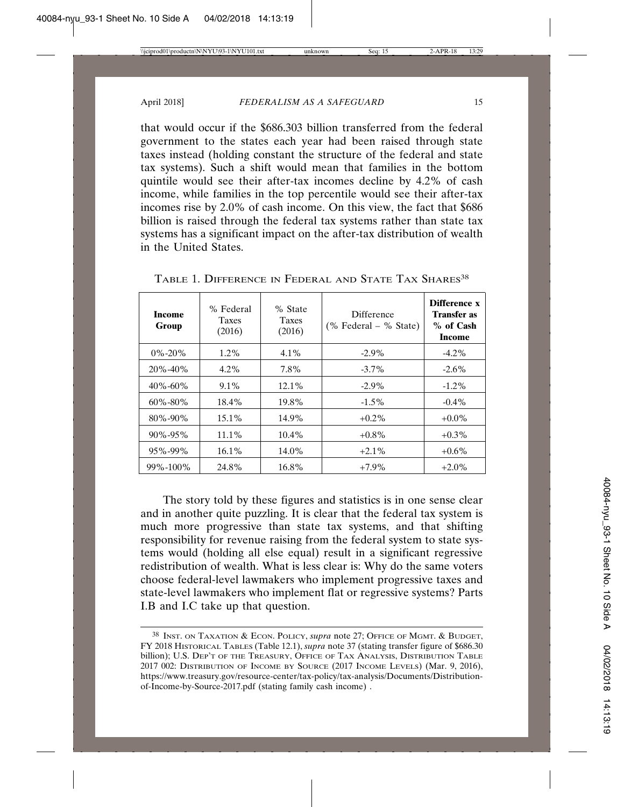that would occur if the \$686.303 billion transferred from the federal government to the states each year had been raised through state taxes instead (holding constant the structure of the federal and state tax systems). Such a shift would mean that families in the bottom quintile would see their after-tax incomes decline by 4.2% of cash income, while families in the top percentile would see their after-tax incomes rise by 2.0% of cash income. On this view, the fact that \$686 billion is raised through the federal tax systems rather than state tax systems has a significant impact on the after-tax distribution of wealth in the United States.

| Income<br>Group | % Federal<br><b>Taxes</b><br>(2016) | % State<br><b>Taxes</b><br>(2016) | Difference<br>$%$ Federal – % State) | <b>Difference x</b><br>Transfer as<br>$%$ of Cash<br>Income |
|-----------------|-------------------------------------|-----------------------------------|--------------------------------------|-------------------------------------------------------------|
| $0\% - 20\%$    | $1.2\%$                             | $4.1\%$                           | $-2.9\%$                             | $-4.2\%$                                                    |
| $20\% - 40\%$   | $4.2\%$                             | 7.8%                              | $-3.7\%$                             | $-2.6\%$                                                    |
| $40\% - 60\%$   | $9.1\%$                             | $12.1\%$                          | $-2.9\%$                             | $-1.2\%$                                                    |
| $60\% - 80\%$   | $18.4\%$                            | 19.8%                             | $-1.5\%$                             | $-0.4\%$                                                    |
| $80\% - 90\%$   | $15.1\%$                            | 14.9%                             | $+0.2\%$                             | $+0.0\%$                                                    |
| $90\% - 95\%$   | $11.1\%$                            | $10.4\%$                          | $+0.8\%$                             | $+0.3\%$                                                    |
| $95\% - 99\%$   | $16.1\%$                            | 14.0%                             | $+2.1\%$                             | $+0.6\%$                                                    |
| 99%-100%        | 24.8%                               | 16.8%                             | $+7.9\%$                             | $+2.0\%$                                                    |

TABLE 1. DIFFERENCE IN FEDERAL AND STATE TAX SHARES<sup>38</sup>

The story told by these figures and statistics is in one sense clear and in another quite puzzling. It is clear that the federal tax system is much more progressive than state tax systems, and that shifting responsibility for revenue raising from the federal system to state systems would (holding all else equal) result in a significant regressive redistribution of wealth. What is less clear is: Why do the same voters choose federal-level lawmakers who implement progressive taxes and state-level lawmakers who implement flat or regressive systems? Parts I.B and I.C take up that question.

<sup>38</sup> INST. ON TAXATION & ECON. POLICY, *supra* note 27; OFFICE OF MGMT. & BUDGET, FY 2018 HISTORICAL TABLES (Table 12.1), *supra* note 37 (stating transfer figure of \$686.30 billion); U.S. DEP'T OF THE TREASURY, OFFICE OF TAX ANALYSIS, DISTRIBUTION TABLE 2017 002: DISTRIBUTION OF INCOME BY SOURCE (2017 INCOME LEVELS) (Mar. 9, 2016), https://www.treasury.gov/resource-center/tax-policy/tax-analysis/Documents/Distributionof-Income-by-Source-2017.pdf (stating family cash income) .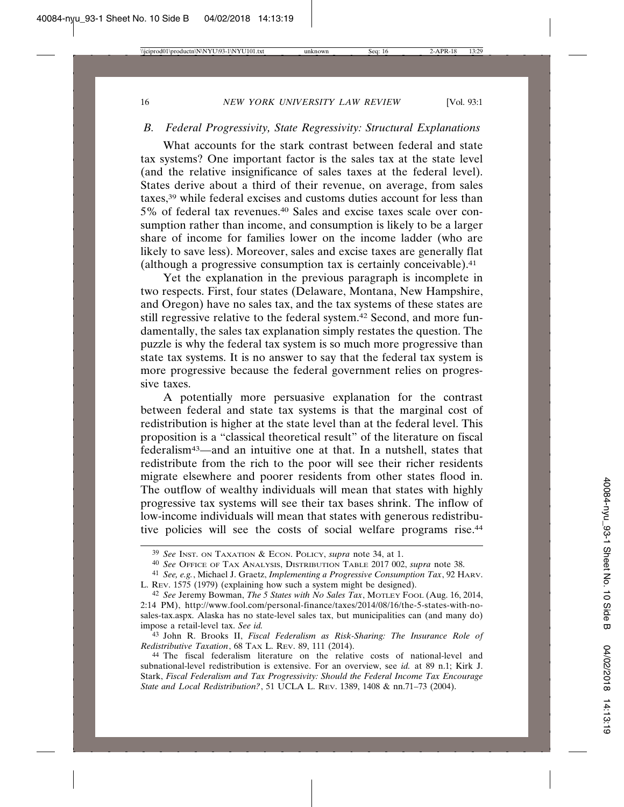#### *B. Federal Progressivity, State Regressivity: Structural Explanations*

What accounts for the stark contrast between federal and state tax systems? One important factor is the sales tax at the state level (and the relative insignificance of sales taxes at the federal level). States derive about a third of their revenue, on average, from sales taxes,39 while federal excises and customs duties account for less than 5% of federal tax revenues.40 Sales and excise taxes scale over consumption rather than income, and consumption is likely to be a larger share of income for families lower on the income ladder (who are likely to save less). Moreover, sales and excise taxes are generally flat (although a progressive consumption tax is certainly conceivable).41

Yet the explanation in the previous paragraph is incomplete in two respects. First, four states (Delaware, Montana, New Hampshire, and Oregon) have no sales tax, and the tax systems of these states are still regressive relative to the federal system.42 Second, and more fundamentally, the sales tax explanation simply restates the question. The puzzle is why the federal tax system is so much more progressive than state tax systems. It is no answer to say that the federal tax system is more progressive because the federal government relies on progressive taxes.

A potentially more persuasive explanation for the contrast between federal and state tax systems is that the marginal cost of redistribution is higher at the state level than at the federal level. This proposition is a "classical theoretical result" of the literature on fiscal federalism43—and an intuitive one at that. In a nutshell, states that redistribute from the rich to the poor will see their richer residents migrate elsewhere and poorer residents from other states flood in. The outflow of wealthy individuals will mean that states with highly progressive tax systems will see their tax bases shrink. The inflow of low-income individuals will mean that states with generous redistributive policies will see the costs of social welfare programs rise.44

43 John R. Brooks II, *Fiscal Federalism as Risk-Sharing: The Insurance Role of Redistributive Taxation*, 68 TAX L. REV. 89, 111 (2014).

44 The fiscal federalism literature on the relative costs of national-level and subnational-level redistribution is extensive. For an overview, see *id.* at 89 n.1; Kirk J. Stark, *Fiscal Federalism and Tax Progressivity: Should the Federal Income Tax Encourage State and Local Redistribution?*, 51 UCLA L. REV. 1389, 1408 & nn.71–73 (2004).

<sup>39</sup> *See* INST. ON TAXATION & ECON. POLICY, *supra* note 34, at 1.

<sup>40</sup> *See* OFFICE OF TAX ANALYSIS, DISTRIBUTION TABLE 2017 002, *supra* note 38.

<sup>41</sup> *See, e.g.*, Michael J. Graetz, *Implementing a Progressive Consumption Tax*, 92 HARV. L. REV. 1575 (1979) (explaining how such a system might be designed).

<sup>42</sup> *See* Jeremy Bowman, *The 5 States with No Sales Tax*, MOTLEY FOOL (Aug. 16, 2014, 2:14 PM), http://www.fool.com/personal-finance/taxes/2014/08/16/the-5-states-with-nosales-tax.aspx. Alaska has no state-level sales tax, but municipalities can (and many do) impose a retail-level tax. *See id.*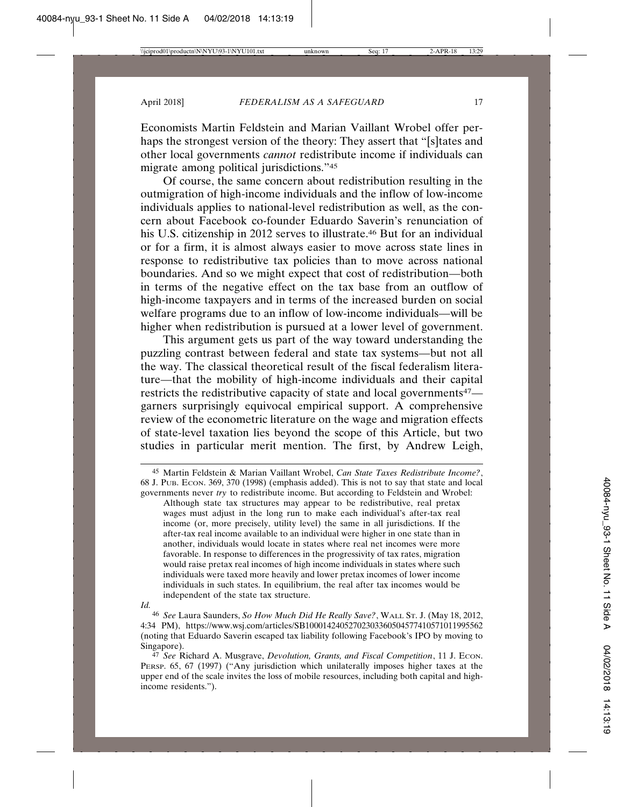Economists Martin Feldstein and Marian Vaillant Wrobel offer perhaps the strongest version of the theory: They assert that "[s]tates and other local governments *cannot* redistribute income if individuals can migrate among political jurisdictions."45

Of course, the same concern about redistribution resulting in the outmigration of high-income individuals and the inflow of low-income individuals applies to national-level redistribution as well, as the concern about Facebook co-founder Eduardo Saverin's renunciation of his U.S. citizenship in 2012 serves to illustrate.<sup>46</sup> But for an individual or for a firm, it is almost always easier to move across state lines in response to redistributive tax policies than to move across national boundaries. And so we might expect that cost of redistribution—both in terms of the negative effect on the tax base from an outflow of high-income taxpayers and in terms of the increased burden on social welfare programs due to an inflow of low-income individuals—will be higher when redistribution is pursued at a lower level of government.

This argument gets us part of the way toward understanding the puzzling contrast between federal and state tax systems—but not all the way. The classical theoretical result of the fiscal federalism literature—that the mobility of high-income individuals and their capital restricts the redistributive capacity of state and local governments<sup>47</sup> garners surprisingly equivocal empirical support. A comprehensive review of the econometric literature on the wage and migration effects of state-level taxation lies beyond the scope of this Article, but two studies in particular merit mention. The first, by Andrew Leigh,

<sup>45</sup> Martin Feldstein & Marian Vaillant Wrobel, *Can State Taxes Redistribute Income?*, 68 J. PUB. ECON. 369, 370 (1998) (emphasis added). This is not to say that state and local governments never *try* to redistribute income. But according to Feldstein and Wrobel: Although state tax structures may appear to be redistributive, real pretax wages must adjust in the long run to make each individual's after-tax real income (or, more precisely, utility level) the same in all jurisdictions. If the after-tax real income available to an individual were higher in one state than in another, individuals would locate in states where real net incomes were more favorable. In response to differences in the progressivity of tax rates, migration would raise pretax real incomes of high income individuals in states where such individuals were taxed more heavily and lower pretax incomes of lower income individuals in such states. In equilibrium, the real after tax incomes would be independent of the state tax structure.

*Id.*

<sup>46</sup> *See* Laura Saunders, *So How Much Did He Really Save?*, WALL ST. J. (May 18, 2012, 4:34 PM), https://www.wsj.com/articles/SB10001424052702303360504577410571011995562 (noting that Eduardo Saverin escaped tax liability following Facebook's IPO by moving to Singapore).

<sup>47</sup> *See* Richard A. Musgrave, *Devolution, Grants, and Fiscal Competition*, 11 J. ECON. PERSP. 65, 67 (1997) ("Any jurisdiction which unilaterally imposes higher taxes at the upper end of the scale invites the loss of mobile resources, including both capital and highincome residents.").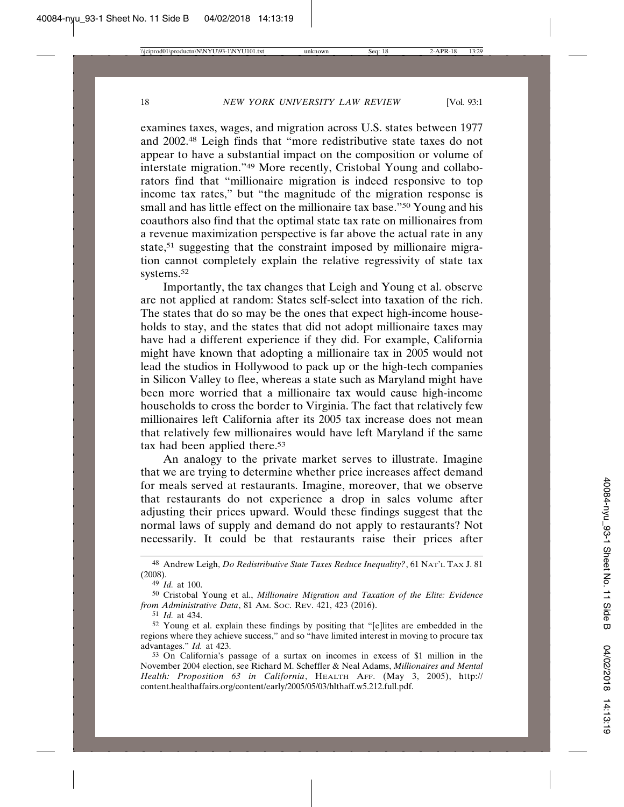examines taxes, wages, and migration across U.S. states between 1977 and 2002.48 Leigh finds that "more redistributive state taxes do not appear to have a substantial impact on the composition or volume of interstate migration."49 More recently, Cristobal Young and collaborators find that "millionaire migration is indeed responsive to top income tax rates," but "the magnitude of the migration response is small and has little effect on the millionaire tax base."50 Young and his coauthors also find that the optimal state tax rate on millionaires from a revenue maximization perspective is far above the actual rate in any state,<sup>51</sup> suggesting that the constraint imposed by millionaire migration cannot completely explain the relative regressivity of state tax systems.52

Importantly, the tax changes that Leigh and Young et al. observe are not applied at random: States self-select into taxation of the rich. The states that do so may be the ones that expect high-income households to stay, and the states that did not adopt millionaire taxes may have had a different experience if they did. For example, California might have known that adopting a millionaire tax in 2005 would not lead the studios in Hollywood to pack up or the high-tech companies in Silicon Valley to flee, whereas a state such as Maryland might have been more worried that a millionaire tax would cause high-income households to cross the border to Virginia. The fact that relatively few millionaires left California after its 2005 tax increase does not mean that relatively few millionaires would have left Maryland if the same tax had been applied there.<sup>53</sup>

An analogy to the private market serves to illustrate. Imagine that we are trying to determine whether price increases affect demand for meals served at restaurants. Imagine, moreover, that we observe that restaurants do not experience a drop in sales volume after adjusting their prices upward. Would these findings suggest that the normal laws of supply and demand do not apply to restaurants? Not necessarily. It could be that restaurants raise their prices after

51 *Id.* at 434.

<sup>48</sup> Andrew Leigh, *Do Redistributive State Taxes Reduce Inequality?*, 61 NAT'L TAX J. 81 (2008).

<sup>49</sup> *Id.* at 100.

<sup>50</sup> Cristobal Young et al., *Millionaire Migration and Taxation of the Elite: Evidence from Administrative Data*, 81 AM. SOC. REV. 421, 423 (2016).

<sup>52</sup> Young et al. explain these findings by positing that "[e]lites are embedded in the regions where they achieve success," and so "have limited interest in moving to procure tax advantages." *Id.* at 423.

<sup>53</sup> On California's passage of a surtax on incomes in excess of \$1 million in the November 2004 election, see Richard M. Scheffler & Neal Adams, *Millionaires and Mental Health: Proposition 63 in California*, HEALTH AFF. (May 3, 2005), http:// content.healthaffairs.org/content/early/2005/05/03/hlthaff.w5.212.full.pdf.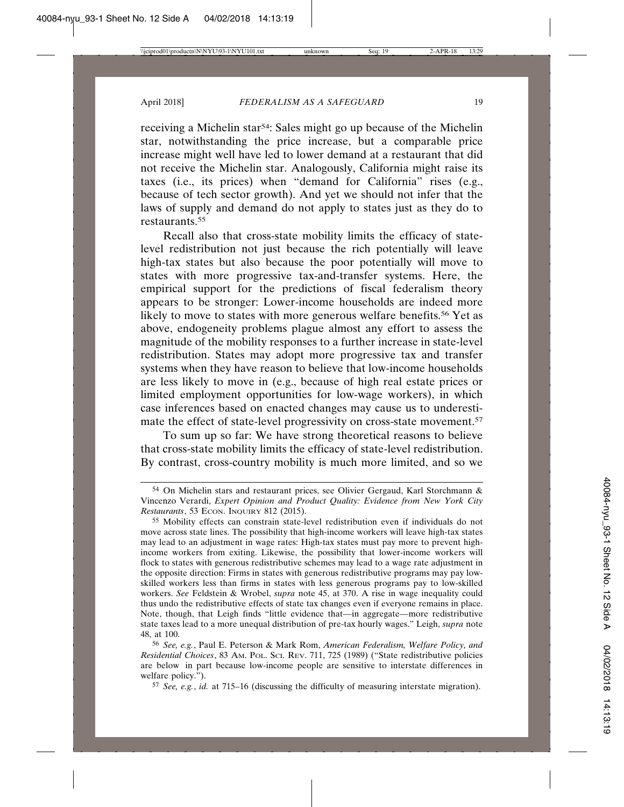receiving a Michelin star54: Sales might go up because of the Michelin star, notwithstanding the price increase, but a comparable price increase might well have led to lower demand at a restaurant that did not receive the Michelin star. Analogously, California might raise its taxes (i.e., its prices) when "demand for California" rises (e.g., because of tech sector growth). And yet we should not infer that the laws of supply and demand do not apply to states just as they do to restaurants.55

Recall also that cross-state mobility limits the efficacy of statelevel redistribution not just because the rich potentially will leave high-tax states but also because the poor potentially will move to states with more progressive tax-and-transfer systems. Here, the empirical support for the predictions of fiscal federalism theory appears to be stronger: Lower-income households are indeed more likely to move to states with more generous welfare benefits.<sup>56</sup> Yet as above, endogeneity problems plague almost any effort to assess the magnitude of the mobility responses to a further increase in state-level redistribution. States may adopt more progressive tax and transfer systems when they have reason to believe that low-income households are less likely to move in (e.g., because of high real estate prices or limited employment opportunities for low-wage workers), in which case inferences based on enacted changes may cause us to underestimate the effect of state-level progressivity on cross-state movement.<sup>57</sup>

To sum up so far: We have strong theoretical reasons to believe that cross-state mobility limits the efficacy of state-level redistribution. By contrast, cross-country mobility is much more limited, and so we

57 *See, e.g.*, *id.* at 715–16 (discussing the difficulty of measuring interstate migration).

<sup>54</sup> On Michelin stars and restaurant prices, see Olivier Gergaud, Karl Storchmann & Vincenzo Verardi, *Expert Opinion and Product Quality: Evidence from New York City Restaurants*, 53 ECON. INQUIRY 812 (2015).

<sup>55</sup> Mobility effects can constrain state-level redistribution even if individuals do not move across state lines. The possibility that high-income workers will leave high-tax states may lead to an adjustment in wage rates: High-tax states must pay more to prevent highincome workers from exiting. Likewise, the possibility that lower-income workers will flock to states with generous redistributive schemes may lead to a wage rate adjustment in the opposite direction: Firms in states with generous redistributive programs may pay lowskilled workers less than firms in states with less generous programs pay to low-skilled workers. *See* Feldstein & Wrobel, *supra* note 45, at 370. A rise in wage inequality could thus undo the redistributive effects of state tax changes even if everyone remains in place. Note, though, that Leigh finds "little evidence that—in aggregate—more redistributive state taxes lead to a more unequal distribution of pre-tax hourly wages." Leigh, *supra* note 48, at 100.

<sup>56</sup> *See, e.g.*, Paul E. Peterson & Mark Rom, *American Federalism, Welfare Policy, and Residential Choices*, 83 AM. POL. SCI. REV. 711, 725 (1989) ("State redistributive policies are below in part because low-income people are sensitive to interstate differences in welfare policy.").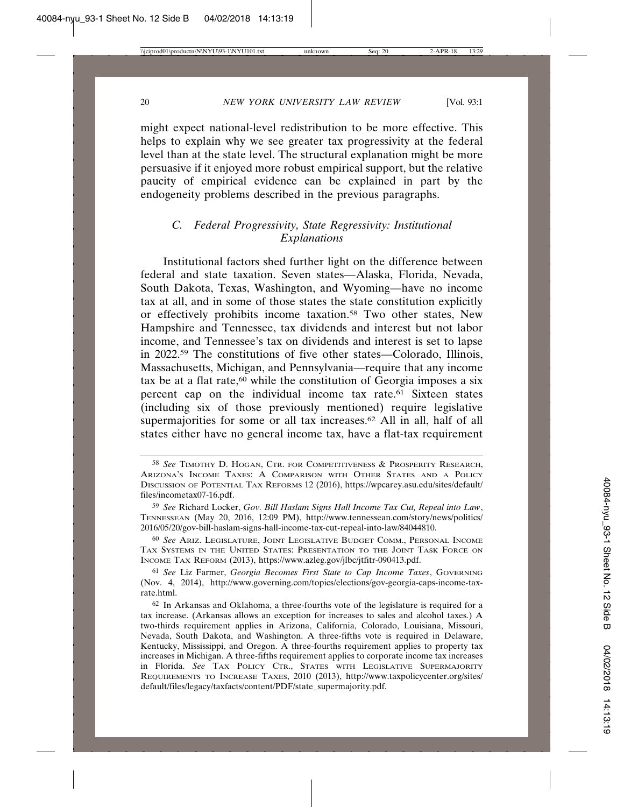might expect national-level redistribution to be more effective. This helps to explain why we see greater tax progressivity at the federal level than at the state level. The structural explanation might be more persuasive if it enjoyed more robust empirical support, but the relative paucity of empirical evidence can be explained in part by the endogeneity problems described in the previous paragraphs.

#### *C. Federal Progressivity, State Regressivity: Institutional Explanations*

Institutional factors shed further light on the difference between federal and state taxation. Seven states—Alaska, Florida, Nevada, South Dakota, Texas, Washington, and Wyoming—have no income tax at all, and in some of those states the state constitution explicitly or effectively prohibits income taxation.58 Two other states, New Hampshire and Tennessee, tax dividends and interest but not labor income, and Tennessee's tax on dividends and interest is set to lapse in 2022.59 The constitutions of five other states—Colorado, Illinois, Massachusetts, Michigan, and Pennsylvania—require that any income tax be at a flat rate,<sup>60</sup> while the constitution of Georgia imposes a six percent cap on the individual income tax rate.61 Sixteen states (including six of those previously mentioned) require legislative supermajorities for some or all tax increases.<sup>62</sup> All in all, half of all states either have no general income tax, have a flat-tax requirement

60 *See* ARIZ. LEGISLATURE, JOINT LEGISLATIVE BUDGET COMM., PERSONAL INCOME TAX SYSTEMS IN THE UNITED STATES: PRESENTATION TO THE JOINT TASK FORCE ON INCOME TAX REFORM (2013), https://www.azleg.gov/jlbc/jtfitr-090413.pdf.

61 *See* Liz Farmer, *Georgia Becomes First State to Cap Income Taxes*, GOVERNING (Nov. 4, 2014), http://www.governing.com/topics/elections/gov-georgia-caps-income-taxrate.html.

62 In Arkansas and Oklahoma, a three-fourths vote of the legislature is required for a tax increase. (Arkansas allows an exception for increases to sales and alcohol taxes.) A two-thirds requirement applies in Arizona, California, Colorado, Louisiana, Missouri, Nevada, South Dakota, and Washington. A three-fifths vote is required in Delaware, Kentucky, Mississippi, and Oregon. A three-fourths requirement applies to property tax increases in Michigan. A three-fifths requirement applies to corporate income tax increases in Florida. *See* TAX POLICY CTR., STATES WITH LEGISLATIVE SUPERMAJORITY REQUIREMENTS TO INCREASE TAXES, 2010 (2013), http://www.taxpolicycenter.org/sites/ default/files/legacy/taxfacts/content/PDF/state\_supermajority.pdf.

<sup>58</sup> *See* TIMOTHY D. HOGAN, CTR. FOR COMPETITIVENESS & PROSPERITY RESEARCH, ARIZONA'S INCOME TAXES: A COMPARISON WITH OTHER STATES AND A POLICY DISCUSSION OF POTENTIAL TAX REFORMS 12 (2016), https://wpcarey.asu.edu/sites/default/ files/incometax07-16.pdf.

<sup>59</sup> *See* Richard Locker, *Gov. Bill Haslam Signs Hall Income Tax Cut, Repeal into Law*, TENNESSEAN (May 20, 2016, 12:09 PM), http://www.tennessean.com/story/news/politics/ 2016/05/20/gov-bill-haslam-signs-hall-income-tax-cut-repeal-into-law/84044810.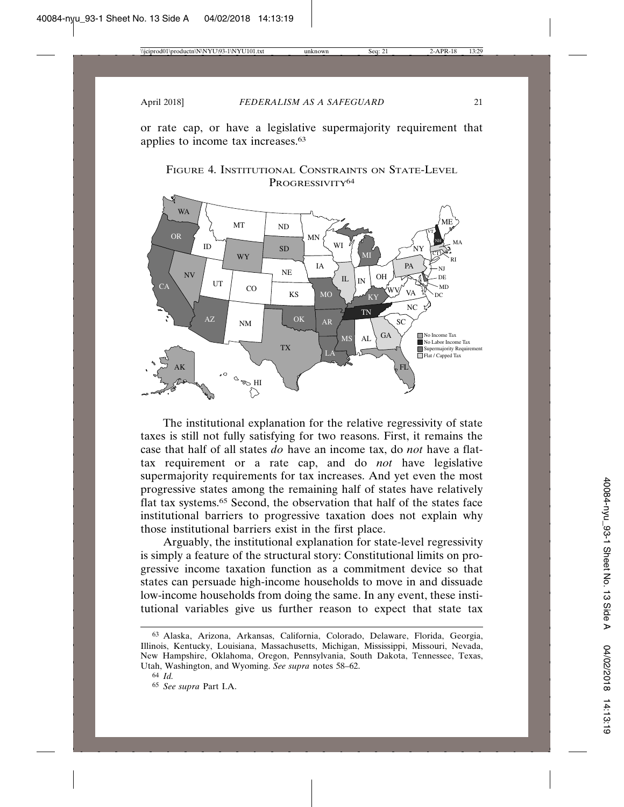or rate cap, or have a legislative supermajority requirement that applies to income tax increases.63





The institutional explanation for the relative regressivity of state taxes is still not fully satisfying for two reasons. First, it remains the case that half of all states *do* have an income tax, do *not* have a flattax requirement or a rate cap, and do *not* have legislative supermajority requirements for tax increases. And yet even the most progressive states among the remaining half of states have relatively flat tax systems.65 Second, the observation that half of the states face institutional barriers to progressive taxation does not explain why those institutional barriers exist in the first place.

Arguably, the institutional explanation for state-level regressivity is simply a feature of the structural story: Constitutional limits on progressive income taxation function as a commitment device so that states can persuade high-income households to move in and dissuade low-income households from doing the same. In any event, these institutional variables give us further reason to expect that state tax

<sup>63</sup> Alaska, Arizona, Arkansas, California, Colorado, Delaware, Florida, Georgia, Illinois, Kentucky, Louisiana, Massachusetts, Michigan, Mississippi, Missouri, Nevada, New Hampshire, Oklahoma, Oregon, Pennsylvania, South Dakota, Tennessee, Texas, Utah, Washington, and Wyoming. *See supra* notes 58–62.

<sup>64</sup> *Id.*

<sup>65</sup> *See supra* Part I.A.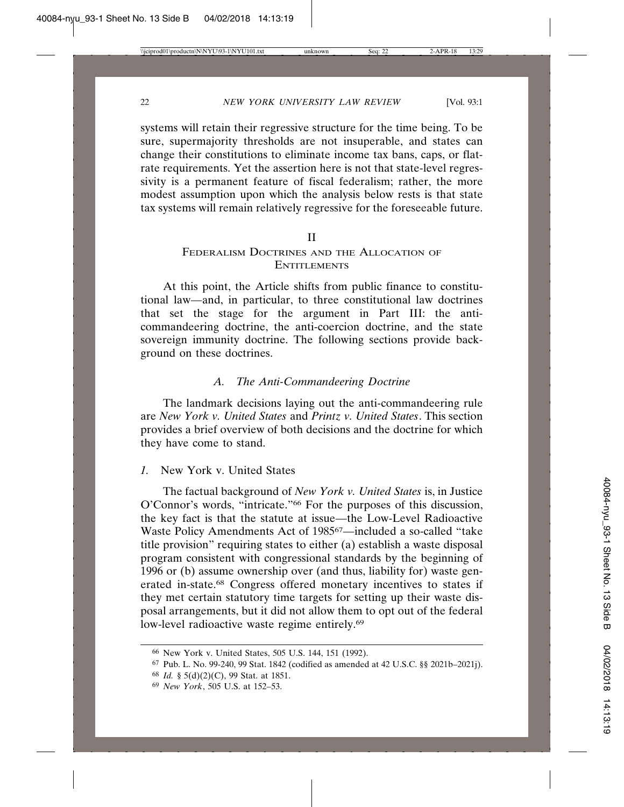systems will retain their regressive structure for the time being. To be sure, supermajority thresholds are not insuperable, and states can change their constitutions to eliminate income tax bans, caps, or flatrate requirements. Yet the assertion here is not that state-level regressivity is a permanent feature of fiscal federalism; rather, the more modest assumption upon which the analysis below rests is that state tax systems will remain relatively regressive for the foreseeable future.

#### II

#### FEDERALISM DOCTRINES AND THE ALLOCATION OF **ENTITLEMENTS**

At this point, the Article shifts from public finance to constitutional law—and, in particular, to three constitutional law doctrines that set the stage for the argument in Part III: the anticommandeering doctrine, the anti-coercion doctrine, and the state sovereign immunity doctrine. The following sections provide background on these doctrines.

#### *A. The Anti-Commandeering Doctrine*

The landmark decisions laying out the anti-commandeering rule are *New York v. United States* and *Printz v. United States*. This section provides a brief overview of both decisions and the doctrine for which they have come to stand.

#### *1.* New York v. United States

The factual background of *New York v. United States* is, in Justice O'Connor's words, "intricate."66 For the purposes of this discussion, the key fact is that the statute at issue—the Low-Level Radioactive Waste Policy Amendments Act of 198567—included a so-called "take title provision" requiring states to either (a) establish a waste disposal program consistent with congressional standards by the beginning of 1996 or (b) assume ownership over (and thus, liability for) waste generated in-state.68 Congress offered monetary incentives to states if they met certain statutory time targets for setting up their waste disposal arrangements, but it did not allow them to opt out of the federal low-level radioactive waste regime entirely.<sup>69</sup>

<sup>66</sup> New York v. United States, 505 U.S. 144, 151 (1992).

<sup>67</sup> Pub. L. No. 99-240, 99 Stat. 1842 (codified as amended at 42 U.S.C. §§ 2021b–2021j).

<sup>68</sup> *Id.* § 5(d)(2)(C), 99 Stat. at 1851.

<sup>69</sup> *New York*, 505 U.S. at 152–53.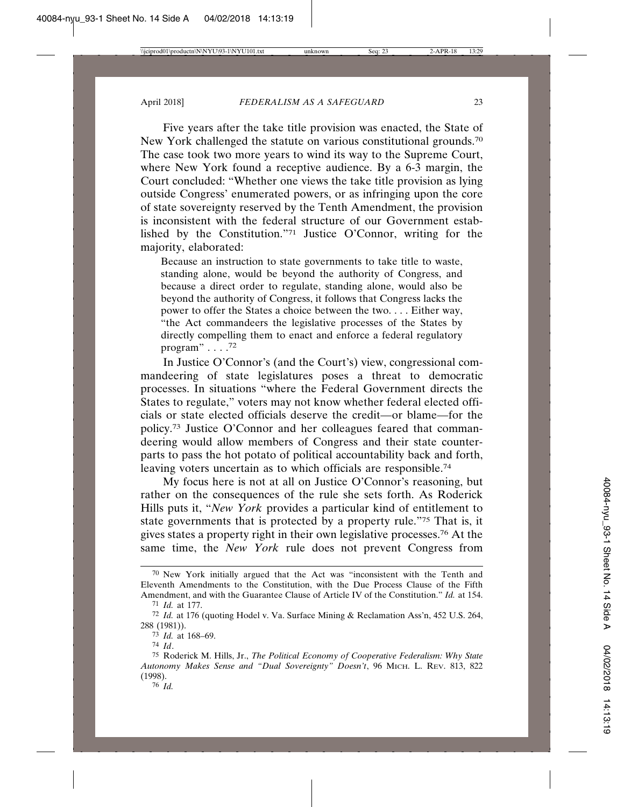Five years after the take title provision was enacted, the State of New York challenged the statute on various constitutional grounds.<sup>70</sup> The case took two more years to wind its way to the Supreme Court, where New York found a receptive audience. By a 6-3 margin, the Court concluded: "Whether one views the take title provision as lying outside Congress' enumerated powers, or as infringing upon the core of state sovereignty reserved by the Tenth Amendment, the provision is inconsistent with the federal structure of our Government established by the Constitution."71 Justice O'Connor, writing for the majority, elaborated:

Because an instruction to state governments to take title to waste, standing alone, would be beyond the authority of Congress, and because a direct order to regulate, standing alone, would also be beyond the authority of Congress, it follows that Congress lacks the power to offer the States a choice between the two. . . . Either way, "the Act commandeers the legislative processes of the States by directly compelling them to enact and enforce a federal regulatory program"  $\ldots$ .<sup>72</sup>

In Justice O'Connor's (and the Court's) view, congressional commandeering of state legislatures poses a threat to democratic processes. In situations "where the Federal Government directs the States to regulate," voters may not know whether federal elected officials or state elected officials deserve the credit—or blame—for the policy.73 Justice O'Connor and her colleagues feared that commandeering would allow members of Congress and their state counterparts to pass the hot potato of political accountability back and forth, leaving voters uncertain as to which officials are responsible.74

My focus here is not at all on Justice O'Connor's reasoning, but rather on the consequences of the rule she sets forth. As Roderick Hills puts it, "*New York* provides a particular kind of entitlement to state governments that is protected by a property rule."75 That is, it gives states a property right in their own legislative processes.76 At the same time, the *New York* rule does not prevent Congress from

<sup>70</sup> New York initially argued that the Act was "inconsistent with the Tenth and Eleventh Amendments to the Constitution, with the Due Process Clause of the Fifth Amendment, and with the Guarantee Clause of Article IV of the Constitution." *Id.* at 154.

<sup>71</sup> *Id.* at 177.

<sup>72</sup> *Id.* at 176 (quoting Hodel v. Va. Surface Mining & Reclamation Ass'n, 452 U.S. 264, 288 (1981)).

<sup>73</sup> *Id.* at 168–69.

<sup>74</sup> *Id*.

<sup>75</sup> Roderick M. Hills, Jr., *The Political Economy of Cooperative Federalism: Why State Autonomy Makes Sense and "Dual Sovereignty" Doesn't*, 96 MICH. L. REV. 813, 822 (1998).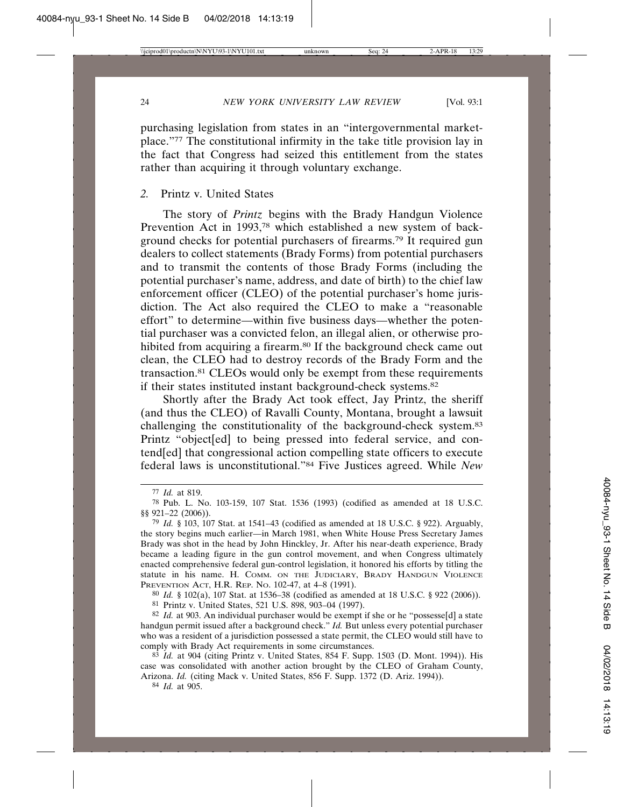purchasing legislation from states in an "intergovernmental marketplace."77 The constitutional infirmity in the take title provision lay in the fact that Congress had seized this entitlement from the states rather than acquiring it through voluntary exchange.

#### *2.* Printz v. United States

The story of *Printz* begins with the Brady Handgun Violence Prevention Act in 1993,<sup>78</sup> which established a new system of background checks for potential purchasers of firearms.79 It required gun dealers to collect statements (Brady Forms) from potential purchasers and to transmit the contents of those Brady Forms (including the potential purchaser's name, address, and date of birth) to the chief law enforcement officer (CLEO) of the potential purchaser's home jurisdiction. The Act also required the CLEO to make a "reasonable effort" to determine—within five business days—whether the potential purchaser was a convicted felon, an illegal alien, or otherwise prohibited from acquiring a firearm.<sup>80</sup> If the background check came out clean, the CLEO had to destroy records of the Brady Form and the transaction.81 CLEOs would only be exempt from these requirements if their states instituted instant background-check systems.82

Shortly after the Brady Act took effect, Jay Printz, the sheriff (and thus the CLEO) of Ravalli County, Montana, brought a lawsuit challenging the constitutionality of the background-check system.83 Printz "object[ed] to being pressed into federal service, and contend[ed] that congressional action compelling state officers to execute federal laws is unconstitutional."84 Five Justices agreed. While *New*

80 *Id.* § 102(a), 107 Stat. at 1536–38 (codified as amended at 18 U.S.C. § 922 (2006)). 81 Printz v. United States, 521 U.S. 898, 903–04 (1997).

82 *Id.* at 903. An individual purchaser would be exempt if she or he "possesse[d] a state handgun permit issued after a background check." *Id.* But unless every potential purchaser who was a resident of a jurisdiction possessed a state permit, the CLEO would still have to comply with Brady Act requirements in some circumstances.

83 *Id.* at 904 (citing Printz v. United States, 854 F. Supp. 1503 (D. Mont. 1994)). His case was consolidated with another action brought by the CLEO of Graham County, Arizona. *Id.* (citing Mack v. United States, 856 F. Supp. 1372 (D. Ariz. 1994)).

84 *Id.* at 905.

<sup>77</sup> *Id.* at 819.

<sup>78</sup> Pub. L. No. 103-159, 107 Stat. 1536 (1993) (codified as amended at 18 U.S.C. §§ 921–22 (2006)).

<sup>79</sup> *Id.* § 103, 107 Stat. at 1541–43 (codified as amended at 18 U.S.C. § 922). Arguably, the story begins much earlier—in March 1981, when White House Press Secretary James Brady was shot in the head by John Hinckley, Jr. After his near-death experience, Brady became a leading figure in the gun control movement, and when Congress ultimately enacted comprehensive federal gun-control legislation, it honored his efforts by titling the statute in his name. H. COMM. ON THE JUDICIARY, BRADY HANDGUN VIOLENCE PREVENTION ACT, H.R. REP. NO. 102-47, at 4–8 (1991).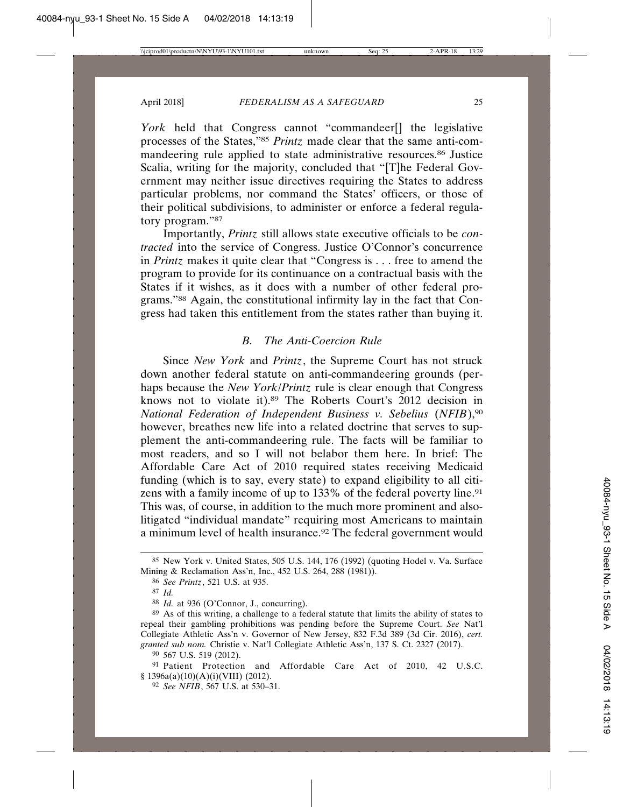*York* held that Congress cannot "commandeer[] the legislative processes of the States,"85 *Printz* made clear that the same anti-commandeering rule applied to state administrative resources.86 Justice Scalia, writing for the majority, concluded that "[T]he Federal Government may neither issue directives requiring the States to address particular problems, nor command the States' officers, or those of their political subdivisions, to administer or enforce a federal regulatory program."87

Importantly, *Printz* still allows state executive officials to be *contracted* into the service of Congress. Justice O'Connor's concurrence in *Printz* makes it quite clear that "Congress is . . . free to amend the program to provide for its continuance on a contractual basis with the States if it wishes, as it does with a number of other federal programs."88 Again, the constitutional infirmity lay in the fact that Congress had taken this entitlement from the states rather than buying it.

#### *B. The Anti-Coercion Rule*

Since *New York* and *Printz*, the Supreme Court has not struck down another federal statute on anti-commandeering grounds (perhaps because the *New York*/*Printz* rule is clear enough that Congress knows not to violate it).89 The Roberts Court's 2012 decision in *National Federation of Independent Business v. Sebelius* (*NFIB*),90 however, breathes new life into a related doctrine that serves to supplement the anti-commandeering rule. The facts will be familiar to most readers, and so I will not belabor them here. In brief: The Affordable Care Act of 2010 required states receiving Medicaid funding (which is to say, every state) to expand eligibility to all citizens with a family income of up to 133% of the federal poverty line.<sup>91</sup> This was, of course, in addition to the much more prominent and alsolitigated "individual mandate" requiring most Americans to maintain a minimum level of health insurance.92 The federal government would

90 567 U.S. 519 (2012).

91 Patient Protection and Affordable Care Act of 2010, 42 U.S.C. § 1396a(a)(10)(A)(i)(VIII) (2012).

92 *See NFIB*, 567 U.S. at 530–31.

<sup>85</sup> New York v. United States, 505 U.S. 144, 176 (1992) (quoting Hodel v. Va. Surface Mining & Reclamation Ass'n, Inc., 452 U.S. 264, 288 (1981)).

<sup>86</sup> *See Printz*, 521 U.S. at 935.

<sup>87</sup> *Id.*

<sup>88</sup> *Id.* at 936 (O'Connor, J., concurring).

<sup>89</sup> As of this writing, a challenge to a federal statute that limits the ability of states to repeal their gambling prohibitions was pending before the Supreme Court. *See* Nat'l Collegiate Athletic Ass'n v. Governor of New Jersey, 832 F.3d 389 (3d Cir. 2016), *cert. granted sub nom.* Christie v. Nat'l Collegiate Athletic Ass'n, 137 S. Ct. 2327 (2017).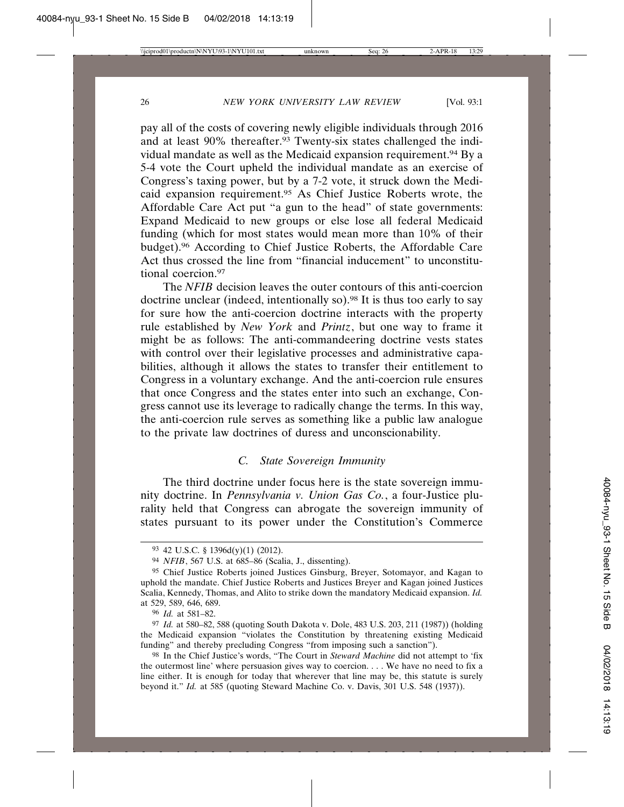pay all of the costs of covering newly eligible individuals through 2016 and at least 90% thereafter.<sup>93</sup> Twenty-six states challenged the individual mandate as well as the Medicaid expansion requirement.<sup>94</sup> By a 5-4 vote the Court upheld the individual mandate as an exercise of Congress's taxing power, but by a 7-2 vote, it struck down the Medicaid expansion requirement.95 As Chief Justice Roberts wrote, the Affordable Care Act put "a gun to the head" of state governments: Expand Medicaid to new groups or else lose all federal Medicaid funding (which for most states would mean more than 10% of their budget).96 According to Chief Justice Roberts, the Affordable Care Act thus crossed the line from "financial inducement" to unconstitutional coercion.97

The *NFIB* decision leaves the outer contours of this anti-coercion doctrine unclear (indeed, intentionally so).98 It is thus too early to say for sure how the anti-coercion doctrine interacts with the property rule established by *New York* and *Printz*, but one way to frame it might be as follows: The anti-commandeering doctrine vests states with control over their legislative processes and administrative capabilities, although it allows the states to transfer their entitlement to Congress in a voluntary exchange. And the anti-coercion rule ensures that once Congress and the states enter into such an exchange, Congress cannot use its leverage to radically change the terms. In this way, the anti-coercion rule serves as something like a public law analogue to the private law doctrines of duress and unconscionability.

#### *C. State Sovereign Immunity*

The third doctrine under focus here is the state sovereign immunity doctrine. In *Pennsylvania v. Union Gas Co.*, a four-Justice plurality held that Congress can abrogate the sovereign immunity of states pursuant to its power under the Constitution's Commerce

96 *Id.* at 581–82.

<sup>93</sup> 42 U.S.C. § 1396d(y)(1) (2012).

<sup>94</sup> *NFIB*, 567 U.S. at 685–86 (Scalia, J., dissenting).

<sup>95</sup> Chief Justice Roberts joined Justices Ginsburg, Breyer, Sotomayor, and Kagan to uphold the mandate. Chief Justice Roberts and Justices Breyer and Kagan joined Justices Scalia, Kennedy, Thomas, and Alito to strike down the mandatory Medicaid expansion. *Id.* at 529, 589, 646, 689.

<sup>97</sup> *Id.* at 580–82, 588 (quoting South Dakota v. Dole, 483 U.S. 203, 211 (1987)) (holding the Medicaid expansion "violates the Constitution by threatening existing Medicaid funding" and thereby precluding Congress "from imposing such a sanction").

<sup>98</sup> In the Chief Justice's words, "The Court in *Steward Machine* did not attempt to 'fix the outermost line' where persuasion gives way to coercion. . . . We have no need to fix a line either. It is enough for today that wherever that line may be, this statute is surely beyond it." *Id.* at 585 (quoting Steward Machine Co. v. Davis, 301 U.S. 548 (1937)).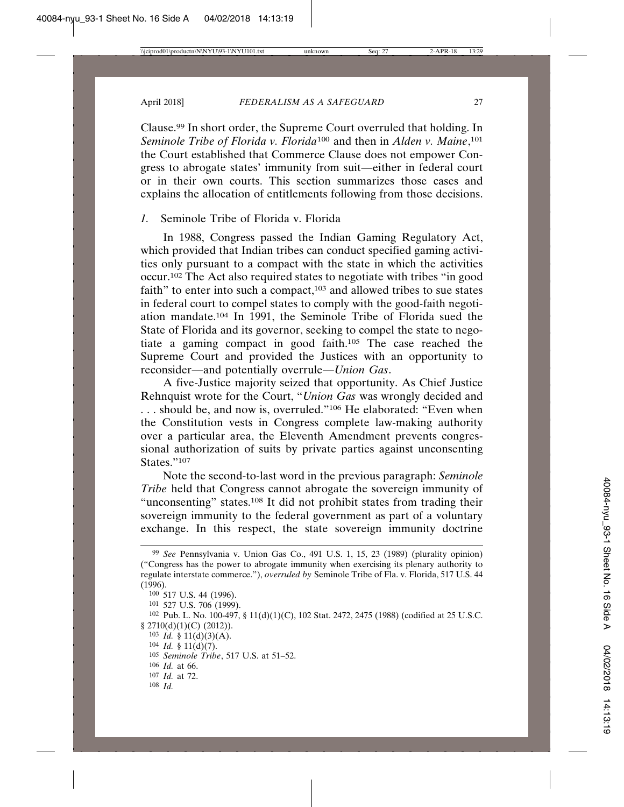Clause.99 In short order, the Supreme Court overruled that holding. In *Seminole Tribe of Florida v. Florida*100 and then in *Alden v. Maine*, 101 the Court established that Commerce Clause does not empower Congress to abrogate states' immunity from suit—either in federal court or in their own courts. This section summarizes those cases and explains the allocation of entitlements following from those decisions.

#### *1.* Seminole Tribe of Florida v. Florida

In 1988, Congress passed the Indian Gaming Regulatory Act, which provided that Indian tribes can conduct specified gaming activities only pursuant to a compact with the state in which the activities occur.102 The Act also required states to negotiate with tribes "in good faith" to enter into such a compact,103 and allowed tribes to sue states in federal court to compel states to comply with the good-faith negotiation mandate.104 In 1991, the Seminole Tribe of Florida sued the State of Florida and its governor, seeking to compel the state to negotiate a gaming compact in good faith.105 The case reached the Supreme Court and provided the Justices with an opportunity to reconsider—and potentially overrule—*Union Gas*.

A five-Justice majority seized that opportunity. As Chief Justice Rehnquist wrote for the Court, "*Union Gas* was wrongly decided and . . . should be, and now is, overruled."106 He elaborated: "Even when the Constitution vests in Congress complete law-making authority over a particular area, the Eleventh Amendment prevents congressional authorization of suits by private parties against unconsenting States."107

Note the second-to-last word in the previous paragraph: *Seminole Tribe* held that Congress cannot abrogate the sovereign immunity of "unconsenting" states.<sup>108</sup> It did not prohibit states from trading their sovereign immunity to the federal government as part of a voluntary exchange. In this respect, the state sovereign immunity doctrine

- 103 *Id.* § 11(d)(3)(A).
- 104 *Id.* § 11(d)(7).
- 105 *Seminole Tribe*, 517 U.S. at 51–52.
- 106 *Id.* at 66.
- 107 *Id.* at 72.
- 108 *Id.*

<sup>99</sup> *See* Pennsylvania v. Union Gas Co., 491 U.S. 1, 15, 23 (1989) (plurality opinion) ("Congress has the power to abrogate immunity when exercising its plenary authority to regulate interstate commerce."), *overruled by* Seminole Tribe of Fla. v. Florida, 517 U.S. 44 (1996).

<sup>100</sup> 517 U.S. 44 (1996).

<sup>101</sup> 527 U.S. 706 (1999).

<sup>102</sup> Pub. L. No. 100-497, § 11(d)(1)(C), 102 Stat. 2472, 2475 (1988) (codified at 25 U.S.C.  $$ 2710(d)(1)(C) (2012)$ .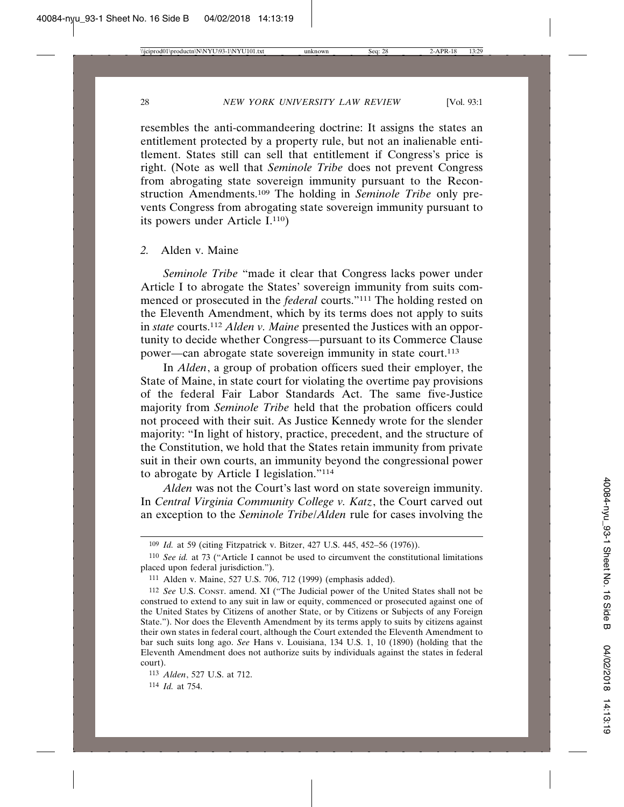resembles the anti-commandeering doctrine: It assigns the states an entitlement protected by a property rule, but not an inalienable entitlement. States still can sell that entitlement if Congress's price is right. (Note as well that *Seminole Tribe* does not prevent Congress from abrogating state sovereign immunity pursuant to the Reconstruction Amendments.109 The holding in *Seminole Tribe* only prevents Congress from abrogating state sovereign immunity pursuant to its powers under Article I.110)

#### *2.* Alden v. Maine

*Seminole Tribe* "made it clear that Congress lacks power under Article I to abrogate the States' sovereign immunity from suits commenced or prosecuted in the *federal* courts."111 The holding rested on the Eleventh Amendment, which by its terms does not apply to suits in *state* courts.112 *Alden v. Maine* presented the Justices with an opportunity to decide whether Congress—pursuant to its Commerce Clause power—can abrogate state sovereign immunity in state court.113

In *Alden*, a group of probation officers sued their employer, the State of Maine, in state court for violating the overtime pay provisions of the federal Fair Labor Standards Act. The same five-Justice majority from *Seminole Tribe* held that the probation officers could not proceed with their suit. As Justice Kennedy wrote for the slender majority: "In light of history, practice, precedent, and the structure of the Constitution, we hold that the States retain immunity from private suit in their own courts, an immunity beyond the congressional power to abrogate by Article I legislation."114

*Alden* was not the Court's last word on state sovereign immunity. In *Central Virginia Community College v. Katz*, the Court carved out an exception to the *Seminole Tribe*/*Alden* rule for cases involving the

<sup>109</sup> *Id.* at 59 (citing Fitzpatrick v. Bitzer, 427 U.S. 445, 452–56 (1976)).

<sup>110</sup> *See id.* at 73 ("Article I cannot be used to circumvent the constitutional limitations placed upon federal jurisdiction.").

<sup>111</sup> Alden v. Maine, 527 U.S. 706, 712 (1999) (emphasis added).

<sup>112</sup> *See* U.S. CONST. amend. XI ("The Judicial power of the United States shall not be construed to extend to any suit in law or equity, commenced or prosecuted against one of the United States by Citizens of another State, or by Citizens or Subjects of any Foreign State."). Nor does the Eleventh Amendment by its terms apply to suits by citizens against their own states in federal court, although the Court extended the Eleventh Amendment to bar such suits long ago. *See* Hans v. Louisiana, 134 U.S. 1, 10 (1890) (holding that the Eleventh Amendment does not authorize suits by individuals against the states in federal court).

<sup>113</sup> *Alden*, 527 U.S. at 712.

<sup>114</sup> *Id.* at 754.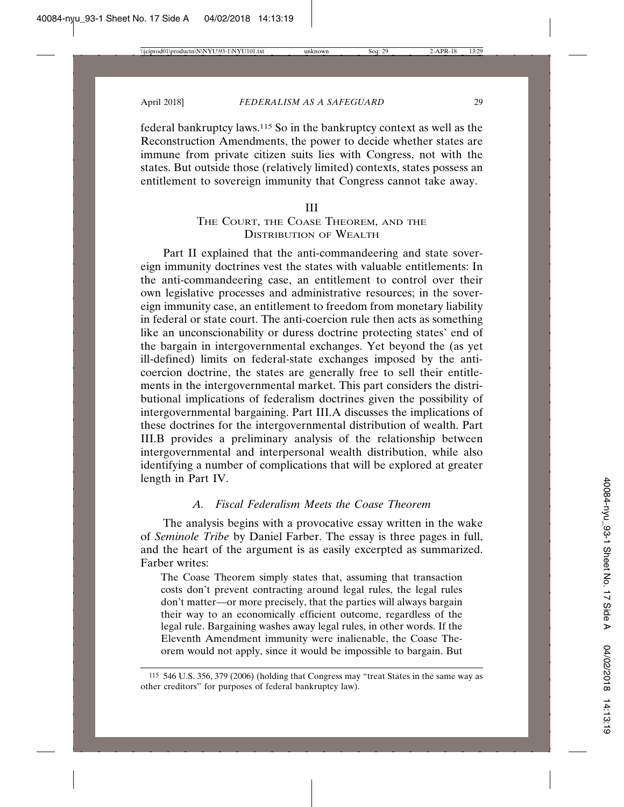federal bankruptcy laws.115 So in the bankruptcy context as well as the Reconstruction Amendments, the power to decide whether states are immune from private citizen suits lies with Congress, not with the states. But outside those (relatively limited) contexts, states possess an entitlement to sovereign immunity that Congress cannot take away.

#### III

#### THE COURT, THE COASE THEOREM, AND THE DISTRIBUTION OF WEALTH

Part II explained that the anti-commandeering and state sovereign immunity doctrines vest the states with valuable entitlements: In the anti-commandeering case, an entitlement to control over their own legislative processes and administrative resources; in the sovereign immunity case, an entitlement to freedom from monetary liability in federal or state court. The anti-coercion rule then acts as something like an unconscionability or duress doctrine protecting states' end of the bargain in intergovernmental exchanges. Yet beyond the (as yet ill-defined) limits on federal-state exchanges imposed by the anticoercion doctrine, the states are generally free to sell their entitlements in the intergovernmental market. This part considers the distributional implications of federalism doctrines given the possibility of intergovernmental bargaining. Part III.A discusses the implications of these doctrines for the intergovernmental distribution of wealth. Part III.B provides a preliminary analysis of the relationship between intergovernmental and interpersonal wealth distribution, while also identifying a number of complications that will be explored at greater length in Part IV.

#### *A. Fiscal Federalism Meets the Coase Theorem*

The analysis begins with a provocative essay written in the wake of *Seminole Tribe* by Daniel Farber. The essay is three pages in full, and the heart of the argument is as easily excerpted as summarized. Farber writes:

The Coase Theorem simply states that, assuming that transaction costs don't prevent contracting around legal rules, the legal rules don't matter—or more precisely, that the parties will always bargain their way to an economically efficient outcome, regardless of the legal rule. Bargaining washes away legal rules, in other words. If the Eleventh Amendment immunity were inalienable, the Coase Theorem would not apply, since it would be impossible to bargain. But

<sup>115</sup> 546 U.S. 356, 379 (2006) (holding that Congress may "treat States in the same way as other creditors" for purposes of federal bankruptcy law).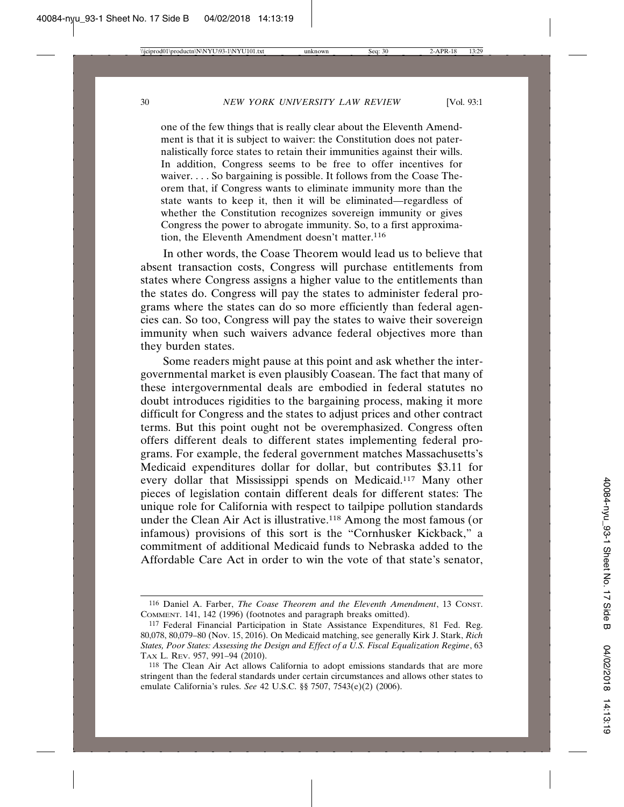one of the few things that is really clear about the Eleventh Amendment is that it is subject to waiver: the Constitution does not paternalistically force states to retain their immunities against their wills. In addition, Congress seems to be free to offer incentives for waiver. . . . So bargaining is possible. It follows from the Coase Theorem that, if Congress wants to eliminate immunity more than the state wants to keep it, then it will be eliminated—regardless of whether the Constitution recognizes sovereign immunity or gives Congress the power to abrogate immunity. So, to a first approximation, the Eleventh Amendment doesn't matter.<sup>116</sup>

In other words, the Coase Theorem would lead us to believe that absent transaction costs, Congress will purchase entitlements from states where Congress assigns a higher value to the entitlements than the states do. Congress will pay the states to administer federal programs where the states can do so more efficiently than federal agencies can. So too, Congress will pay the states to waive their sovereign immunity when such waivers advance federal objectives more than they burden states.

Some readers might pause at this point and ask whether the intergovernmental market is even plausibly Coasean. The fact that many of these intergovernmental deals are embodied in federal statutes no doubt introduces rigidities to the bargaining process, making it more difficult for Congress and the states to adjust prices and other contract terms. But this point ought not be overemphasized. Congress often offers different deals to different states implementing federal programs. For example, the federal government matches Massachusetts's Medicaid expenditures dollar for dollar, but contributes \$3.11 for every dollar that Mississippi spends on Medicaid.117 Many other pieces of legislation contain different deals for different states: The unique role for California with respect to tailpipe pollution standards under the Clean Air Act is illustrative.118 Among the most famous (or infamous) provisions of this sort is the "Cornhusker Kickback," a commitment of additional Medicaid funds to Nebraska added to the Affordable Care Act in order to win the vote of that state's senator,

<sup>116</sup> Daniel A. Farber, *The Coase Theorem and the Eleventh Amendment*, 13 CONST. COMMENT. 141, 142 (1996) (footnotes and paragraph breaks omitted).

<sup>117</sup> Federal Financial Participation in State Assistance Expenditures, 81 Fed. Reg. 80,078, 80,079–80 (Nov. 15, 2016). On Medicaid matching, see generally Kirk J. Stark, *Rich States, Poor States: Assessing the Design and Effect of a U.S. Fiscal Equalization Regime*, 63 TAX L. REV. 957, 991–94 (2010).

<sup>118</sup> The Clean Air Act allows California to adopt emissions standards that are more stringent than the federal standards under certain circumstances and allows other states to emulate California's rules. *See* 42 U.S.C. §§ 7507, 7543(e)(2) (2006).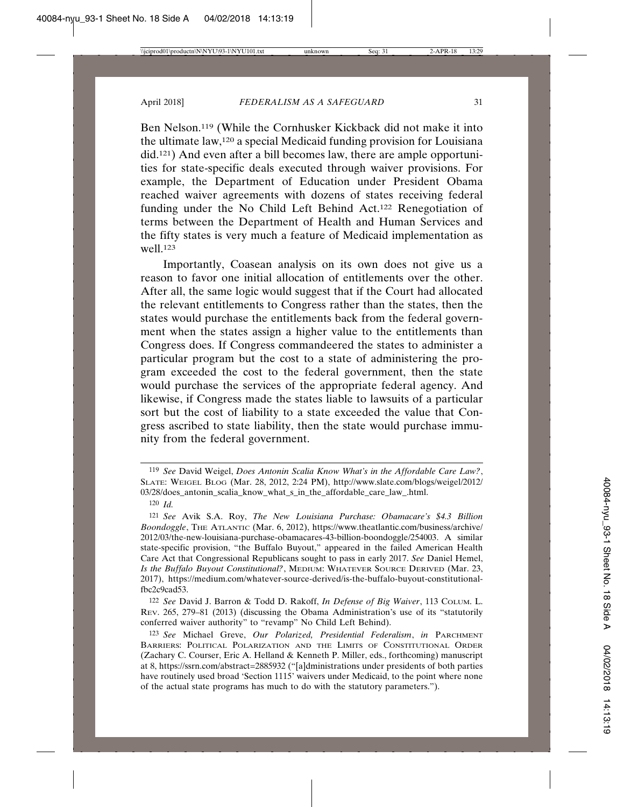Ben Nelson.119 (While the Cornhusker Kickback did not make it into the ultimate law,120 a special Medicaid funding provision for Louisiana did.121) And even after a bill becomes law, there are ample opportunities for state-specific deals executed through waiver provisions. For example, the Department of Education under President Obama reached waiver agreements with dozens of states receiving federal funding under the No Child Left Behind Act.122 Renegotiation of terms between the Department of Health and Human Services and the fifty states is very much a feature of Medicaid implementation as well.123

Importantly, Coasean analysis on its own does not give us a reason to favor one initial allocation of entitlements over the other. After all, the same logic would suggest that if the Court had allocated the relevant entitlements to Congress rather than the states, then the states would purchase the entitlements back from the federal government when the states assign a higher value to the entitlements than Congress does. If Congress commandeered the states to administer a particular program but the cost to a state of administering the program exceeded the cost to the federal government, then the state would purchase the services of the appropriate federal agency. And likewise, if Congress made the states liable to lawsuits of a particular sort but the cost of liability to a state exceeded the value that Congress ascribed to state liability, then the state would purchase immunity from the federal government.

120 *Id.*

122 *See* David J. Barron & Todd D. Rakoff, *In Defense of Big Waiver*, 113 COLUM. L. REV. 265, 279–81 (2013) (discussing the Obama Administration's use of its "statutorily conferred waiver authority" to "revamp" No Child Left Behind).

<sup>119</sup> *See* David Weigel, *Does Antonin Scalia Know What's in the Affordable Care Law?*, SLATE: WEIGEL BLOG (Mar. 28, 2012, 2:24 PM), http://www.slate.com/blogs/weigel/2012/ 03/28/does\_antonin\_scalia\_know\_what\_s\_in\_the\_affordable\_care\_law\_.html.

<sup>121</sup> *See* Avik S.A. Roy, *The New Louisiana Purchase: Obamacare's \$4.3 Billion Boondoggle*, THE ATLANTIC (Mar. 6, 2012), https://www.theatlantic.com/business/archive/ 2012/03/the-new-louisiana-purchase-obamacares-43-billion-boondoggle/254003. A similar state-specific provision, "the Buffalo Buyout," appeared in the failed American Health Care Act that Congressional Republicans sought to pass in early 2017. *See* Daniel Hemel, *Is the Buffalo Buyout Constitutional?*, MEDIUM: WHATEVER SOURCE DERIVED (Mar. 23, 2017), https://medium.com/whatever-source-derived/is-the-buffalo-buyout-constitutionalfbc2c9cad53.

<sup>123</sup> *See* Michael Greve, *Our Polarized, Presidential Federalism*, *in* PARCHMENT BARRIERS: POLITICAL POLARIZATION AND THE LIMITS OF CONSTITUTIONAL ORDER (Zachary C. Courser, Eric A. Helland & Kenneth P. Miller, eds., forthcoming) manuscript at 8, https://ssrn.com/abstract=2885932 ("[a]dministrations under presidents of both parties have routinely used broad 'Section 1115' waivers under Medicaid, to the point where none of the actual state programs has much to do with the statutory parameters.").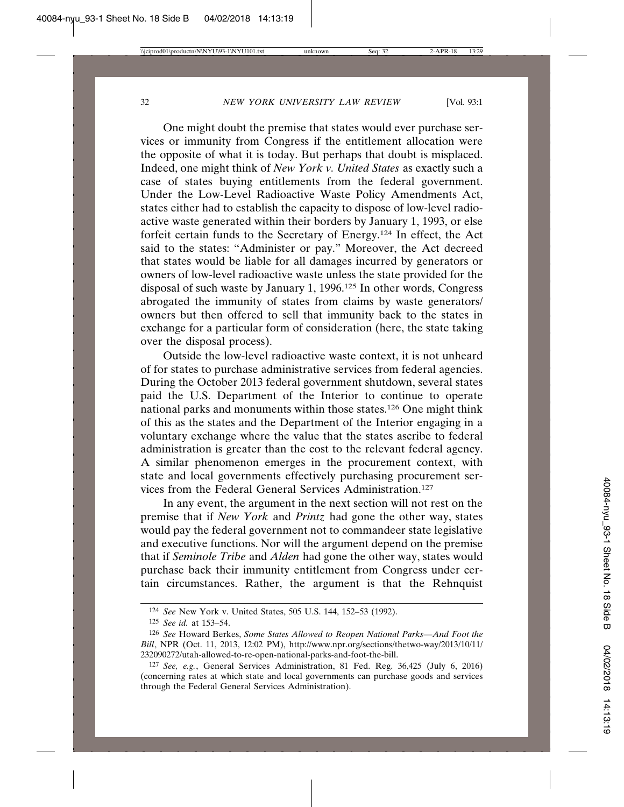One might doubt the premise that states would ever purchase services or immunity from Congress if the entitlement allocation were the opposite of what it is today. But perhaps that doubt is misplaced. Indeed, one might think of *New York v. United States* as exactly such a case of states buying entitlements from the federal government. Under the Low-Level Radioactive Waste Policy Amendments Act, states either had to establish the capacity to dispose of low-level radioactive waste generated within their borders by January 1, 1993, or else forfeit certain funds to the Secretary of Energy.124 In effect, the Act said to the states: "Administer or pay." Moreover, the Act decreed that states would be liable for all damages incurred by generators or owners of low-level radioactive waste unless the state provided for the disposal of such waste by January 1, 1996.125 In other words, Congress abrogated the immunity of states from claims by waste generators/ owners but then offered to sell that immunity back to the states in exchange for a particular form of consideration (here, the state taking over the disposal process).

Outside the low-level radioactive waste context, it is not unheard of for states to purchase administrative services from federal agencies. During the October 2013 federal government shutdown, several states paid the U.S. Department of the Interior to continue to operate national parks and monuments within those states.126 One might think of this as the states and the Department of the Interior engaging in a voluntary exchange where the value that the states ascribe to federal administration is greater than the cost to the relevant federal agency. A similar phenomenon emerges in the procurement context, with state and local governments effectively purchasing procurement services from the Federal General Services Administration.127

In any event, the argument in the next section will not rest on the premise that if *New York* and *Printz* had gone the other way, states would pay the federal government not to commandeer state legislative and executive functions. Nor will the argument depend on the premise that if *Seminole Tribe* and *Alden* had gone the other way, states would purchase back their immunity entitlement from Congress under certain circumstances. Rather, the argument is that the Rehnquist

<sup>124</sup> *See* New York v. United States, 505 U.S. 144, 152–53 (1992).

<sup>125</sup> *See id.* at 153–54.

<sup>126</sup> *See* Howard Berkes, *Some States Allowed to Reopen National Parks—And Foot the Bill*, NPR (Oct. 11, 2013, 12:02 PM), http://www.npr.org/sections/thetwo-way/2013/10/11/ 232090272/utah-allowed-to-re-open-national-parks-and-foot-the-bill.

<sup>127</sup> *See, e.g.*, General Services Administration, 81 Fed. Reg. 36,425 (July 6, 2016) (concerning rates at which state and local governments can purchase goods and services through the Federal General Services Administration).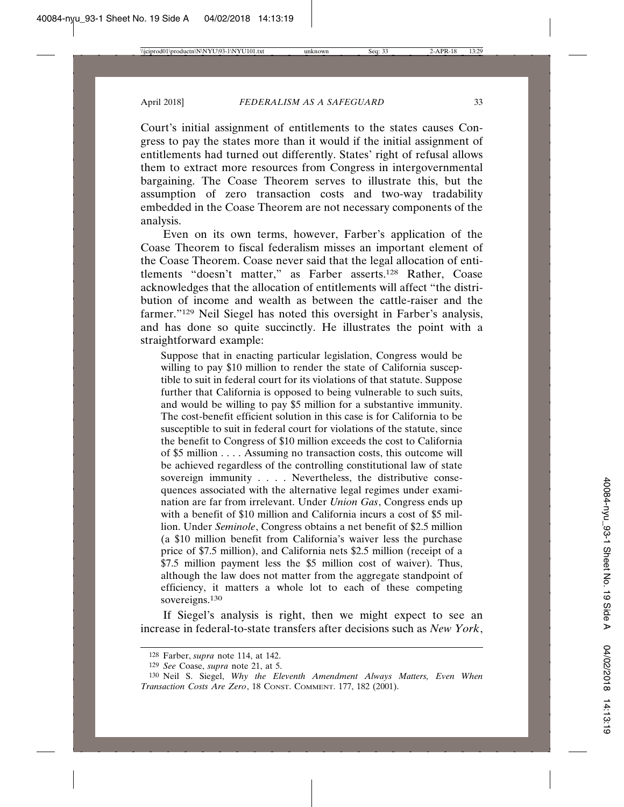Court's initial assignment of entitlements to the states causes Congress to pay the states more than it would if the initial assignment of entitlements had turned out differently. States' right of refusal allows them to extract more resources from Congress in intergovernmental bargaining. The Coase Theorem serves to illustrate this, but the assumption of zero transaction costs and two-way tradability embedded in the Coase Theorem are not necessary components of the analysis.

Even on its own terms, however, Farber's application of the Coase Theorem to fiscal federalism misses an important element of the Coase Theorem. Coase never said that the legal allocation of entitlements "doesn't matter," as Farber asserts.128 Rather, Coase acknowledges that the allocation of entitlements will affect "the distribution of income and wealth as between the cattle-raiser and the farmer."<sup>129</sup> Neil Siegel has noted this oversight in Farber's analysis, and has done so quite succinctly. He illustrates the point with a straightforward example:

Suppose that in enacting particular legislation, Congress would be willing to pay \$10 million to render the state of California susceptible to suit in federal court for its violations of that statute. Suppose further that California is opposed to being vulnerable to such suits, and would be willing to pay \$5 million for a substantive immunity. The cost-benefit efficient solution in this case is for California to be susceptible to suit in federal court for violations of the statute, since the benefit to Congress of \$10 million exceeds the cost to California of \$5 million . . . . Assuming no transaction costs, this outcome will be achieved regardless of the controlling constitutional law of state sovereign immunity . . . . Nevertheless, the distributive consequences associated with the alternative legal regimes under examination are far from irrelevant. Under *Union Gas*, Congress ends up with a benefit of \$10 million and California incurs a cost of \$5 million. Under *Seminole*, Congress obtains a net benefit of \$2.5 million (a \$10 million benefit from California's waiver less the purchase price of \$7.5 million), and California nets \$2.5 million (receipt of a \$7.5 million payment less the \$5 million cost of waiver). Thus, although the law does not matter from the aggregate standpoint of efficiency, it matters a whole lot to each of these competing sovereigns.<sup>130</sup>

If Siegel's analysis is right, then we might expect to see an increase in federal-to-state transfers after decisions such as *New York*,

<sup>128</sup> Farber, *supra* note 114, at 142.

<sup>129</sup> *See* Coase, *supra* note 21, at 5.

<sup>130</sup> Neil S. Siegel, *Why the Eleventh Amendment Always Matters, Even When Transaction Costs Are Zero*, 18 CONST. COMMENT. 177, 182 (2001).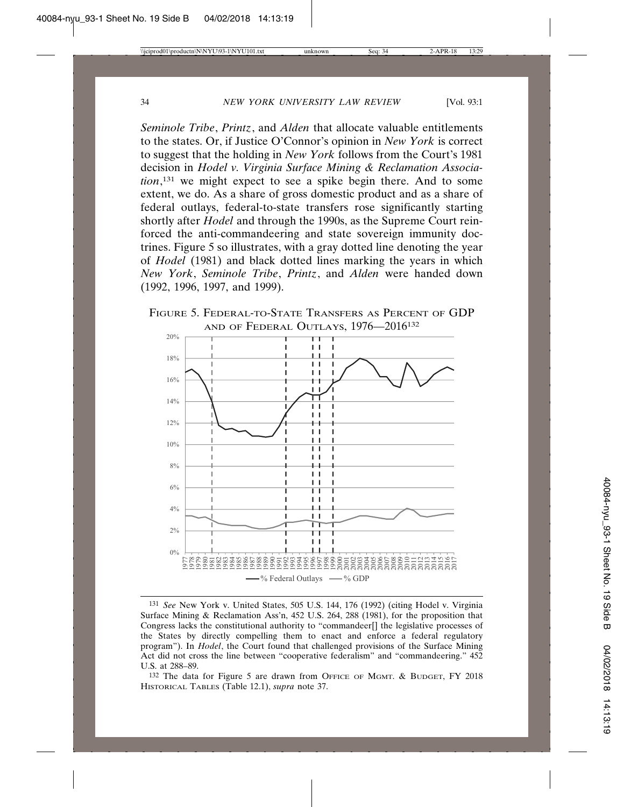*Seminole Tribe*, *Printz*, and *Alden* that allocate valuable entitlements to the states. Or, if Justice O'Connor's opinion in *New York* is correct to suggest that the holding in *New York* follows from the Court's 1981 decision in *Hodel v. Virginia Surface Mining & Reclamation Association*, 131 we might expect to see a spike begin there. And to some extent, we do. As a share of gross domestic product and as a share of federal outlays, federal-to-state transfers rose significantly starting shortly after *Hodel* and through the 1990s, as the Supreme Court reinforced the anti-commandeering and state sovereign immunity doctrines. Figure 5 so illustrates, with a gray dotted line denoting the year of *Hodel* (1981) and black dotted lines marking the years in which *New York*, *Seminole Tribe*, *Printz*, and *Alden* were handed down (1992, 1996, 1997, and 1999).

FIGURE 5. FEDERAL-TO-STATE TRANSFERS AS PERCENT OF GDP AND OF FEDERAL OUTLAYS, 1976-2016<sup>132</sup>



<sup>131</sup> *See* New York v. United States, 505 U.S. 144, 176 (1992) (citing Hodel v. Virginia Surface Mining & Reclamation Ass'n, 452 U.S. 264, 288 (1981), for the proposition that Congress lacks the constitutional authority to "commandeer[] the legislative processes of the States by directly compelling them to enact and enforce a federal regulatory program"). In *Hodel*, the Court found that challenged provisions of the Surface Mining Act did not cross the line between "cooperative federalism" and "commandeering." 452 U.S. at 288–89.

132 The data for Figure 5 are drawn from OFFICE OF MGMT. & BUDGET, FY 2018 HISTORICAL TABLES (Table 12.1), *supra* note 37.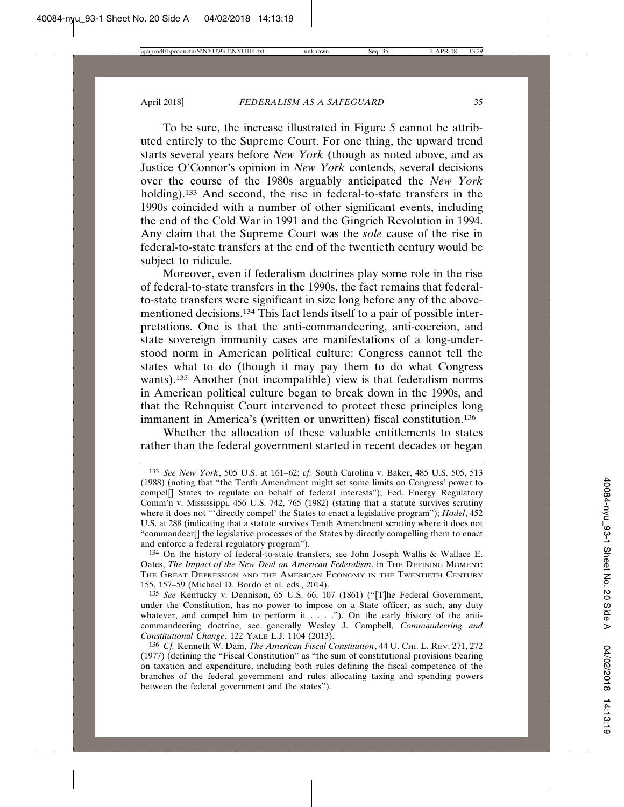To be sure, the increase illustrated in Figure 5 cannot be attributed entirely to the Supreme Court. For one thing, the upward trend starts several years before *New York* (though as noted above, and as Justice O'Connor's opinion in *New York* contends, several decisions over the course of the 1980s arguably anticipated the *New York* holding).<sup>133</sup> And second, the rise in federal-to-state transfers in the 1990s coincided with a number of other significant events, including the end of the Cold War in 1991 and the Gingrich Revolution in 1994. Any claim that the Supreme Court was the *sole* cause of the rise in federal-to-state transfers at the end of the twentieth century would be subject to ridicule.

Moreover, even if federalism doctrines play some role in the rise of federal-to-state transfers in the 1990s, the fact remains that federalto-state transfers were significant in size long before any of the abovementioned decisions.134 This fact lends itself to a pair of possible interpretations. One is that the anti-commandeering, anti-coercion, and state sovereign immunity cases are manifestations of a long-understood norm in American political culture: Congress cannot tell the states what to do (though it may pay them to do what Congress wants).135 Another (not incompatible) view is that federalism norms in American political culture began to break down in the 1990s, and that the Rehnquist Court intervened to protect these principles long immanent in America's (written or unwritten) fiscal constitution.136

Whether the allocation of these valuable entitlements to states rather than the federal government started in recent decades or began

<sup>133</sup> *See New York*, 505 U.S. at 161–62; *cf.* South Carolina v. Baker, 485 U.S. 505, 513 (1988) (noting that "the Tenth Amendment might set some limits on Congress' power to compel<sup>[]</sup> States to regulate on behalf of federal interests"); Fed. Energy Regulatory Comm'n v. Mississippi, 456 U.S. 742, 765 (1982) (stating that a statute survives scrutiny where it does not "'directly compel' the States to enact a legislative program"); *Hodel*, 452 U.S. at 288 (indicating that a statute survives Tenth Amendment scrutiny where it does not "commandeer[] the legislative processes of the States by directly compelling them to enact and enforce a federal regulatory program").

<sup>134</sup> On the history of federal-to-state transfers, see John Joseph Wallis & Wallace E. Oates, *The Impact of the New Deal on American Federalism*, in THE DEFINING MOMENT: THE GREAT DEPRESSION AND THE AMERICAN ECONOMY IN THE TWENTIETH CENTURY 155, 157–59 (Michael D. Bordo et al. eds., 2014).

<sup>135</sup> *See* Kentucky v. Dennison, 65 U.S. 66, 107 (1861) ("[T]he Federal Government, under the Constitution, has no power to impose on a State officer, as such, any duty whatever, and compel him to perform it  $\dots$  . ."). On the early history of the anticommandeering doctrine, see generally Wesley J. Campbell, *Commandeering and Constitutional Change*, 122 YALE L.J. 1104 (2013).

<sup>136</sup> Cf. Kenneth W. Dam, *The American Fiscal Constitution*, 44 U. CHI. L. REV. 271, 272 (1977) (defining the "Fiscal Constitution" as "the sum of constitutional provisions bearing on taxation and expenditure, including both rules defining the fiscal competence of the branches of the federal government and rules allocating taxing and spending powers between the federal government and the states").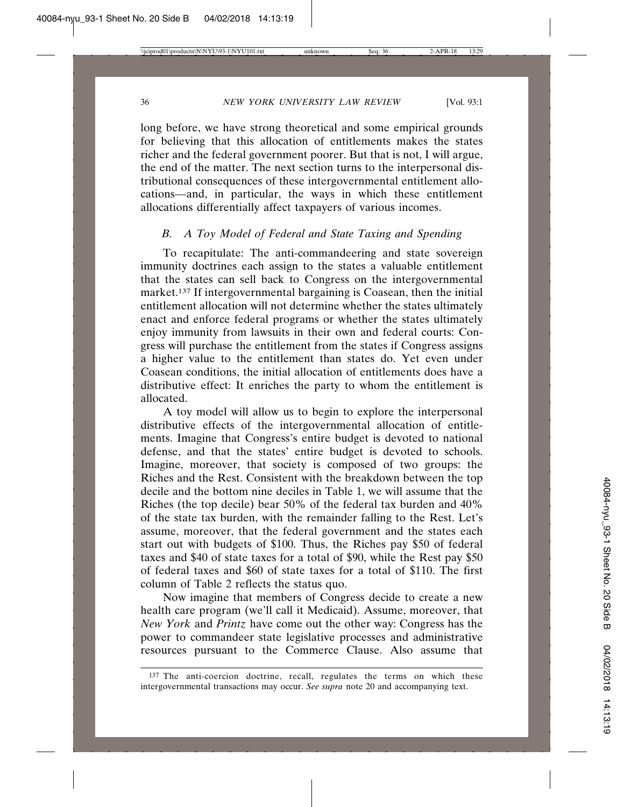long before, we have strong theoretical and some empirical grounds for believing that this allocation of entitlements makes the states richer and the federal government poorer. But that is not, I will argue, the end of the matter. The next section turns to the interpersonal distributional consequences of these intergovernmental entitlement allocations—and, in particular, the ways in which these entitlement allocations differentially affect taxpayers of various incomes.

#### *B. A Toy Model of Federal and State Taxing and Spending*

To recapitulate: The anti-commandeering and state sovereign immunity doctrines each assign to the states a valuable entitlement that the states can sell back to Congress on the intergovernmental market.137 If intergovernmental bargaining is Coasean, then the initial entitlement allocation will not determine whether the states ultimately enact and enforce federal programs or whether the states ultimately enjoy immunity from lawsuits in their own and federal courts: Congress will purchase the entitlement from the states if Congress assigns a higher value to the entitlement than states do. Yet even under Coasean conditions, the initial allocation of entitlements does have a distributive effect: It enriches the party to whom the entitlement is allocated.

A toy model will allow us to begin to explore the interpersonal distributive effects of the intergovernmental allocation of entitlements. Imagine that Congress's entire budget is devoted to national defense, and that the states' entire budget is devoted to schools. Imagine, moreover, that society is composed of two groups: the Riches and the Rest. Consistent with the breakdown between the top decile and the bottom nine deciles in Table 1, we will assume that the Riches (the top decile) bear 50% of the federal tax burden and 40% of the state tax burden, with the remainder falling to the Rest. Let's assume, moreover, that the federal government and the states each start out with budgets of \$100. Thus, the Riches pay \$50 of federal taxes and \$40 of state taxes for a total of \$90, while the Rest pay \$50 of federal taxes and \$60 of state taxes for a total of \$110. The first column of Table 2 reflects the status quo.

Now imagine that members of Congress decide to create a new health care program (we'll call it Medicaid). Assume, moreover, that *New York* and *Printz* have come out the other way: Congress has the power to commandeer state legislative processes and administrative resources pursuant to the Commerce Clause. Also assume that

<sup>137</sup> The anti-coercion doctrine, recall, regulates the terms on which these intergovernmental transactions may occur. *See supra* note 20 and accompanying text.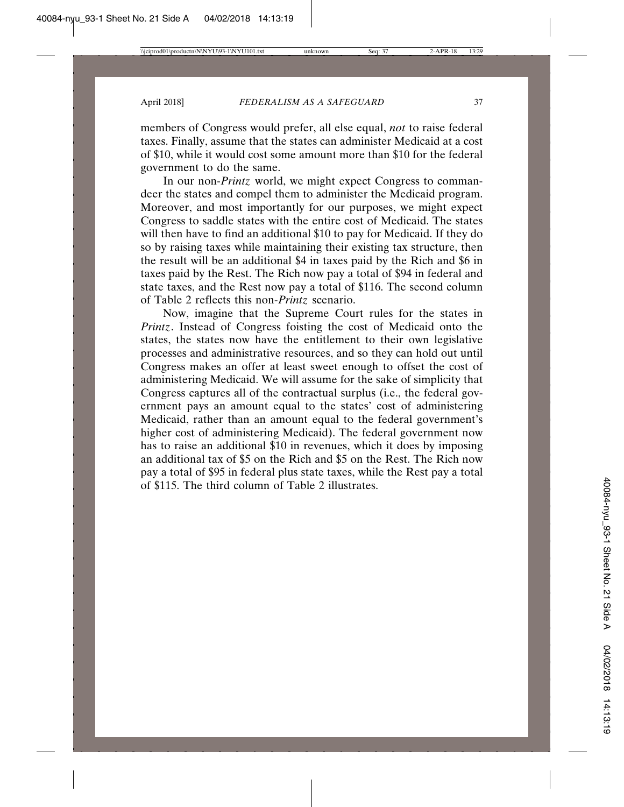members of Congress would prefer, all else equal, *not* to raise federal taxes. Finally, assume that the states can administer Medicaid at a cost of \$10, while it would cost some amount more than \$10 for the federal government to do the same.

In our non-*Printz* world, we might expect Congress to commandeer the states and compel them to administer the Medicaid program. Moreover, and most importantly for our purposes, we might expect Congress to saddle states with the entire cost of Medicaid. The states will then have to find an additional \$10 to pay for Medicaid. If they do so by raising taxes while maintaining their existing tax structure, then the result will be an additional \$4 in taxes paid by the Rich and \$6 in taxes paid by the Rest. The Rich now pay a total of \$94 in federal and state taxes, and the Rest now pay a total of \$116. The second column of Table 2 reflects this non-*Printz* scenario.

Now, imagine that the Supreme Court rules for the states in *Printz*. Instead of Congress foisting the cost of Medicaid onto the states, the states now have the entitlement to their own legislative processes and administrative resources, and so they can hold out until Congress makes an offer at least sweet enough to offset the cost of administering Medicaid. We will assume for the sake of simplicity that Congress captures all of the contractual surplus (i.e., the federal government pays an amount equal to the states' cost of administering Medicaid, rather than an amount equal to the federal government's higher cost of administering Medicaid). The federal government now has to raise an additional \$10 in revenues, which it does by imposing an additional tax of \$5 on the Rich and \$5 on the Rest. The Rich now pay a total of \$95 in federal plus state taxes, while the Rest pay a total of \$115. The third column of Table 2 illustrates.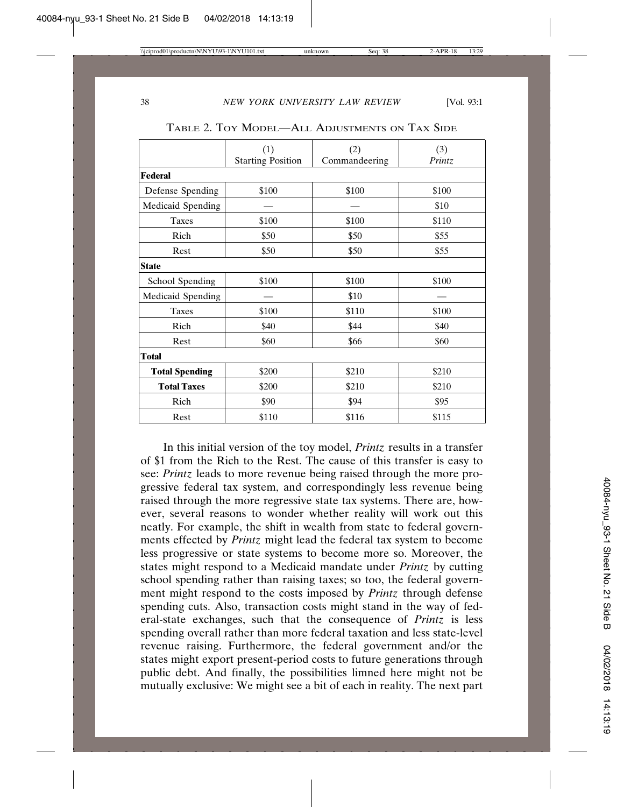|                       | (1)                      | (2)           | (3)    |  |
|-----------------------|--------------------------|---------------|--------|--|
|                       | <b>Starting Position</b> | Commandeering | Printz |  |
| Federal               |                          |               |        |  |
| Defense Spending      | \$100                    | \$100         | \$100  |  |
| Medicaid Spending     |                          |               | \$10   |  |
| <b>Taxes</b>          | \$100                    | \$100         | \$110  |  |
| Rich                  | \$50                     | \$50          | \$55   |  |
| Rest                  | \$50                     | \$50          | \$55   |  |
| <b>State</b>          |                          |               |        |  |
| School Spending       | \$100                    | \$100         | \$100  |  |
| Medicaid Spending     |                          | \$10          |        |  |
| Taxes                 | \$100                    | \$110         | \$100  |  |
| Rich                  | \$40                     | \$44          | \$40   |  |
| Rest                  | \$60                     | \$66          | \$60   |  |
| <b>Total</b>          |                          |               |        |  |
| <b>Total Spending</b> | \$200                    | \$210         | \$210  |  |
| <b>Total Taxes</b>    | \$200                    | \$210         | \$210  |  |
| Rich                  | \$90                     | \$94          | \$95   |  |
| Rest                  | \$110                    | \$116         | \$115  |  |

TABLE 2. TOY MODEL—ALL ADJUSTMENTS ON TAX SIDE

In this initial version of the toy model, *Printz* results in a transfer of \$1 from the Rich to the Rest. The cause of this transfer is easy to see: *Printz* leads to more revenue being raised through the more progressive federal tax system, and correspondingly less revenue being raised through the more regressive state tax systems. There are, however, several reasons to wonder whether reality will work out this neatly. For example, the shift in wealth from state to federal governments effected by *Printz* might lead the federal tax system to become less progressive or state systems to become more so. Moreover, the states might respond to a Medicaid mandate under *Printz* by cutting school spending rather than raising taxes; so too, the federal government might respond to the costs imposed by *Printz* through defense spending cuts. Also, transaction costs might stand in the way of federal-state exchanges, such that the consequence of *Printz* is less spending overall rather than more federal taxation and less state-level revenue raising. Furthermore, the federal government and/or the states might export present-period costs to future generations through public debt. And finally, the possibilities limned here might not be mutually exclusive: We might see a bit of each in reality. The next part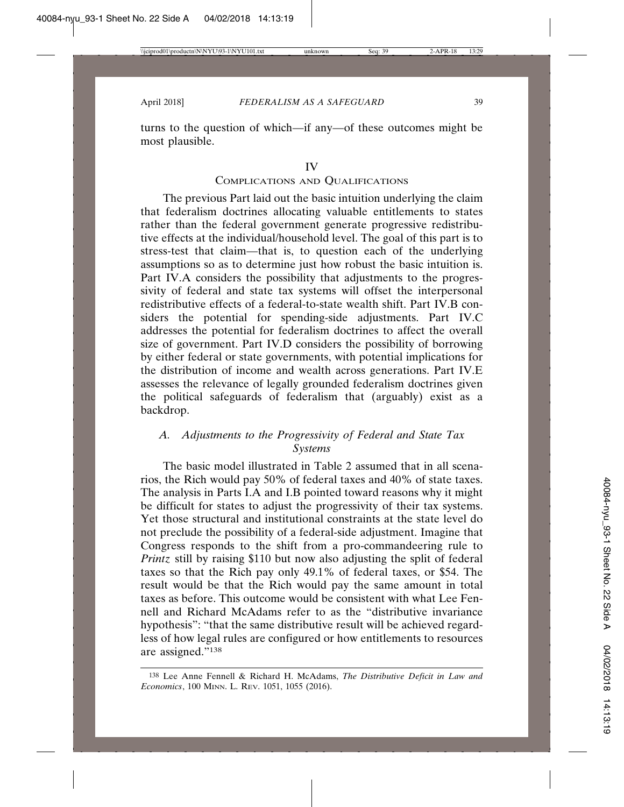turns to the question of which—if any—of these outcomes might be most plausible.

#### IV

#### COMPLICATIONS AND QUALIFICATIONS

The previous Part laid out the basic intuition underlying the claim that federalism doctrines allocating valuable entitlements to states rather than the federal government generate progressive redistributive effects at the individual/household level. The goal of this part is to stress-test that claim—that is, to question each of the underlying assumptions so as to determine just how robust the basic intuition is. Part IV.A considers the possibility that adjustments to the progressivity of federal and state tax systems will offset the interpersonal redistributive effects of a federal-to-state wealth shift. Part IV.B considers the potential for spending-side adjustments. Part IV.C addresses the potential for federalism doctrines to affect the overall size of government. Part IV.D considers the possibility of borrowing by either federal or state governments, with potential implications for the distribution of income and wealth across generations. Part IV.E assesses the relevance of legally grounded federalism doctrines given the political safeguards of federalism that (arguably) exist as a backdrop.

#### *A. Adjustments to the Progressivity of Federal and State Tax Systems*

The basic model illustrated in Table 2 assumed that in all scenarios, the Rich would pay 50% of federal taxes and 40% of state taxes. The analysis in Parts I.A and I.B pointed toward reasons why it might be difficult for states to adjust the progressivity of their tax systems. Yet those structural and institutional constraints at the state level do not preclude the possibility of a federal-side adjustment. Imagine that Congress responds to the shift from a pro-commandeering rule to *Printz* still by raising \$110 but now also adjusting the split of federal taxes so that the Rich pay only 49.1% of federal taxes, or \$54. The result would be that the Rich would pay the same amount in total taxes as before. This outcome would be consistent with what Lee Fennell and Richard McAdams refer to as the "distributive invariance hypothesis": "that the same distributive result will be achieved regardless of how legal rules are configured or how entitlements to resources are assigned."138

<sup>138</sup> Lee Anne Fennell & Richard H. McAdams, *The Distributive Deficit in Law and Economics*, 100 MINN. L. REV. 1051, 1055 (2016).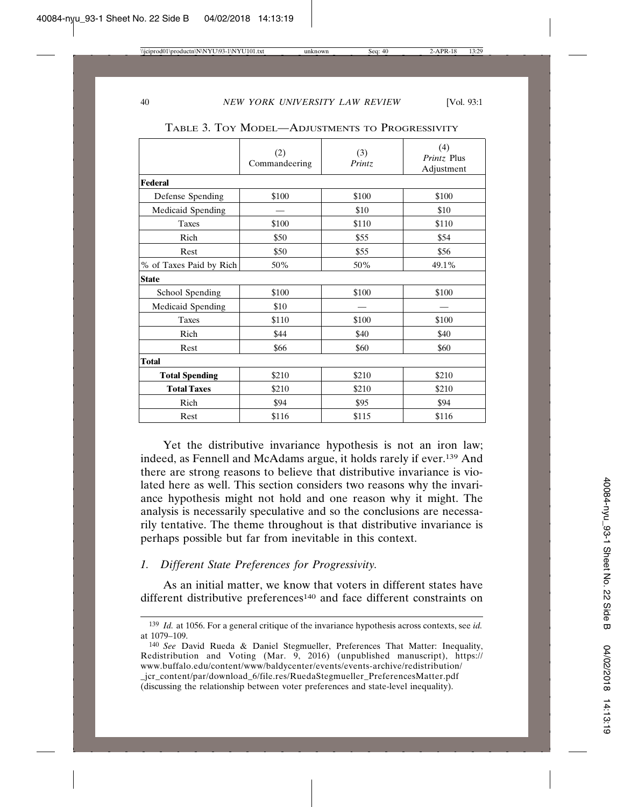|                         | (2)<br>Commandeering | (3)<br>Printz | (4)<br>Printz Plus<br>Adjustment |  |  |
|-------------------------|----------------------|---------------|----------------------------------|--|--|
| <b>Federal</b>          |                      |               |                                  |  |  |
| Defense Spending        | \$100                | \$100         | \$100                            |  |  |
| Medicaid Spending       |                      | \$10          | \$10                             |  |  |
| <b>Taxes</b>            | \$100                | \$110         | \$110                            |  |  |
| Rich                    | \$50                 | \$55          | \$54                             |  |  |
| Rest                    | \$50                 | \$55          | \$56                             |  |  |
| % of Taxes Paid by Rich | 50%                  | 50%           | 49.1%                            |  |  |
| <b>State</b>            |                      |               |                                  |  |  |
| School Spending         | \$100                | \$100         | \$100                            |  |  |
| Medicaid Spending       | \$10                 |               |                                  |  |  |
| <b>Taxes</b>            | \$110                | \$100         | \$100                            |  |  |
| Rich                    | \$44                 | \$40          | \$40                             |  |  |
| Rest                    | \$66                 | \$60          | \$60                             |  |  |
| <b>Total</b>            |                      |               |                                  |  |  |
| <b>Total Spending</b>   | \$210                | \$210         | \$210                            |  |  |
| <b>Total Taxes</b>      | \$210                | \$210         | \$210                            |  |  |
| Rich                    | \$94                 | \$95          | \$94                             |  |  |
| Rest                    | \$116                | \$115         | \$116                            |  |  |

TABLE 3. TOY MODEL—ADJUSTMENTS TO PROGRESSIVITY

Yet the distributive invariance hypothesis is not an iron law; indeed, as Fennell and McAdams argue, it holds rarely if ever.139 And there are strong reasons to believe that distributive invariance is violated here as well. This section considers two reasons why the invariance hypothesis might not hold and one reason why it might. The analysis is necessarily speculative and so the conclusions are necessarily tentative. The theme throughout is that distributive invariance is perhaps possible but far from inevitable in this context.

#### *1. Different State Preferences for Progressivity.*

As an initial matter, we know that voters in different states have different distributive preferences<sup>140</sup> and face different constraints on

<sup>139</sup> *Id.* at 1056. For a general critique of the invariance hypothesis across contexts, see *id.* at 1079–109.

<sup>140</sup> *See* David Rueda & Daniel Stegmueller, Preferences That Matter: Inequality, Redistribution and Voting (Mar. 9, 2016) (unpublished manuscript), https:// www.buffalo.edu/content/www/baldycenter/events/events-archive/redistribution/ \_jcr\_content/par/download\_6/file.res/RuedaStegmueller\_PreferencesMatter.pdf (discussing the relationship between voter preferences and state-level inequality).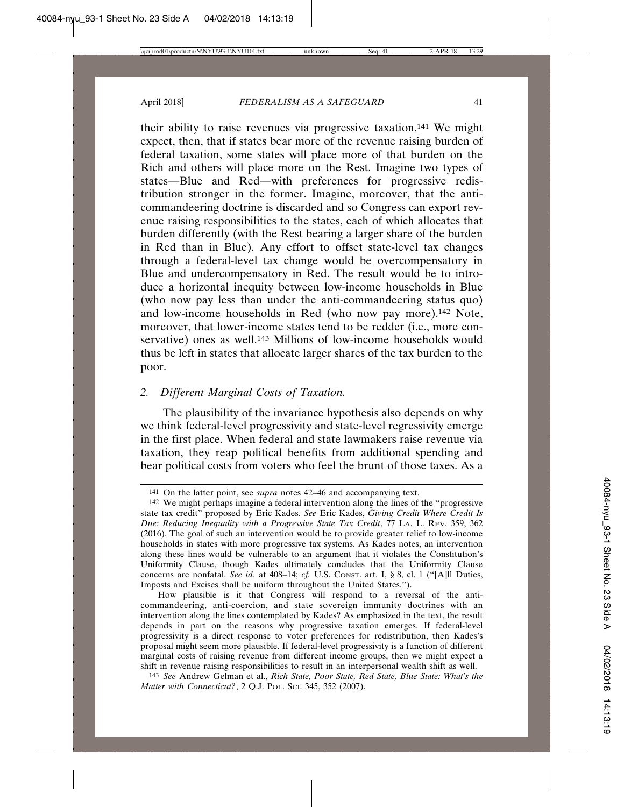their ability to raise revenues via progressive taxation.141 We might expect, then, that if states bear more of the revenue raising burden of federal taxation, some states will place more of that burden on the Rich and others will place more on the Rest. Imagine two types of states—Blue and Red—with preferences for progressive redistribution stronger in the former. Imagine, moreover, that the anticommandeering doctrine is discarded and so Congress can export revenue raising responsibilities to the states, each of which allocates that burden differently (with the Rest bearing a larger share of the burden in Red than in Blue). Any effort to offset state-level tax changes through a federal-level tax change would be overcompensatory in Blue and undercompensatory in Red. The result would be to introduce a horizontal inequity between low-income households in Blue (who now pay less than under the anti-commandeering status quo) and low-income households in Red (who now pay more).142 Note, moreover, that lower-income states tend to be redder (i.e., more conservative) ones as well.<sup>143</sup> Millions of low-income households would thus be left in states that allocate larger shares of the tax burden to the poor.

#### *2. Different Marginal Costs of Taxation.*

The plausibility of the invariance hypothesis also depends on why we think federal-level progressivity and state-level regressivity emerge in the first place. When federal and state lawmakers raise revenue via taxation, they reap political benefits from additional spending and bear political costs from voters who feel the brunt of those taxes. As a

How plausible is it that Congress will respond to a reversal of the anticommandeering, anti-coercion, and state sovereign immunity doctrines with an intervention along the lines contemplated by Kades? As emphasized in the text, the result depends in part on the reasons why progressive taxation emerges. If federal-level progressivity is a direct response to voter preferences for redistribution, then Kades's proposal might seem more plausible. If federal-level progressivity is a function of different marginal costs of raising revenue from different income groups, then we might expect a shift in revenue raising responsibilities to result in an interpersonal wealth shift as well.

143 *See* Andrew Gelman et al., *Rich State, Poor State, Red State, Blue State: What's the Matter with Connecticut?*, 2 Q.J. POL. SCI. 345, 352 (2007).

<sup>141</sup> On the latter point, see *supra* notes 42–46 and accompanying text.

<sup>142</sup> We might perhaps imagine a federal intervention along the lines of the "progressive state tax credit" proposed by Eric Kades. *See* Eric Kades, *Giving Credit Where Credit Is Due: Reducing Inequality with a Progressive State Tax Credit*, 77 LA. L. REV. 359, 362 (2016). The goal of such an intervention would be to provide greater relief to low-income households in states with more progressive tax systems. As Kades notes, an intervention along these lines would be vulnerable to an argument that it violates the Constitution's Uniformity Clause, though Kades ultimately concludes that the Uniformity Clause concerns are nonfatal. *See id.* at 408–14; *cf.* U.S. CONST. art. I, § 8, cl. 1 ("[A]ll Duties, Imposts and Excises shall be uniform throughout the United States.").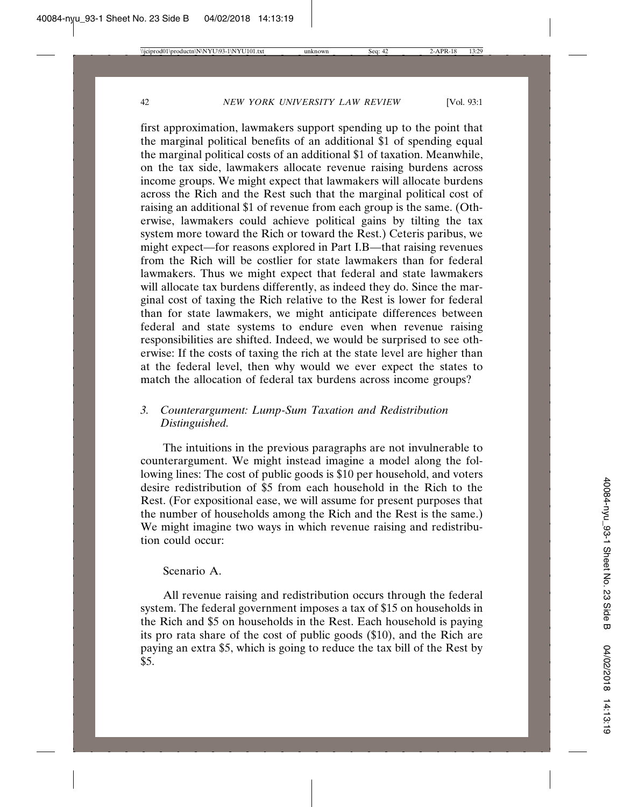first approximation, lawmakers support spending up to the point that the marginal political benefits of an additional \$1 of spending equal the marginal political costs of an additional \$1 of taxation. Meanwhile, on the tax side, lawmakers allocate revenue raising burdens across income groups. We might expect that lawmakers will allocate burdens across the Rich and the Rest such that the marginal political cost of raising an additional \$1 of revenue from each group is the same. (Otherwise, lawmakers could achieve political gains by tilting the tax system more toward the Rich or toward the Rest.) Ceteris paribus, we might expect—for reasons explored in Part I.B—that raising revenues from the Rich will be costlier for state lawmakers than for federal lawmakers. Thus we might expect that federal and state lawmakers will allocate tax burdens differently, as indeed they do. Since the marginal cost of taxing the Rich relative to the Rest is lower for federal than for state lawmakers, we might anticipate differences between federal and state systems to endure even when revenue raising responsibilities are shifted. Indeed, we would be surprised to see otherwise: If the costs of taxing the rich at the state level are higher than at the federal level, then why would we ever expect the states to match the allocation of federal tax burdens across income groups?

### *3. Counterargument: Lump-Sum Taxation and Redistribution Distinguished.*

The intuitions in the previous paragraphs are not invulnerable to counterargument. We might instead imagine a model along the following lines: The cost of public goods is \$10 per household, and voters desire redistribution of \$5 from each household in the Rich to the Rest. (For expositional ease, we will assume for present purposes that the number of households among the Rich and the Rest is the same.) We might imagine two ways in which revenue raising and redistribution could occur:

#### Scenario A.

All revenue raising and redistribution occurs through the federal system. The federal government imposes a tax of \$15 on households in the Rich and \$5 on households in the Rest. Each household is paying its pro rata share of the cost of public goods (\$10), and the Rich are paying an extra \$5, which is going to reduce the tax bill of the Rest by \$5.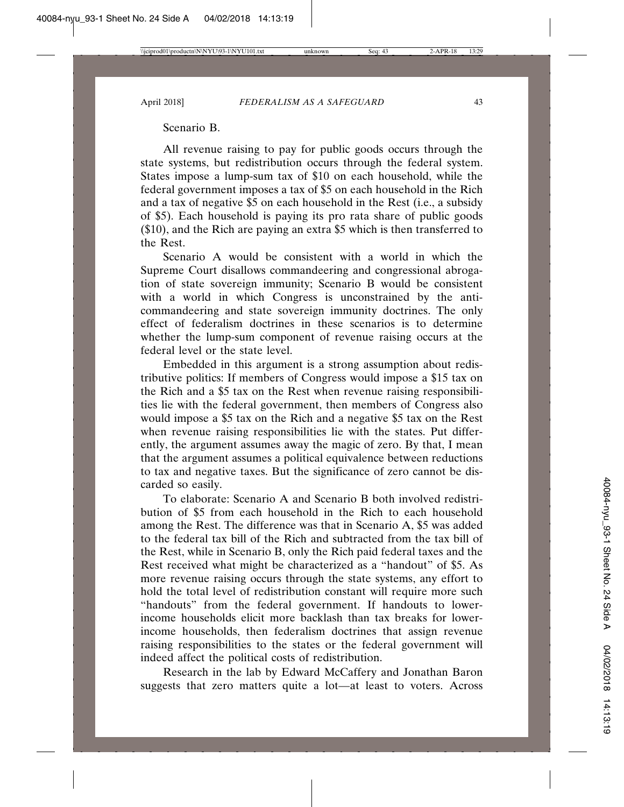#### Scenario B.

All revenue raising to pay for public goods occurs through the state systems, but redistribution occurs through the federal system. States impose a lump-sum tax of \$10 on each household, while the federal government imposes a tax of \$5 on each household in the Rich and a tax of negative \$5 on each household in the Rest (i.e., a subsidy of \$5). Each household is paying its pro rata share of public goods (\$10), and the Rich are paying an extra \$5 which is then transferred to the Rest.

Scenario A would be consistent with a world in which the Supreme Court disallows commandeering and congressional abrogation of state sovereign immunity; Scenario B would be consistent with a world in which Congress is unconstrained by the anticommandeering and state sovereign immunity doctrines. The only effect of federalism doctrines in these scenarios is to determine whether the lump-sum component of revenue raising occurs at the federal level or the state level.

Embedded in this argument is a strong assumption about redistributive politics: If members of Congress would impose a \$15 tax on the Rich and a \$5 tax on the Rest when revenue raising responsibilities lie with the federal government, then members of Congress also would impose a \$5 tax on the Rich and a negative \$5 tax on the Rest when revenue raising responsibilities lie with the states. Put differently, the argument assumes away the magic of zero. By that, I mean that the argument assumes a political equivalence between reductions to tax and negative taxes. But the significance of zero cannot be discarded so easily.

To elaborate: Scenario A and Scenario B both involved redistribution of \$5 from each household in the Rich to each household among the Rest. The difference was that in Scenario A, \$5 was added to the federal tax bill of the Rich and subtracted from the tax bill of the Rest, while in Scenario B, only the Rich paid federal taxes and the Rest received what might be characterized as a "handout" of \$5. As more revenue raising occurs through the state systems, any effort to hold the total level of redistribution constant will require more such "handouts" from the federal government. If handouts to lowerincome households elicit more backlash than tax breaks for lowerincome households, then federalism doctrines that assign revenue raising responsibilities to the states or the federal government will indeed affect the political costs of redistribution.

Research in the lab by Edward McCaffery and Jonathan Baron suggests that zero matters quite a lot—at least to voters. Across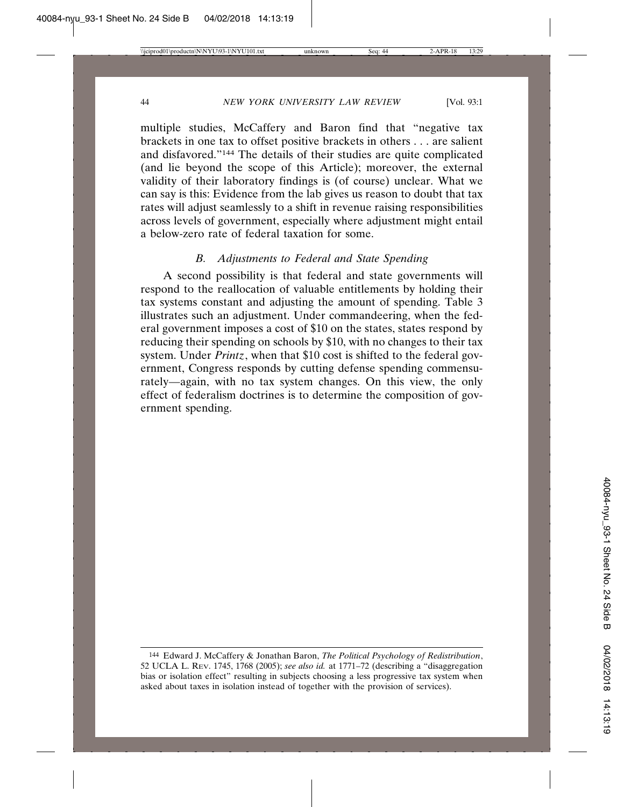multiple studies, McCaffery and Baron find that "negative tax brackets in one tax to offset positive brackets in others . . . are salient and disfavored."144 The details of their studies are quite complicated (and lie beyond the scope of this Article); moreover, the external validity of their laboratory findings is (of course) unclear. What we can say is this: Evidence from the lab gives us reason to doubt that tax rates will adjust seamlessly to a shift in revenue raising responsibilities across levels of government, especially where adjustment might entail a below-zero rate of federal taxation for some.

#### *B. Adjustments to Federal and State Spending*

A second possibility is that federal and state governments will respond to the reallocation of valuable entitlements by holding their tax systems constant and adjusting the amount of spending. Table 3 illustrates such an adjustment. Under commandeering, when the federal government imposes a cost of \$10 on the states, states respond by reducing their spending on schools by \$10, with no changes to their tax system. Under *Printz*, when that \$10 cost is shifted to the federal government, Congress responds by cutting defense spending commensurately—again, with no tax system changes. On this view, the only effect of federalism doctrines is to determine the composition of government spending.

<sup>144</sup> Edward J. McCaffery & Jonathan Baron, *The Political Psychology of Redistribution*, 52 UCLA L. REV. 1745, 1768 (2005); *see also id.* at 1771–72 (describing a "disaggregation bias or isolation effect" resulting in subjects choosing a less progressive tax system when asked about taxes in isolation instead of together with the provision of services).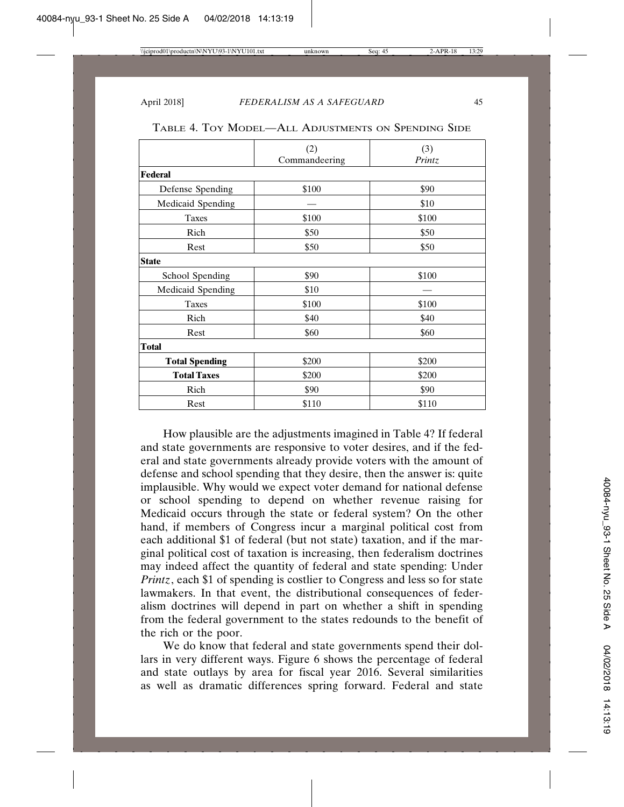|                       | (2)           | (3)    |
|-----------------------|---------------|--------|
|                       | Commandeering | Printz |
| Federal               |               |        |
| Defense Spending      | \$100         | \$90   |
| Medicaid Spending     |               | \$10   |
| Taxes                 | \$100         | \$100  |
| Rich                  | \$50          | \$50   |
| Rest                  | \$50          | \$50   |
| <b>State</b>          |               |        |
| School Spending       | \$90          | \$100  |
| Medicaid Spending     | \$10          |        |
| <b>Taxes</b>          | \$100         | \$100  |
| Rich                  | \$40          | \$40   |
| Rest                  | \$60          | \$60   |
| <b>Total</b>          |               |        |
| <b>Total Spending</b> | \$200         | \$200  |
| <b>Total Taxes</b>    | \$200         | \$200  |
| Rich                  | \$90          | \$90   |
| Rest                  | \$110         | \$110  |

TABLE 4. TOY MODEL—ALL ADJUSTMENTS ON SPENDING SIDE

How plausible are the adjustments imagined in Table 4? If federal and state governments are responsive to voter desires, and if the federal and state governments already provide voters with the amount of defense and school spending that they desire, then the answer is: quite implausible. Why would we expect voter demand for national defense or school spending to depend on whether revenue raising for Medicaid occurs through the state or federal system? On the other hand, if members of Congress incur a marginal political cost from each additional \$1 of federal (but not state) taxation, and if the marginal political cost of taxation is increasing, then federalism doctrines may indeed affect the quantity of federal and state spending: Under *Printz*, each \$1 of spending is costlier to Congress and less so for state lawmakers. In that event, the distributional consequences of federalism doctrines will depend in part on whether a shift in spending from the federal government to the states redounds to the benefit of the rich or the poor.

We do know that federal and state governments spend their dollars in very different ways. Figure 6 shows the percentage of federal and state outlays by area for fiscal year 2016. Several similarities as well as dramatic differences spring forward. Federal and state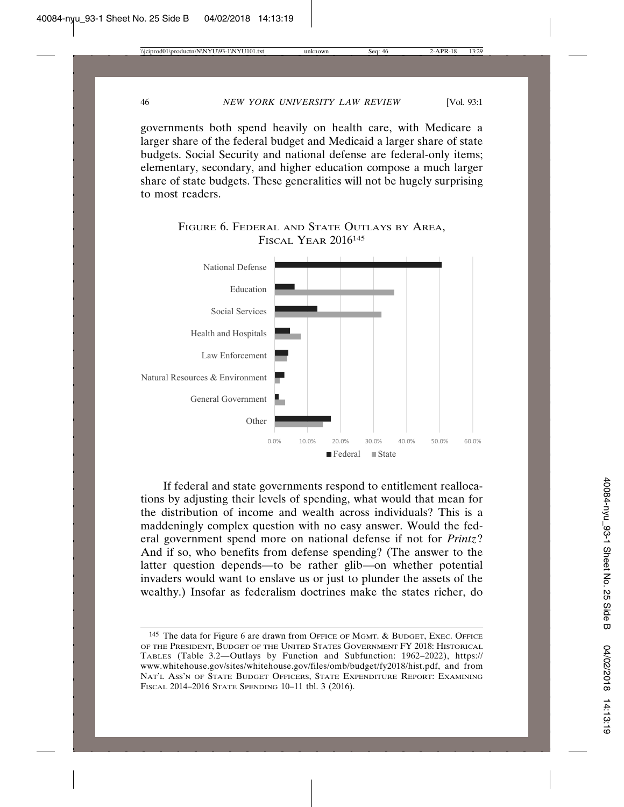governments both spend heavily on health care, with Medicare a larger share of the federal budget and Medicaid a larger share of state budgets. Social Security and national defense are federal-only items; elementary, secondary, and higher education compose a much larger share of state budgets. These generalities will not be hugely surprising to most readers.





If federal and state governments respond to entitlement reallocations by adjusting their levels of spending, what would that mean for the distribution of income and wealth across individuals? This is a maddeningly complex question with no easy answer. Would the federal government spend more on national defense if not for *Printz*? And if so, who benefits from defense spending? (The answer to the latter question depends—to be rather glib—on whether potential invaders would want to enslave us or just to plunder the assets of the wealthy.) Insofar as federalism doctrines make the states richer, do

<sup>145</sup> The data for Figure 6 are drawn from OFFICE OF MGMT. & BUDGET, EXEC. OFFICE OF THE PRESIDENT, BUDGET OF THE UNITED STATES GOVERNMENT FY 2018: HISTORICAL TABLES (Table 3.2—Outlays by Function and Subfunction: 1962–2022), https:// www.whitehouse.gov/sites/whitehouse.gov/files/omb/budget/fy2018/hist.pdf, and from NAT'L ASS'N OF STATE BUDGET OFFICERS, STATE EXPENDITURE REPORT: EXAMINING FISCAL 2014–2016 STATE SPENDING 10–11 tbl. 3 (2016).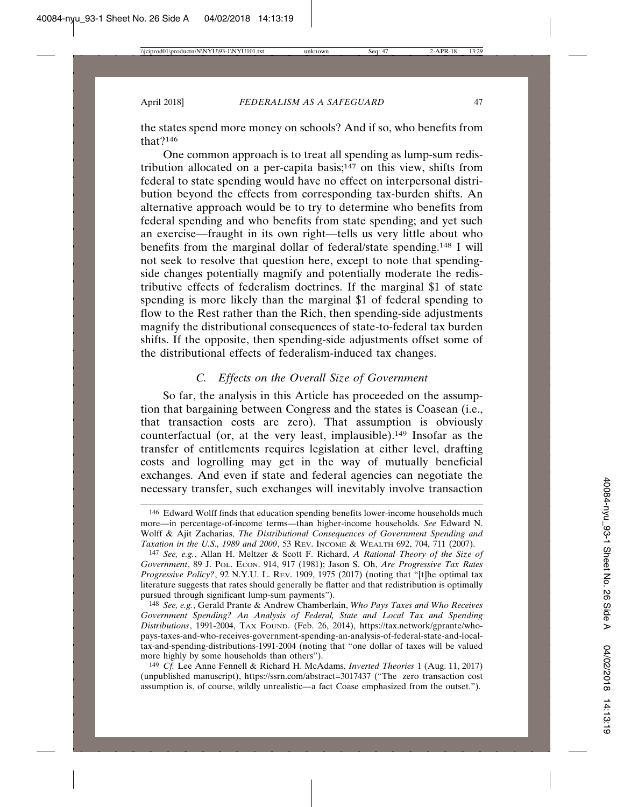the states spend more money on schools? And if so, who benefits from that?146

One common approach is to treat all spending as lump-sum redistribution allocated on a per-capita basis;<sup>147</sup> on this view, shifts from federal to state spending would have no effect on interpersonal distribution beyond the effects from corresponding tax-burden shifts. An alternative approach would be to try to determine who benefits from federal spending and who benefits from state spending; and yet such an exercise—fraught in its own right—tells us very little about who benefits from the marginal dollar of federal/state spending.148 I will not seek to resolve that question here, except to note that spendingside changes potentially magnify and potentially moderate the redistributive effects of federalism doctrines. If the marginal \$1 of state spending is more likely than the marginal \$1 of federal spending to flow to the Rest rather than the Rich, then spending-side adjustments magnify the distributional consequences of state-to-federal tax burden shifts. If the opposite, then spending-side adjustments offset some of the distributional effects of federalism-induced tax changes.

#### *C. Effects on the Overall Size of Government*

So far, the analysis in this Article has proceeded on the assumption that bargaining between Congress and the states is Coasean (i.e., that transaction costs are zero). That assumption is obviously counterfactual (or, at the very least, implausible).149 Insofar as the transfer of entitlements requires legislation at either level, drafting costs and logrolling may get in the way of mutually beneficial exchanges. And even if state and federal agencies can negotiate the necessary transfer, such exchanges will inevitably involve transaction

148 *See, e.g.*, Gerald Prante & Andrew Chamberlain, *Who Pays Taxes and Who Receives Government Spending? An Analysis of Federal, State and Local Tax and Spending Distributions*, 1991-2004, TAX FOUND. (Feb. 26, 2014), https://tax.network/gprante/whopays-taxes-and-who-receives-government-spending-an-analysis-of-federal-state-and-localtax-and-spending-distributions-1991-2004 (noting that "one dollar of taxes will be valued more highly by some households than others").

149 *Cf.* Lee Anne Fennell & Richard H. McAdams, *Inverted Theories* 1 (Aug. 11, 2017) (unpublished manuscript), https://ssrn.com/abstract=3017437 ("The zero transaction cost assumption is, of course, wildly unrealistic—a fact Coase emphasized from the outset.").

<sup>146</sup> Edward Wolff finds that education spending benefits lower-income households much more—in percentage-of-income terms—than higher-income households. *See* Edward N. Wolff & Ajit Zacharias, *The Distributional Consequences of Government Spending and Taxation in the U.S., 1989 and 2000*, 53 REV. INCOME & WEALTH 692, 704, 711 (2007).

<sup>147</sup> *See, e.g.*, Allan H. Meltzer & Scott F. Richard, *A Rational Theory of the Size of Government*, 89 J. POL. ECON. 914, 917 (1981); Jason S. Oh, *Are Progressive Tax Rates Progressive Policy?*, 92 N.Y.U. L. REV. 1909, 1975 (2017) (noting that "[t]he optimal tax literature suggests that rates should generally be flatter and that redistribution is optimally pursued through significant lump-sum payments").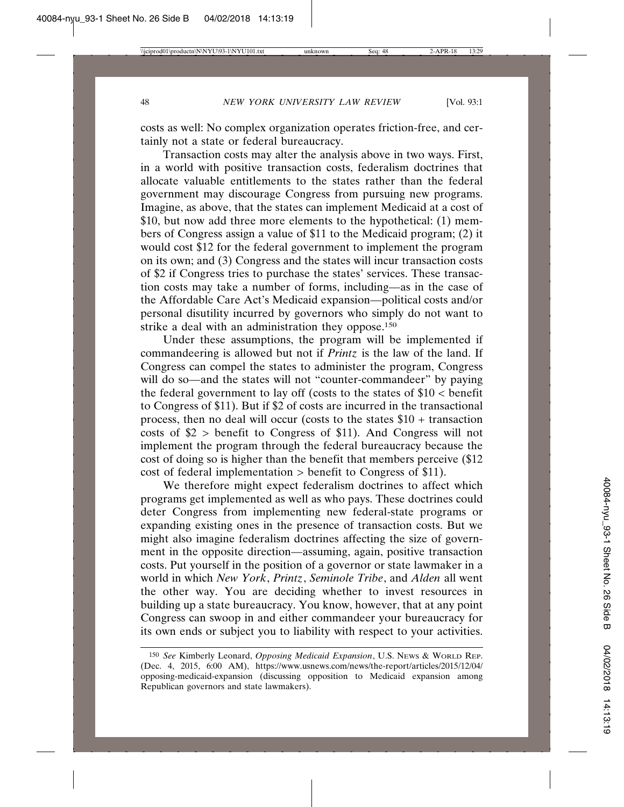costs as well: No complex organization operates friction-free, and certainly not a state or federal bureaucracy.

Transaction costs may alter the analysis above in two ways. First, in a world with positive transaction costs, federalism doctrines that allocate valuable entitlements to the states rather than the federal government may discourage Congress from pursuing new programs. Imagine, as above, that the states can implement Medicaid at a cost of \$10, but now add three more elements to the hypothetical: (1) members of Congress assign a value of \$11 to the Medicaid program; (2) it would cost \$12 for the federal government to implement the program on its own; and (3) Congress and the states will incur transaction costs of \$2 if Congress tries to purchase the states' services. These transaction costs may take a number of forms, including—as in the case of the Affordable Care Act's Medicaid expansion—political costs and/or personal disutility incurred by governors who simply do not want to strike a deal with an administration they oppose.<sup>150</sup>

Under these assumptions, the program will be implemented if commandeering is allowed but not if *Printz* is the law of the land. If Congress can compel the states to administer the program, Congress will do so—and the states will not "counter-commandeer" by paying the federal government to lay off (costs to the states of  $$10$  < benefit to Congress of \$11). But if \$2 of costs are incurred in the transactional process, then no deal will occur (costs to the states \$10 + transaction costs of \$2 > benefit to Congress of \$11). And Congress will not implement the program through the federal bureaucracy because the cost of doing so is higher than the benefit that members perceive (\$12 cost of federal implementation > benefit to Congress of \$11).

We therefore might expect federalism doctrines to affect which programs get implemented as well as who pays. These doctrines could deter Congress from implementing new federal-state programs or expanding existing ones in the presence of transaction costs. But we might also imagine federalism doctrines affecting the size of government in the opposite direction—assuming, again, positive transaction costs. Put yourself in the position of a governor or state lawmaker in a world in which *New York*, *Printz*, *Seminole Tribe*, and *Alden* all went the other way. You are deciding whether to invest resources in building up a state bureaucracy. You know, however, that at any point Congress can swoop in and either commandeer your bureaucracy for its own ends or subject you to liability with respect to your activities.

<sup>150</sup> *See* Kimberly Leonard, *Opposing Medicaid Expansion*, U.S. NEWS & WORLD REP. (Dec. 4, 2015, 6:00 AM), https://www.usnews.com/news/the-report/articles/2015/12/04/ opposing-medicaid-expansion (discussing opposition to Medicaid expansion among Republican governors and state lawmakers).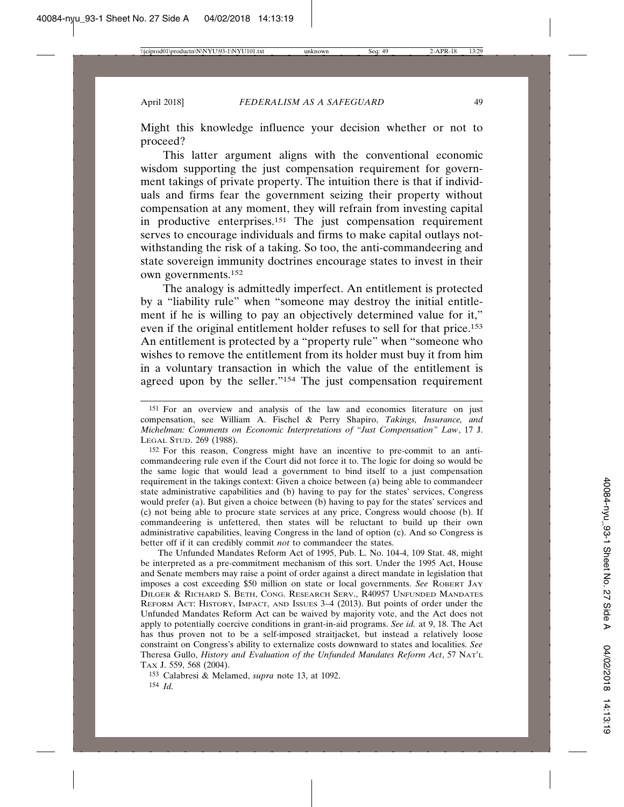Might this knowledge influence your decision whether or not to proceed?

This latter argument aligns with the conventional economic wisdom supporting the just compensation requirement for government takings of private property. The intuition there is that if individuals and firms fear the government seizing their property without compensation at any moment, they will refrain from investing capital in productive enterprises.151 The just compensation requirement serves to encourage individuals and firms to make capital outlays notwithstanding the risk of a taking. So too, the anti-commandeering and state sovereign immunity doctrines encourage states to invest in their own governments.152

The analogy is admittedly imperfect. An entitlement is protected by a "liability rule" when "someone may destroy the initial entitlement if he is willing to pay an objectively determined value for it," even if the original entitlement holder refuses to sell for that price.153 An entitlement is protected by a "property rule" when "someone who wishes to remove the entitlement from its holder must buy it from him in a voluntary transaction in which the value of the entitlement is agreed upon by the seller."154 The just compensation requirement

152 For this reason, Congress might have an incentive to pre-commit to an anticommandeering rule even if the Court did not force it to. The logic for doing so would be the same logic that would lead a government to bind itself to a just compensation requirement in the takings context: Given a choice between (a) being able to commandeer state administrative capabilities and (b) having to pay for the states' services, Congress would prefer (a). But given a choice between (b) having to pay for the states' services and (c) not being able to procure state services at any price, Congress would choose (b). If commandeering is unfettered, then states will be reluctant to build up their own administrative capabilities, leaving Congress in the land of option (c). And so Congress is better off if it can credibly commit *not* to commandeer the states.

The Unfunded Mandates Reform Act of 1995, Pub. L. No. 104-4, 109 Stat. 48, might be interpreted as a pre-commitment mechanism of this sort. Under the 1995 Act, House and Senate members may raise a point of order against a direct mandate in legislation that imposes a cost exceeding \$50 million on state or local governments. *See* ROBERT JAY DILGER & RICHARD S. BETH, CONG. RESEARCH SERV., R40957 UNFUNDED MANDATES REFORM ACT: HISTORY, IMPACT, AND ISSUES 3–4 (2013). But points of order under the Unfunded Mandates Reform Act can be waived by majority vote, and the Act does not apply to potentially coercive conditions in grant-in-aid programs. *See id.* at 9, 18. The Act has thus proven not to be a self-imposed straitjacket, but instead a relatively loose constraint on Congress's ability to externalize costs downward to states and localities. *See* Theresa Gullo, *History and Evaluation of the Unfunded Mandates Reform Act*, 57 NAT'L TAX J. 559, 568 (2004).

153 Calabresi & Melamed, *supra* note 13, at 1092. 154 *Id.*

<sup>151</sup> For an overview and analysis of the law and economics literature on just compensation, see William A. Fischel & Perry Shapiro, *Takings, Insurance, and Michelman: Comments on Economic Interpretations of "Just Compensation" Law*, 17 J. LEGAL STUD. 269 (1988).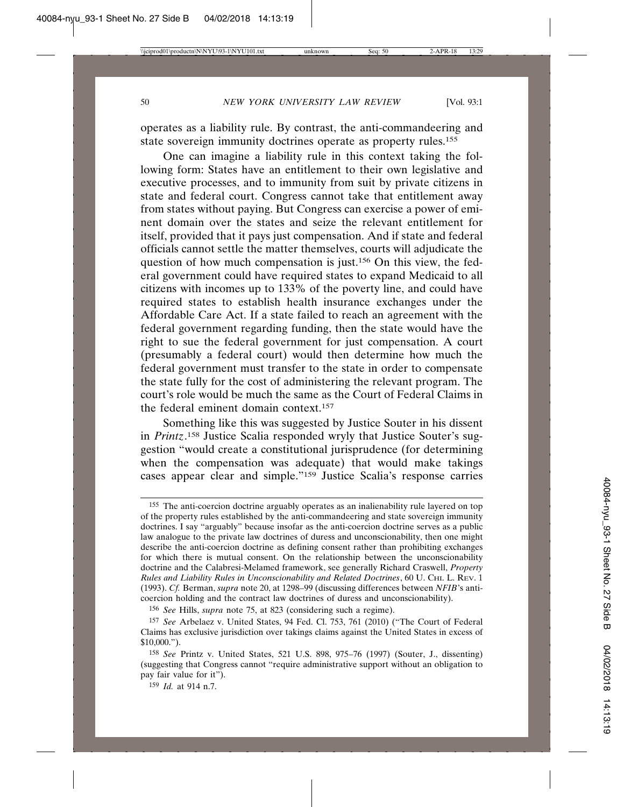operates as a liability rule. By contrast, the anti-commandeering and state sovereign immunity doctrines operate as property rules.<sup>155</sup>

One can imagine a liability rule in this context taking the following form: States have an entitlement to their own legislative and executive processes, and to immunity from suit by private citizens in state and federal court. Congress cannot take that entitlement away from states without paying. But Congress can exercise a power of eminent domain over the states and seize the relevant entitlement for itself, provided that it pays just compensation. And if state and federal officials cannot settle the matter themselves, courts will adjudicate the question of how much compensation is just.156 On this view, the federal government could have required states to expand Medicaid to all citizens with incomes up to 133% of the poverty line, and could have required states to establish health insurance exchanges under the Affordable Care Act. If a state failed to reach an agreement with the federal government regarding funding, then the state would have the right to sue the federal government for just compensation. A court (presumably a federal court) would then determine how much the federal government must transfer to the state in order to compensate the state fully for the cost of administering the relevant program. The court's role would be much the same as the Court of Federal Claims in the federal eminent domain context.157

Something like this was suggested by Justice Souter in his dissent in *Printz*. 158 Justice Scalia responded wryly that Justice Souter's suggestion "would create a constitutional jurisprudence (for determining when the compensation was adequate) that would make takings cases appear clear and simple."159 Justice Scalia's response carries

156 *See* Hills, *supra* note 75, at 823 (considering such a regime).

<sup>155</sup> The anti-coercion doctrine arguably operates as an inalienability rule layered on top of the property rules established by the anti-commandeering and state sovereign immunity doctrines. I say "arguably" because insofar as the anti-coercion doctrine serves as a public law analogue to the private law doctrines of duress and unconscionability, then one might describe the anti-coercion doctrine as defining consent rather than prohibiting exchanges for which there is mutual consent. On the relationship between the unconscionability doctrine and the Calabresi-Melamed framework, see generally Richard Craswell, *Property Rules and Liability Rules in Unconscionability and Related Doctrines*, 60 U. CHI. L. REV. 1 (1993). *Cf.* Berman, *supra* note 20, at 1298–99 (discussing differences between *NFIB*'s anticoercion holding and the contract law doctrines of duress and unconscionability).

<sup>157</sup> *See* Arbelaez v. United States, 94 Fed. Cl. 753, 761 (2010) ("The Court of Federal Claims has exclusive jurisdiction over takings claims against the United States in excess of \$10,000.").

<sup>158</sup> *See* Printz v. United States, 521 U.S. 898, 975–76 (1997) (Souter, J., dissenting) (suggesting that Congress cannot "require administrative support without an obligation to pay fair value for it").

<sup>159</sup> *Id.* at 914 n.7.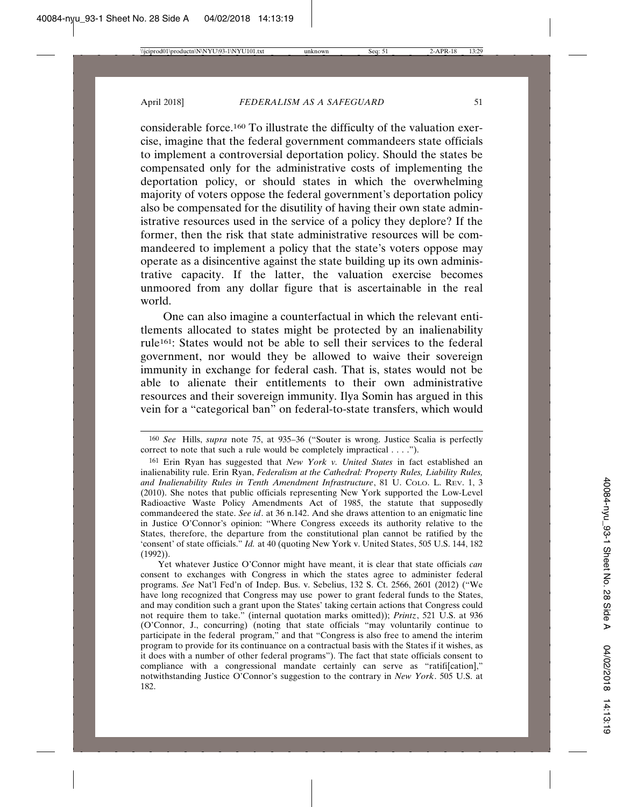considerable force.160 To illustrate the difficulty of the valuation exercise, imagine that the federal government commandeers state officials to implement a controversial deportation policy. Should the states be compensated only for the administrative costs of implementing the deportation policy, or should states in which the overwhelming majority of voters oppose the federal government's deportation policy also be compensated for the disutility of having their own state administrative resources used in the service of a policy they deplore? If the former, then the risk that state administrative resources will be commandeered to implement a policy that the state's voters oppose may operate as a disincentive against the state building up its own administrative capacity. If the latter, the valuation exercise becomes unmoored from any dollar figure that is ascertainable in the real world.

One can also imagine a counterfactual in which the relevant entitlements allocated to states might be protected by an inalienability rule<sup>161</sup>: States would not be able to sell their services to the federal government, nor would they be allowed to waive their sovereign immunity in exchange for federal cash. That is, states would not be able to alienate their entitlements to their own administrative resources and their sovereign immunity. Ilya Somin has argued in this vein for a "categorical ban" on federal-to-state transfers, which would

<sup>160</sup> *See* Hills, *supra* note 75, at 935–36 ("Souter is wrong. Justice Scalia is perfectly correct to note that such a rule would be completely impractical . . . .").

<sup>161</sup> Erin Ryan has suggested that *New York v. United States* in fact established an inalienability rule. Erin Ryan, *Federalism at the Cathedral: Property Rules, Liability Rules, and Inalienability Rules in Tenth Amendment Infrastructure*, 81 U. COLO. L. REV. 1, 3 (2010). She notes that public officials representing New York supported the Low-Level Radioactive Waste Policy Amendments Act of 1985, the statute that supposedly commandeered the state. *See id*. at 36 n.142. And she draws attention to an enigmatic line in Justice O'Connor's opinion: "Where Congress exceeds its authority relative to the States, therefore, the departure from the constitutional plan cannot be ratified by the 'consent' of state officials." *Id.* at 40 (quoting New York v. United States, 505 U.S. 144, 182 (1992)).

Yet whatever Justice O'Connor might have meant, it is clear that state officials *can* consent to exchanges with Congress in which the states agree to administer federal programs. *See* Nat'l Fed'n of Indep. Bus. v. Sebelius, 132 S. Ct. 2566, 2601 (2012) ("We have long recognized that Congress may use power to grant federal funds to the States, and may condition such a grant upon the States' taking certain actions that Congress could not require them to take." (internal quotation marks omitted)); *Printz*, 521 U.S. at 936 (O'Connor, J., concurring) (noting that state officials "may voluntarily continue to participate in the federal program," and that "Congress is also free to amend the interim program to provide for its continuance on a contractual basis with the States if it wishes, as it does with a number of other federal programs"). The fact that state officials consent to compliance with a congressional mandate certainly can serve as "ratifi[cation]," notwithstanding Justice O'Connor's suggestion to the contrary in *New York*. 505 U.S. at 182.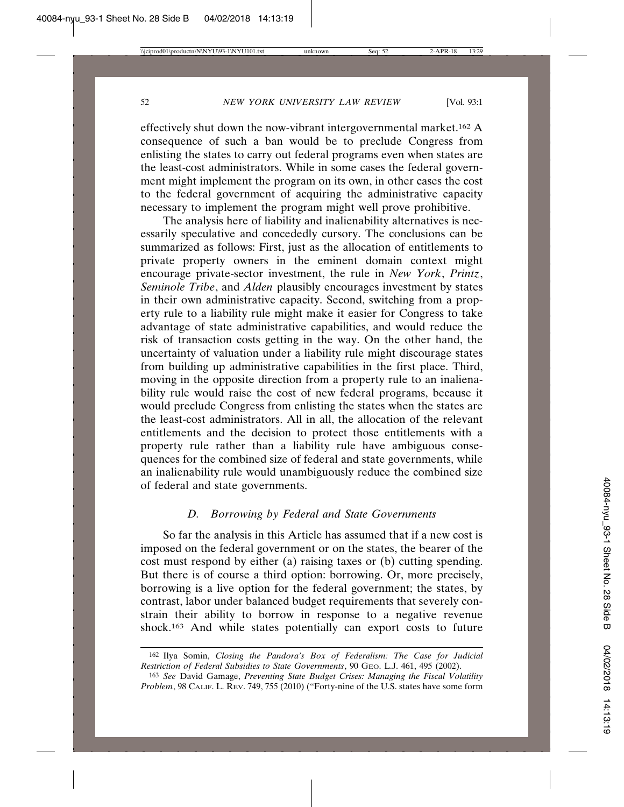effectively shut down the now-vibrant intergovernmental market.162 A consequence of such a ban would be to preclude Congress from enlisting the states to carry out federal programs even when states are the least-cost administrators. While in some cases the federal government might implement the program on its own, in other cases the cost to the federal government of acquiring the administrative capacity necessary to implement the program might well prove prohibitive.

The analysis here of liability and inalienability alternatives is necessarily speculative and concededly cursory. The conclusions can be summarized as follows: First, just as the allocation of entitlements to private property owners in the eminent domain context might encourage private-sector investment, the rule in *New York*, *Printz*, *Seminole Tribe*, and *Alden* plausibly encourages investment by states in their own administrative capacity. Second, switching from a property rule to a liability rule might make it easier for Congress to take advantage of state administrative capabilities, and would reduce the risk of transaction costs getting in the way. On the other hand, the uncertainty of valuation under a liability rule might discourage states from building up administrative capabilities in the first place. Third, moving in the opposite direction from a property rule to an inalienability rule would raise the cost of new federal programs, because it would preclude Congress from enlisting the states when the states are the least-cost administrators. All in all, the allocation of the relevant entitlements and the decision to protect those entitlements with a property rule rather than a liability rule have ambiguous consequences for the combined size of federal and state governments, while an inalienability rule would unambiguously reduce the combined size of federal and state governments.

#### *D. Borrowing by Federal and State Governments*

So far the analysis in this Article has assumed that if a new cost is imposed on the federal government or on the states, the bearer of the cost must respond by either (a) raising taxes or (b) cutting spending. But there is of course a third option: borrowing. Or, more precisely, borrowing is a live option for the federal government; the states, by contrast, labor under balanced budget requirements that severely constrain their ability to borrow in response to a negative revenue shock.163 And while states potentially can export costs to future

<sup>162</sup> Ilya Somin, *Closing the Pandora's Box of Federalism: The Case for Judicial Restriction of Federal Subsidies to State Governments*, 90 GEO. L.J. 461, 495 (2002).

<sup>163</sup> *See* David Gamage, *Preventing State Budget Crises: Managing the Fiscal Volatility Problem*, 98 CALIF. L. REV. 749, 755 (2010) ("Forty-nine of the U.S. states have some form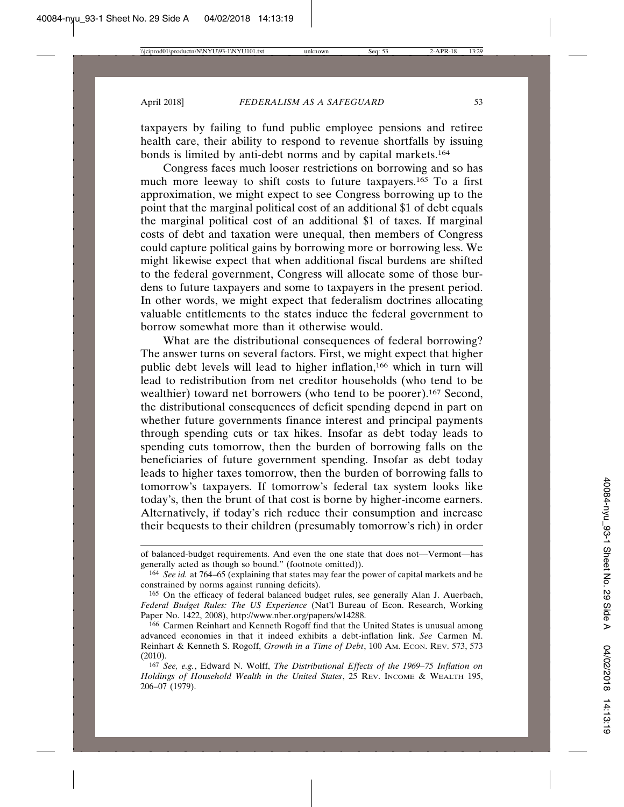taxpayers by failing to fund public employee pensions and retiree health care, their ability to respond to revenue shortfalls by issuing bonds is limited by anti-debt norms and by capital markets.164

Congress faces much looser restrictions on borrowing and so has much more leeway to shift costs to future taxpayers.165 To a first approximation, we might expect to see Congress borrowing up to the point that the marginal political cost of an additional \$1 of debt equals the marginal political cost of an additional \$1 of taxes. If marginal costs of debt and taxation were unequal, then members of Congress could capture political gains by borrowing more or borrowing less. We might likewise expect that when additional fiscal burdens are shifted to the federal government, Congress will allocate some of those burdens to future taxpayers and some to taxpayers in the present period. In other words, we might expect that federalism doctrines allocating valuable entitlements to the states induce the federal government to borrow somewhat more than it otherwise would.

What are the distributional consequences of federal borrowing? The answer turns on several factors. First, we might expect that higher public debt levels will lead to higher inflation,166 which in turn will lead to redistribution from net creditor households (who tend to be wealthier) toward net borrowers (who tend to be poorer).<sup>167</sup> Second, the distributional consequences of deficit spending depend in part on whether future governments finance interest and principal payments through spending cuts or tax hikes. Insofar as debt today leads to spending cuts tomorrow, then the burden of borrowing falls on the beneficiaries of future government spending. Insofar as debt today leads to higher taxes tomorrow, then the burden of borrowing falls to tomorrow's taxpayers. If tomorrow's federal tax system looks like today's, then the brunt of that cost is borne by higher-income earners. Alternatively, if today's rich reduce their consumption and increase their bequests to their children (presumably tomorrow's rich) in order

of balanced-budget requirements. And even the one state that does not—Vermont—has generally acted as though so bound." (footnote omitted)).

<sup>164</sup> *See id.* at 764–65 (explaining that states may fear the power of capital markets and be constrained by norms against running deficits).

<sup>165</sup> On the efficacy of federal balanced budget rules, see generally Alan J. Auerbach, *Federal Budget Rules: The US Experience* (Nat'l Bureau of Econ. Research, Working Paper No. 1422, 2008), http://www.nber.org/papers/w14288.

<sup>166</sup> Carmen Reinhart and Kenneth Rogoff find that the United States is unusual among advanced economies in that it indeed exhibits a debt-inflation link. *See* Carmen M. Reinhart & Kenneth S. Rogoff, *Growth in a Time of Debt*, 100 Am. Econ. Rev. 573, 573 (2010).

<sup>167</sup> *See, e.g.*, Edward N. Wolff, *The Distributional Effects of the 1969–75 Inflation on Holdings of Household Wealth in the United States*, 25 REV. INCOME & WEALTH 195, 206–07 (1979).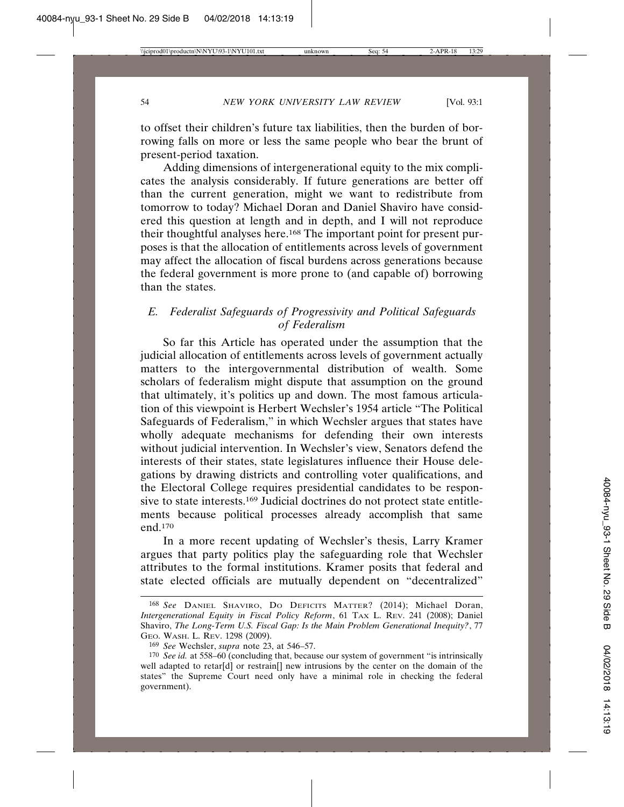to offset their children's future tax liabilities, then the burden of borrowing falls on more or less the same people who bear the brunt of present-period taxation.

Adding dimensions of intergenerational equity to the mix complicates the analysis considerably. If future generations are better off than the current generation, might we want to redistribute from tomorrow to today? Michael Doran and Daniel Shaviro have considered this question at length and in depth, and I will not reproduce their thoughtful analyses here.<sup>168</sup> The important point for present purposes is that the allocation of entitlements across levels of government may affect the allocation of fiscal burdens across generations because the federal government is more prone to (and capable of) borrowing than the states.

#### *E. Federalist Safeguards of Progressivity and Political Safeguards of Federalism*

So far this Article has operated under the assumption that the judicial allocation of entitlements across levels of government actually matters to the intergovernmental distribution of wealth. Some scholars of federalism might dispute that assumption on the ground that ultimately, it's politics up and down. The most famous articulation of this viewpoint is Herbert Wechsler's 1954 article "The Political Safeguards of Federalism," in which Wechsler argues that states have wholly adequate mechanisms for defending their own interests without judicial intervention. In Wechsler's view, Senators defend the interests of their states, state legislatures influence their House delegations by drawing districts and controlling voter qualifications, and the Electoral College requires presidential candidates to be responsive to state interests.169 Judicial doctrines do not protect state entitlements because political processes already accomplish that same end.170

In a more recent updating of Wechsler's thesis, Larry Kramer argues that party politics play the safeguarding role that Wechsler attributes to the formal institutions. Kramer posits that federal and state elected officials are mutually dependent on "decentralized"

<sup>168</sup> *See* DANIEL SHAVIRO, DO DEFICITS MATTER? (2014); Michael Doran, *Intergenerational Equity in Fiscal Policy Reform*, 61 TAX L. REV. 241 (2008); Daniel Shaviro, *The Long-Term U.S. Fiscal Gap: Is the Main Problem Generational Inequity?*, 77 GEO. WASH. L. REV. 1298 (2009).

<sup>169</sup> *See* Wechsler, *supra* note 23, at 546–57.

<sup>170</sup> *See id.* at 558–60 (concluding that, because our system of government "is intrinsically well adapted to retar[d] or restrain[] new intrusions by the center on the domain of the states" the Supreme Court need only have a minimal role in checking the federal government).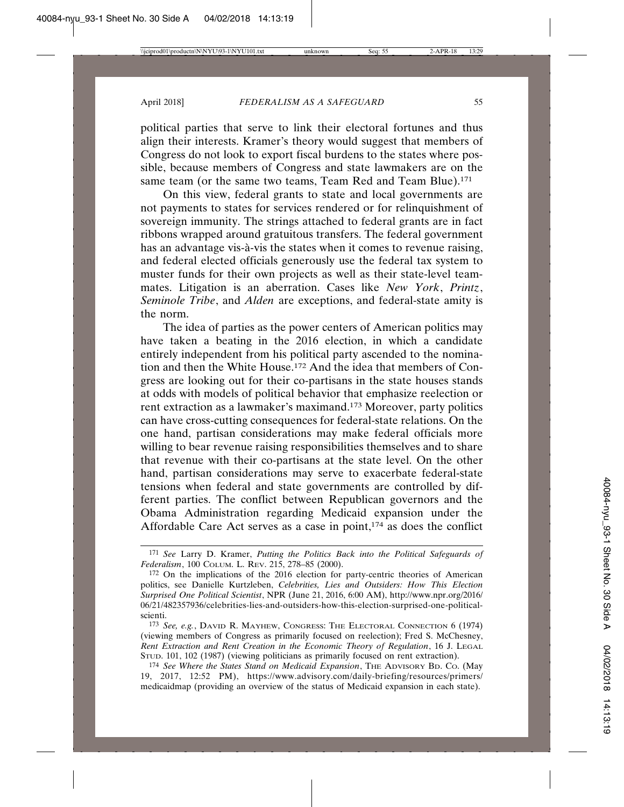political parties that serve to link their electoral fortunes and thus align their interests. Kramer's theory would suggest that members of Congress do not look to export fiscal burdens to the states where possible, because members of Congress and state lawmakers are on the same team (or the same two teams, Team Red and Team Blue).<sup>171</sup>

On this view, federal grants to state and local governments are not payments to states for services rendered or for relinquishment of sovereign immunity. The strings attached to federal grants are in fact ribbons wrapped around gratuitous transfers. The federal government has an advantage vis-à-vis the states when it comes to revenue raising, and federal elected officials generously use the federal tax system to muster funds for their own projects as well as their state-level teammates. Litigation is an aberration. Cases like *New York*, *Printz*, *Seminole Tribe*, and *Alden* are exceptions, and federal-state amity is the norm.

The idea of parties as the power centers of American politics may have taken a beating in the 2016 election, in which a candidate entirely independent from his political party ascended to the nomination and then the White House.172 And the idea that members of Congress are looking out for their co-partisans in the state houses stands at odds with models of political behavior that emphasize reelection or rent extraction as a lawmaker's maximand.173 Moreover, party politics can have cross-cutting consequences for federal-state relations. On the one hand, partisan considerations may make federal officials more willing to bear revenue raising responsibilities themselves and to share that revenue with their co-partisans at the state level. On the other hand, partisan considerations may serve to exacerbate federal-state tensions when federal and state governments are controlled by different parties. The conflict between Republican governors and the Obama Administration regarding Medicaid expansion under the Affordable Care Act serves as a case in point, $174$  as does the conflict

<sup>171</sup> *See* Larry D. Kramer, *Putting the Politics Back into the Political Safeguards of Federalism*, 100 COLUM. L. REV. 215, 278–85 (2000).

<sup>172</sup> On the implications of the 2016 election for party-centric theories of American politics, see Danielle Kurtzleben, *Celebrities, Lies and Outsiders: How This Election Surprised One Political Scientist*, NPR (June 21, 2016, 6:00 AM), http://www.npr.org/2016/ 06/21/482357936/celebrities-lies-and-outsiders-how-this-election-surprised-one-politicalscienti.

<sup>173</sup> *See, e.g.*, DAVID R. MAYHEW, CONGRESS: THE ELECTORAL CONNECTION 6 (1974) (viewing members of Congress as primarily focused on reelection); Fred S. McChesney, *Rent Extraction and Rent Creation in the Economic Theory of Regulation*, 16 J. LEGAL STUD. 101, 102 (1987) (viewing politicians as primarily focused on rent extraction).

<sup>174</sup> *See Where the States Stand on Medicaid Expansion*, THE ADVISORY BD. CO. (May 19, 2017, 12:52 PM), https://www.advisory.com/daily-briefing/resources/primers/ medicaidmap (providing an overview of the status of Medicaid expansion in each state).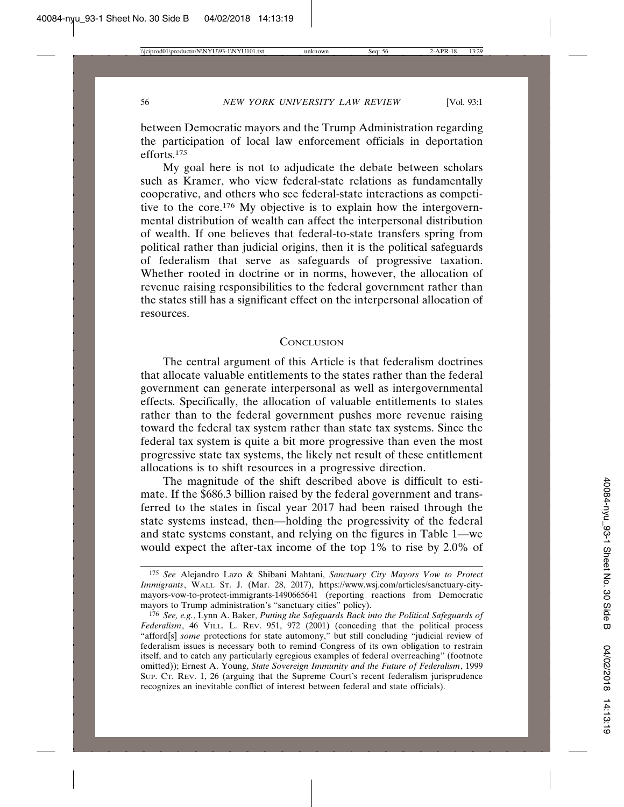between Democratic mayors and the Trump Administration regarding the participation of local law enforcement officials in deportation efforts.175

My goal here is not to adjudicate the debate between scholars such as Kramer, who view federal-state relations as fundamentally cooperative, and others who see federal-state interactions as competitive to the core.176 My objective is to explain how the intergovernmental distribution of wealth can affect the interpersonal distribution of wealth. If one believes that federal-to-state transfers spring from political rather than judicial origins, then it is the political safeguards of federalism that serve as safeguards of progressive taxation. Whether rooted in doctrine or in norms, however, the allocation of revenue raising responsibilities to the federal government rather than the states still has a significant effect on the interpersonal allocation of resources.

#### **CONCLUSION**

The central argument of this Article is that federalism doctrines that allocate valuable entitlements to the states rather than the federal government can generate interpersonal as well as intergovernmental effects. Specifically, the allocation of valuable entitlements to states rather than to the federal government pushes more revenue raising toward the federal tax system rather than state tax systems. Since the federal tax system is quite a bit more progressive than even the most progressive state tax systems, the likely net result of these entitlement allocations is to shift resources in a progressive direction.

The magnitude of the shift described above is difficult to estimate. If the \$686.3 billion raised by the federal government and transferred to the states in fiscal year 2017 had been raised through the state systems instead, then—holding the progressivity of the federal and state systems constant, and relying on the figures in Table 1—we would expect the after-tax income of the top 1% to rise by 2.0% of

<sup>175</sup> *See* Alejandro Lazo & Shibani Mahtani, *Sanctuary City Mayors Vow to Protect Immigrants*, WALL ST. J. (Mar. 28, 2017), https://www.wsj.com/articles/sanctuary-citymayors-vow-to-protect-immigrants-1490665641 (reporting reactions from Democratic mayors to Trump administration's "sanctuary cities" policy).

<sup>176</sup> *See, e.g.*, Lynn A. Baker, *Putting the Safeguards Back into the Political Safeguards of Federalism*, 46 VILL. L. REV. 951, 972 (2001) (conceding that the political process "afford[s] *some* protections for state automony," but still concluding "judicial review of federalism issues is necessary both to remind Congress of its own obligation to restrain itself, and to catch any particularly egregious examples of federal overreaching" (footnote omitted)); Ernest A. Young, *State Sovereign Immunity and the Future of Federalism*, 1999 SUP. CT. REV. 1, 26 (arguing that the Supreme Court's recent federalism jurisprudence recognizes an inevitable conflict of interest between federal and state officials).